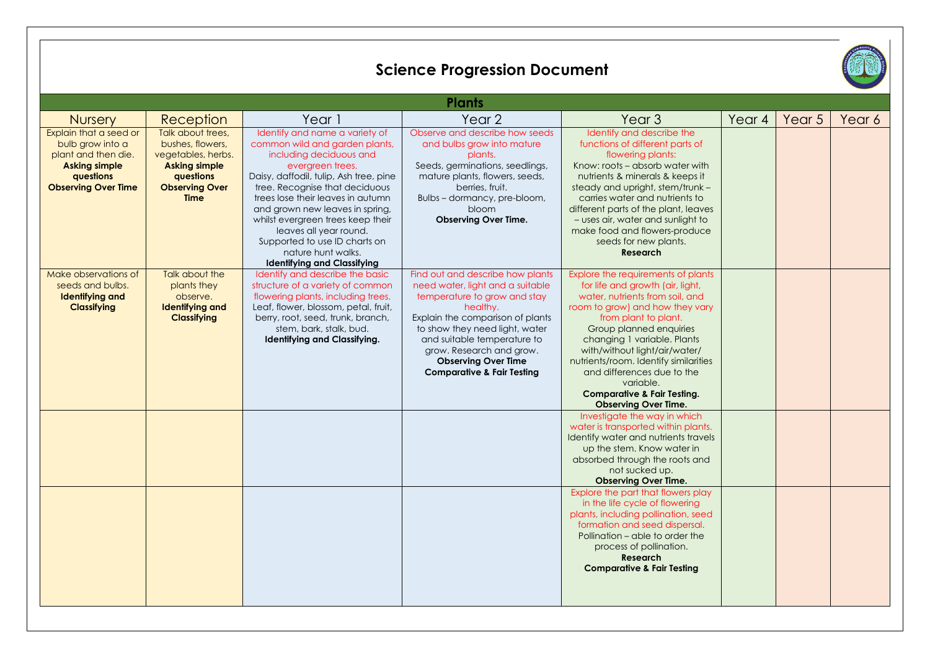|                                                                                                                                      |                                                                                                                                                 |                                                                                                                                                                                                                                                                                                                                                                                                                                 | <b>Science Progression Document</b>                                                                                                                                                                                                                                                                                      |                                                                                                                                                                                                                                                                                                                                                                                                                              |        |        |        |  |  |  |  |  |
|--------------------------------------------------------------------------------------------------------------------------------------|-------------------------------------------------------------------------------------------------------------------------------------------------|---------------------------------------------------------------------------------------------------------------------------------------------------------------------------------------------------------------------------------------------------------------------------------------------------------------------------------------------------------------------------------------------------------------------------------|--------------------------------------------------------------------------------------------------------------------------------------------------------------------------------------------------------------------------------------------------------------------------------------------------------------------------|------------------------------------------------------------------------------------------------------------------------------------------------------------------------------------------------------------------------------------------------------------------------------------------------------------------------------------------------------------------------------------------------------------------------------|--------|--------|--------|--|--|--|--|--|
| <b>Plants</b>                                                                                                                        |                                                                                                                                                 |                                                                                                                                                                                                                                                                                                                                                                                                                                 |                                                                                                                                                                                                                                                                                                                          |                                                                                                                                                                                                                                                                                                                                                                                                                              |        |        |        |  |  |  |  |  |
| <b>Nursery</b>                                                                                                                       | Reception                                                                                                                                       | Year 1                                                                                                                                                                                                                                                                                                                                                                                                                          | Year <sub>2</sub>                                                                                                                                                                                                                                                                                                        | Year <sub>3</sub>                                                                                                                                                                                                                                                                                                                                                                                                            | Year 4 | Year 5 | Year 6 |  |  |  |  |  |
| Explain that a seed or<br>bulb grow into a<br>plant and then die.<br><b>Asking simple</b><br>questions<br><b>Observing Over Time</b> | Talk about trees.<br>bushes, flowers,<br>vegetables, herbs.<br><b>Asking simple</b><br><b>avestions</b><br><b>Observing Over</b><br><b>Time</b> | Identify and name a variety of<br>common wild and garden plants,<br>including deciduous and<br>evergreen trees.<br>Daisy, daffodil, tulip, Ash tree, pine<br>tree. Recognise that deciduous<br>trees lose their leaves in autumn<br>and grown new leaves in spring,<br>whilst evergreen trees keep their<br>leaves all year round.<br>Supported to use ID charts on<br>nature hunt walks.<br><b>Identifying and Classifying</b> | Observe and describe how seeds<br>and bulbs grow into mature<br>plants.<br>Seeds, germinations, seedlings,<br>mature plants, flowers, seeds,<br>berries, fruit.<br>Bulbs - dormancy, pre-bloom,<br>bloom<br><b>Observing Over Time.</b>                                                                                  | Identify and describe the<br>functions of different parts of<br>flowering plants:<br>Know: roots - absorb water with<br>nutrients & minerals & keeps it<br>steady and upright, stem/trunk -<br>carries water and nutrients to<br>different parts of the plant, leaves<br>- uses air, water and sunlight to<br>make food and flowers-produce<br>seeds for new plants.<br><b>Research</b>                                      |        |        |        |  |  |  |  |  |
| Make observations of<br>seeds and bulbs.<br><b>Identifying and</b><br><b>Classifying</b>                                             | Talk about the<br>plants they<br>observe.<br><b>Identifying and</b><br><b>Classifying</b>                                                       | Identify and describe the basic<br>structure of a variety of common<br>flowering plants, including trees.<br>Leaf, flower, blossom, petal, fruit,<br>berry, root, seed, trunk, branch,<br>stem, bark, stalk, bud.<br>Identifying and Classifying.                                                                                                                                                                               | Find out and describe how plants<br>need water, light and a suitable<br>temperature to grow and stay<br>healthy.<br>Explain the comparison of plants<br>to show they need light, water<br>and suitable temperature to<br>grow. Research and grow.<br><b>Observing Over Time</b><br><b>Comparative &amp; Fair Testing</b> | Explore the requirements of plants<br>for life and growth (air, light,<br>water, nutrients from soil, and<br>room to grow) and how they vary<br>from plant to plant.<br>Group planned enquiries<br>changing 1 variable. Plants<br>with/without light/air/water/<br>nutrients/room. Identify similarities<br>and differences due to the<br>variable.<br><b>Comparative &amp; Fair Testing.</b><br><b>Observing Over Time.</b> |        |        |        |  |  |  |  |  |
|                                                                                                                                      |                                                                                                                                                 |                                                                                                                                                                                                                                                                                                                                                                                                                                 |                                                                                                                                                                                                                                                                                                                          | Investigate the way in which<br>water is transported within plants.<br>Identify water and nutrients travels<br>up the stem. Know water in<br>absorbed through the roots and<br>not sucked up.<br><b>Observing Over Time.</b><br>Explore the part that flowers play<br>in the life cycle of flowering<br>plants, including pollination, seed                                                                                  |        |        |        |  |  |  |  |  |
|                                                                                                                                      |                                                                                                                                                 |                                                                                                                                                                                                                                                                                                                                                                                                                                 |                                                                                                                                                                                                                                                                                                                          | formation and seed dispersal.<br>Pollination - able to order the<br>process of pollination.<br><b>Research</b><br><b>Comparative &amp; Fair Testing</b>                                                                                                                                                                                                                                                                      |        |        |        |  |  |  |  |  |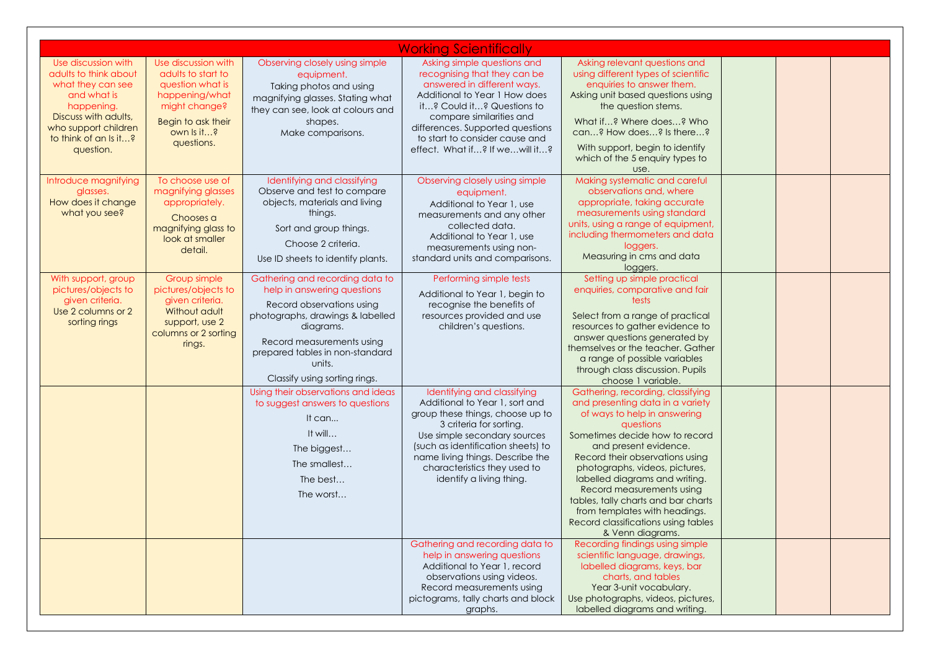|                                                                                                                                                                                      |                                                                                                                                                    |                                                                                                                                                                                                                                                         | <b>Working Scientifically</b>                                                                                                                                                                                                                                                                      |                                                                                                                                                                                                                                                                                                                                                                                                                                                      |  |  |
|--------------------------------------------------------------------------------------------------------------------------------------------------------------------------------------|----------------------------------------------------------------------------------------------------------------------------------------------------|---------------------------------------------------------------------------------------------------------------------------------------------------------------------------------------------------------------------------------------------------------|----------------------------------------------------------------------------------------------------------------------------------------------------------------------------------------------------------------------------------------------------------------------------------------------------|------------------------------------------------------------------------------------------------------------------------------------------------------------------------------------------------------------------------------------------------------------------------------------------------------------------------------------------------------------------------------------------------------------------------------------------------------|--|--|
| Use discussion with<br>adults to think about<br>what they can see<br>and what is<br>happening.<br>Discuss with adults,<br>who support children<br>to think of an Is it?<br>question. | Use discussion with<br>adults to start to<br>question what is<br>happening/what<br>might change?<br>Begin to ask their<br>own Is it?<br>questions. | Observing closely using simple<br>equipment.<br>Taking photos and using<br>magnifying glasses. Stating what<br>they can see, look at colours and<br>shapes.<br>Make comparisons.                                                                        | Asking simple questions and<br>recognising that they can be<br>answered in different ways.<br>Additional to Year 1 How does<br>it? Could it? Questions to<br>compare similarities and<br>differences. Supported questions<br>to start to consider cause and<br>effect. What if? If wewill it?      | Asking relevant questions and<br>using different types of scientific<br>enquiries to answer them.<br>Asking unit based questions using<br>the question stems.<br>What if? Where does? Who<br>can? How does? Is there?<br>With support, begin to identify<br>which of the 5 enquiry types to<br>use.                                                                                                                                                  |  |  |
| Introduce magnifying<br>glasses.<br>How does it change<br>what you see?                                                                                                              | To choose use of<br>magnifying glasses<br>appropriately.<br>Chooses a<br>magnifying glass to<br>look at smaller<br>detail.                         | Identifying and classifying<br>Observe and test to compare<br>objects, materials and living<br>things.<br>Sort and group things.<br>Choose 2 criteria.<br>Use ID sheets to identify plants.                                                             | Observing closely using simple<br>equipment.<br>Additional to Year 1, use<br>measurements and any other<br>collected data.<br>Additional to Year 1, use<br>measurements using non-<br>standard units and comparisons.                                                                              | Making systematic and careful<br>observations and, where<br>appropriate, taking accurate<br>measurements using standard<br>units, using a range of equipment,<br>including thermometers and data<br>loggers.<br>Measuring in cms and data<br>loggers.                                                                                                                                                                                                |  |  |
| With support, group<br>pictures/objects to<br>given criteria.<br>Use 2 columns or 2<br>sorting rings                                                                                 | Group simple<br>pictures/objects to<br>given criteria.<br>Without adult<br>support, use 2<br>columns or 2 sorting<br>rings.                        | Gathering and recording data to<br>help in answering questions<br>Record observations using<br>photographs, drawings & labelled<br>diagrams.<br>Record measurements using<br>prepared tables in non-standard<br>units.<br>Classify using sorting rings. | Performing simple tests<br>Additional to Year 1, begin to<br>recognise the benefits of<br>resources provided and use<br>children's questions.                                                                                                                                                      | Setting up simple practical<br>enquiries, comparative and fair<br>tests<br>Select from a range of practical<br>resources to gather evidence to<br>answer questions generated by<br>themselves or the teacher. Gather<br>a range of possible variables<br>through class discussion. Pupils<br>choose 1 variable.                                                                                                                                      |  |  |
|                                                                                                                                                                                      |                                                                                                                                                    | Using their observations and ideas<br>to suggest answers to questions<br>It can<br>It will<br>The biggest<br>The smallest<br>The best<br>The worst                                                                                                      | Identifying and classifying<br>Additional to Year 1, sort and<br>group these things, choose up to<br>3 criteria for sorting.<br>Use simple secondary sources<br>(such as identification sheets) to<br>name living things. Describe the<br>characteristics they used to<br>identify a living thing. | Gathering, recording, classifying<br>and presenting data in a variety<br>of ways to help in answering<br>questions<br>Sometimes decide how to record<br>and present evidence.<br>Record their observations using<br>photographs, videos, pictures,<br>labelled diagrams and writing.<br>Record measurements using<br>tables, tally charts and bar charts<br>from templates with headings.<br>Record classifications using tables<br>& Venn diagrams. |  |  |
|                                                                                                                                                                                      |                                                                                                                                                    |                                                                                                                                                                                                                                                         | Gathering and recording data to<br>help in answering questions<br>Additional to Year 1, record<br>observations using videos.<br>Record measurements using<br>pictograms, tally charts and block<br>graphs.                                                                                         | Recording findings using simple<br>scientific language, drawings,<br>labelled diagrams, keys, bar<br>charts, and tables<br>Year 3-unit vocabulary.<br>Use photographs, videos, pictures,<br>labelled diagrams and writing.                                                                                                                                                                                                                           |  |  |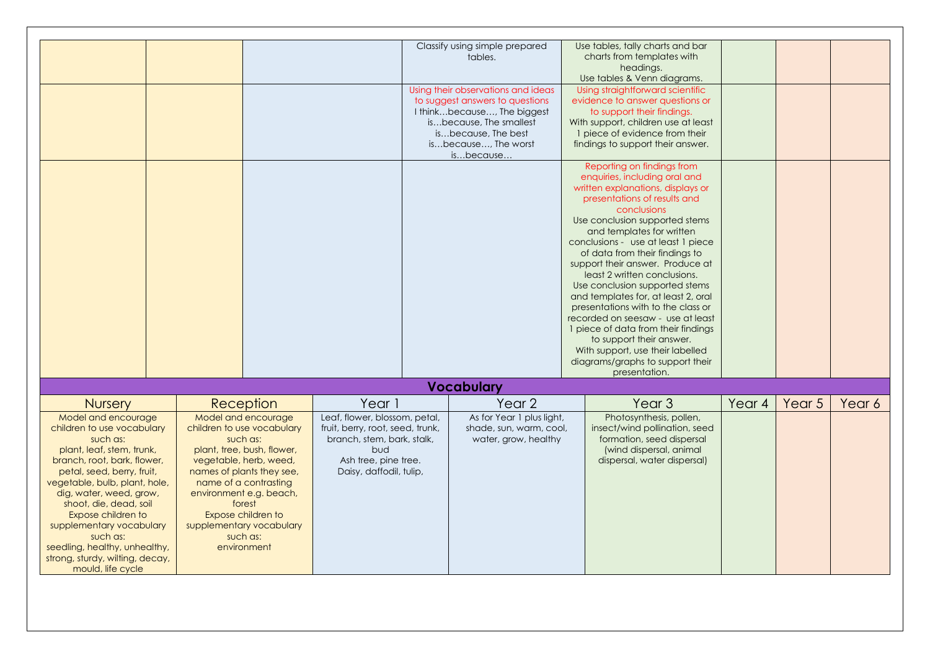|                                 |                            |                                  | Classify using simple prepared     | Use tables, tally charts and bar    |        |        |        |
|---------------------------------|----------------------------|----------------------------------|------------------------------------|-------------------------------------|--------|--------|--------|
|                                 |                            |                                  | tables.                            | charts from templates with          |        |        |        |
|                                 |                            |                                  |                                    | headings.                           |        |        |        |
|                                 |                            |                                  |                                    | Use tables & Venn diagrams.         |        |        |        |
|                                 |                            |                                  | Using their observations and ideas | Using straightforward scientific    |        |        |        |
|                                 |                            |                                  | to suggest answers to questions    | evidence to answer questions or     |        |        |        |
|                                 |                            |                                  | I thinkbecause, The biggest        | to support their findings.          |        |        |        |
|                                 |                            |                                  | isbecause, The smallest            | With support, children use at least |        |        |        |
|                                 |                            |                                  | isbecause, The best                | 1 piece of evidence from their      |        |        |        |
|                                 |                            |                                  | isbecause, The worst               | findings to support their answer.   |        |        |        |
|                                 |                            |                                  | isbecause                          |                                     |        |        |        |
|                                 |                            |                                  |                                    | Reporting on findings from          |        |        |        |
|                                 |                            |                                  |                                    | enquiries, including oral and       |        |        |        |
|                                 |                            |                                  |                                    | written explanations, displays or   |        |        |        |
|                                 |                            |                                  |                                    | presentations of results and        |        |        |        |
|                                 |                            |                                  |                                    | conclusions                         |        |        |        |
|                                 |                            |                                  |                                    | Use conclusion supported stems      |        |        |        |
|                                 |                            |                                  |                                    | and templates for written           |        |        |        |
|                                 |                            |                                  |                                    | conclusions - use at least 1 piece  |        |        |        |
|                                 |                            |                                  |                                    | of data from their findings to      |        |        |        |
|                                 |                            |                                  |                                    | support their answer. Produce at    |        |        |        |
|                                 |                            |                                  |                                    | least 2 written conclusions.        |        |        |        |
|                                 |                            |                                  |                                    | Use conclusion supported stems      |        |        |        |
|                                 |                            |                                  |                                    | and templates for, at least 2, oral |        |        |        |
|                                 |                            |                                  |                                    | presentations with to the class or  |        |        |        |
|                                 |                            |                                  |                                    | recorded on seesaw - use at least   |        |        |        |
|                                 |                            |                                  |                                    | 1 piece of data from their findings |        |        |        |
|                                 |                            |                                  |                                    | to support their answer.            |        |        |        |
|                                 |                            |                                  |                                    | With support, use their labelled    |        |        |        |
|                                 |                            |                                  |                                    | diagrams/graphs to support their    |        |        |        |
|                                 |                            |                                  |                                    | presentation.                       |        |        |        |
|                                 |                            |                                  | <b>Vocabulary</b>                  |                                     |        |        |        |
| <b>Nursery</b>                  | Reception                  | Year 1                           | Year <sub>2</sub>                  | Year <sub>3</sub>                   | Year 4 | Year 5 | Year 6 |
| Model and encourage             | Model and encourage        | Leaf, flower, blossom, petal,    | As for Year 1 plus light,          | Photosynthesis, pollen,             |        |        |        |
| children to use vocabulary      | children to use vocabulary | fruit, berry, root, seed, trunk, | shade, sun, warm, cool,            | insect/wind pollination, seed       |        |        |        |
| such as:                        | such as:                   | branch, stem, bark, stalk,       | water, grow, healthy               | formation, seed dispersal           |        |        |        |
| plant, leaf, stem, trunk,       | plant, tree, bush, flower, | bud                              |                                    | (wind dispersal, animal             |        |        |        |
| branch, root, bark, flower,     | vegetable, herb, weed,     | Ash tree, pine tree.             |                                    | dispersal, water dispersal)         |        |        |        |
| petal, seed, berry, fruit,      | names of plants they see,  | Daisy, daffodil, tulip,          |                                    |                                     |        |        |        |
| vegetable, bulb, plant, hole,   | name of a contrasting      |                                  |                                    |                                     |        |        |        |
| dig, water, weed, grow,         | environment e.g. beach,    |                                  |                                    |                                     |        |        |        |
| shoot, die, dead, soil          | forest                     |                                  |                                    |                                     |        |        |        |
| Expose children to              | Expose children to         |                                  |                                    |                                     |        |        |        |
| supplementary vocabulary        | supplementary vocabulary   |                                  |                                    |                                     |        |        |        |
| such as:                        | such as:                   |                                  |                                    |                                     |        |        |        |
| seedling, healthy, unhealthy,   | environment                |                                  |                                    |                                     |        |        |        |
|                                 |                            |                                  |                                    |                                     |        |        |        |
| strong, sturdy, wilting, decay, |                            |                                  |                                    |                                     |        |        |        |
| mould, life cycle               |                            |                                  |                                    |                                     |        |        |        |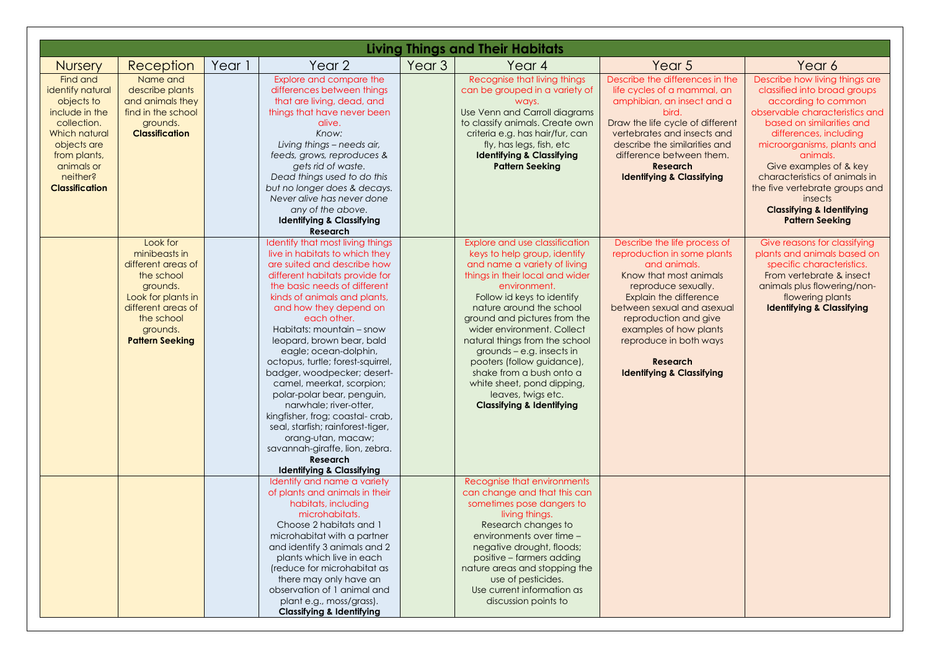|                                                                                                                                                                                       |                                                                                                                                                                           |        |                                                                                                                                                                                                                                                                                                                                                                                                                                                                                                                                                                                                                                                                                     |                   | <b>Living Things and Their Habitats</b>                                                                                                                                                                                                                                                                                                                                                                                                                                                        |                                                                                                                                                                                                                                                                                                                              |                                                                                                                                                                                                                                                                                                                                                                                                    |
|---------------------------------------------------------------------------------------------------------------------------------------------------------------------------------------|---------------------------------------------------------------------------------------------------------------------------------------------------------------------------|--------|-------------------------------------------------------------------------------------------------------------------------------------------------------------------------------------------------------------------------------------------------------------------------------------------------------------------------------------------------------------------------------------------------------------------------------------------------------------------------------------------------------------------------------------------------------------------------------------------------------------------------------------------------------------------------------------|-------------------|------------------------------------------------------------------------------------------------------------------------------------------------------------------------------------------------------------------------------------------------------------------------------------------------------------------------------------------------------------------------------------------------------------------------------------------------------------------------------------------------|------------------------------------------------------------------------------------------------------------------------------------------------------------------------------------------------------------------------------------------------------------------------------------------------------------------------------|----------------------------------------------------------------------------------------------------------------------------------------------------------------------------------------------------------------------------------------------------------------------------------------------------------------------------------------------------------------------------------------------------|
| <b>Nursery</b>                                                                                                                                                                        | Reception                                                                                                                                                                 | Year 1 | Year <sub>2</sub>                                                                                                                                                                                                                                                                                                                                                                                                                                                                                                                                                                                                                                                                   | Year <sub>3</sub> | Year 4                                                                                                                                                                                                                                                                                                                                                                                                                                                                                         | Year 5                                                                                                                                                                                                                                                                                                                       | Year 6                                                                                                                                                                                                                                                                                                                                                                                             |
| Find and<br>identify natural<br>objects to<br>include in the<br>collection.<br><b>Which natural</b><br>objects are<br>from plants,<br>animals or<br>neither?<br><b>Classification</b> | Name and<br>describe plants<br>and animals they<br>find in the school<br>grounds.<br><b>Classification</b>                                                                |        | Explore and compare the<br>differences between things<br>that are living, dead, and<br>things that have never been<br>alive.<br>Know:<br>Living things - needs air,<br>feeds, grows, reproduces &<br>gets rid of waste.<br>Dead things used to do this<br>but no longer does & decays.<br>Never alive has never done<br>any of the above.<br><b>Identifying &amp; Classifying</b><br><b>Research</b>                                                                                                                                                                                                                                                                                |                   | Recognise that living things<br>can be grouped in a variety of<br>ways.<br>Use Venn and Carroll diagrams<br>to classify animals. Create own<br>criteria e.g. has hair/fur, can<br>fly, has legs, fish, etc.<br><b>Identifying &amp; Classifying</b><br><b>Pattern Seeking</b>                                                                                                                                                                                                                  | Describe the differences in the<br>life cycles of a mammal, an<br>amphibian, an insect and a<br>bird.<br>Draw the life cycle of different<br>vertebrates and insects and<br>describe the similarities and<br>difference between them.<br><b>Research</b><br><b>Identifying &amp; Classifying</b>                             | Describe how living things are<br>classified into broad groups<br>according to common<br>observable characteristics and<br>based on similarities and<br>differences, including<br>microorganisms, plants and<br>animals.<br>Give examples of & key<br>characteristics of animals in<br>the five vertebrate groups and<br>insects<br><b>Classifying &amp; Identifying</b><br><b>Pattern Seeking</b> |
|                                                                                                                                                                                       | Look for<br>minibeasts in<br>different areas of<br>the school<br>grounds.<br>Look for plants in<br>different areas of<br>the school<br>grounds.<br><b>Pattern Seeking</b> |        | Identify that most living things<br>live in habitats to which they<br>are suited and describe how<br>different habitats provide for<br>the basic needs of different<br>kinds of animals and plants,<br>and how they depend on<br>each other.<br>Habitats: mountain - snow<br>leopard, brown bear, bald<br>eagle; ocean-dolphin,<br>octopus, turtle; forest-squirrel,<br>badger, woodpecker; desert-<br>camel, meerkat, scorpion;<br>polar-polar bear, penguin,<br>narwhale; river-otter,<br>kingfisher, frog; coastal-crab,<br>seal, starfish; rainforest-tiger,<br>orang-utan, macaw;<br>savannah-giraffe, lion, zebra.<br><b>Research</b><br><b>Identifying &amp; Classifying</b> |                   | Explore and use classification<br>keys to help group, identify<br>and name a variety of living<br>things in their local and wider<br>environment.<br>Follow id keys to identify<br>nature around the school<br>ground and pictures from the<br>wider environment. Collect<br>natural things from the school<br>grounds - e.g. insects in<br>pooters (follow guidance),<br>shake from a bush onto a<br>white sheet, pond dipping,<br>leaves, twigs etc.<br><b>Classifying &amp; Identifying</b> | Describe the life process of<br>reproduction in some plants<br>and animals.<br>Know that most animals<br>reproduce sexually.<br>Explain the difference<br>between sexual and asexual<br>reproduction and give<br>examples of how plants<br>reproduce in both ways<br><b>Research</b><br><b>Identifying &amp; Classifying</b> | Give reasons for classifying<br>plants and animals based on<br>specific characteristics.<br>From vertebrate & insect<br>animals plus flowering/non-<br>flowering plants<br><b>Identifying &amp; Classifying</b>                                                                                                                                                                                    |
|                                                                                                                                                                                       |                                                                                                                                                                           |        | Identify and name a variety<br>of plants and animals in their<br>habitats, including<br>microhabitats.<br>Choose 2 habitats and 1<br>microhabitat with a partner<br>and identify 3 animals and 2<br>plants which live in each<br>(reduce for microhabitat as<br>there may only have an<br>observation of 1 animal and<br>plant e.g., moss/grass).<br><b>Classifying &amp; Identifying</b>                                                                                                                                                                                                                                                                                           |                   | Recognise that environments<br>can change and that this can<br>sometimes pose dangers to<br>living things.<br>Research changes to<br>environments over time -<br>negative drought, floods;<br>positive - farmers adding<br>nature areas and stopping the<br>use of pesticides.<br>Use current information as<br>discussion points to                                                                                                                                                           |                                                                                                                                                                                                                                                                                                                              |                                                                                                                                                                                                                                                                                                                                                                                                    |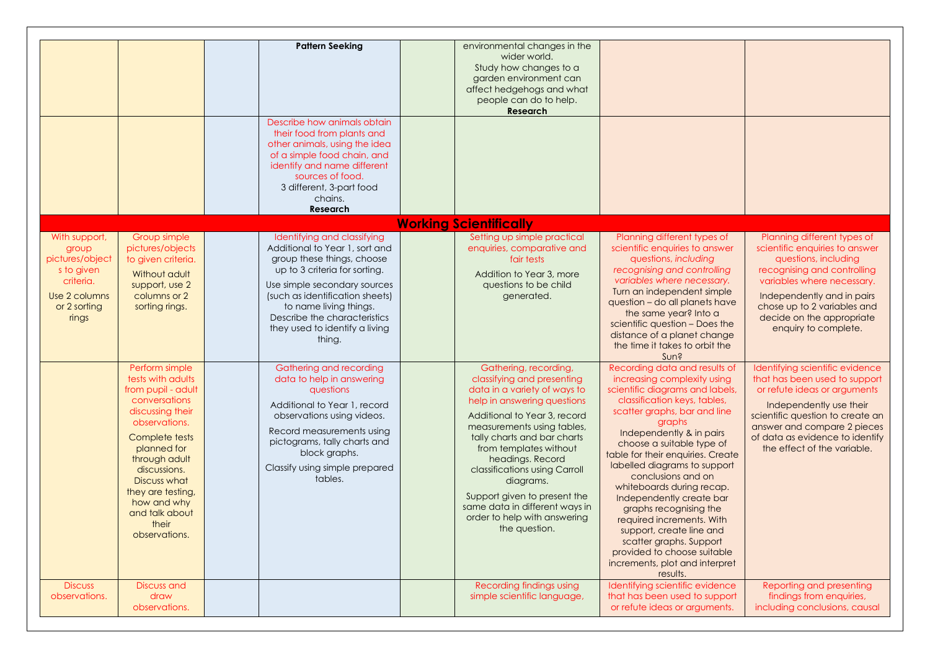|                                                                                                                |                                                                                                                                                                                                                                                                                   | <b>Pattern Seeking</b><br>Describe how animals obtain<br>their food from plants and<br>other animals, using the idea                                                                                                                                                                                  | environmental changes in the<br>wider world.<br>Study how changes to a<br>garden environment can<br>affect hedgehogs and what<br>people can do to help.<br>Research                                                                                                                                                                                                                                                            |                                                                                                                                                                                                                                                                                                                                                                                                                                                                                                                                                                                   |                                                                                                                                                                                                                                                                      |
|----------------------------------------------------------------------------------------------------------------|-----------------------------------------------------------------------------------------------------------------------------------------------------------------------------------------------------------------------------------------------------------------------------------|-------------------------------------------------------------------------------------------------------------------------------------------------------------------------------------------------------------------------------------------------------------------------------------------------------|--------------------------------------------------------------------------------------------------------------------------------------------------------------------------------------------------------------------------------------------------------------------------------------------------------------------------------------------------------------------------------------------------------------------------------|-----------------------------------------------------------------------------------------------------------------------------------------------------------------------------------------------------------------------------------------------------------------------------------------------------------------------------------------------------------------------------------------------------------------------------------------------------------------------------------------------------------------------------------------------------------------------------------|----------------------------------------------------------------------------------------------------------------------------------------------------------------------------------------------------------------------------------------------------------------------|
|                                                                                                                |                                                                                                                                                                                                                                                                                   | of a simple food chain, and<br>identify and name different<br>sources of food.<br>3 different, 3-part food<br>chains.<br><b>Research</b>                                                                                                                                                              |                                                                                                                                                                                                                                                                                                                                                                                                                                |                                                                                                                                                                                                                                                                                                                                                                                                                                                                                                                                                                                   |                                                                                                                                                                                                                                                                      |
|                                                                                                                |                                                                                                                                                                                                                                                                                   |                                                                                                                                                                                                                                                                                                       | <b>Working Scientifically</b>                                                                                                                                                                                                                                                                                                                                                                                                  |                                                                                                                                                                                                                                                                                                                                                                                                                                                                                                                                                                                   |                                                                                                                                                                                                                                                                      |
| With support,<br>group<br>pictures/object<br>s to given<br>criteria.<br>Use 2 columns<br>or 2 sorting<br>rings | Group simple<br>pictures/objects<br>to given criteria.<br>Without adult<br>support, use 2<br>columns or 2<br>sorting rings.                                                                                                                                                       | Identifying and classifying<br>Additional to Year 1, sort and<br>group these things, choose<br>up to 3 criteria for sorting.<br>Use simple secondary sources<br>(such as identification sheets)<br>to name living things.<br>Describe the characteristics<br>they used to identify a living<br>thing. | Setting up simple practical<br>enquiries, comparative and<br>fair tests<br>Addition to Year 3, more<br>questions to be child<br>generated.                                                                                                                                                                                                                                                                                     | Planning different types of<br>scientific enquiries to answer<br>questions, including<br>recognising and controlling<br>variables where necessary.<br>Turn an independent simple<br>question - do all planets have<br>the same year? Into a<br>scientific question - Does the<br>distance of a planet change<br>the time it takes to orbit the<br>Sun?                                                                                                                                                                                                                            | Planning different types of<br>scientific enquiries to answer<br>questions, including<br>recognising and controlling<br>variables where necessary.<br>Independently and in pairs<br>chose up to 2 variables and<br>decide on the appropriate<br>enquiry to complete. |
|                                                                                                                | Perform simple<br>tests with adults<br>from pupil - adult<br>conversations<br>discussing their<br>observations.<br>Complete tests<br>planned for<br>through adult<br>discussions.<br>Discuss what<br>they are testing,<br>how and why<br>and talk about<br>their<br>observations. | Gathering and recording<br>data to help in answering<br>questions<br>Additional to Year 1, record<br>observations using videos.<br>Record measurements using<br>pictograms, tally charts and<br>block graphs.<br>Classify using simple prepared<br>tables.                                            | Gathering, recording,<br>classifying and presenting<br>data in a variety of ways to<br>help in answering questions<br>Additional to Year 3, record<br>measurements using tables,<br>tally charts and bar charts<br>from templates without<br>headings. Record<br>classifications using Carroll<br>diagrams.<br>Support given to present the<br>same data in different ways in<br>order to help with answering<br>the question. | Recording data and results of<br>increasing complexity using<br>scientific diagrams and labels,<br>classification keys, tables,<br>scatter graphs, bar and line<br>graphs<br>Independently & in pairs<br>choose a suitable type of<br>table for their enquiries. Create<br>labelled diagrams to support<br>conclusions and on<br>whiteboards during recap.<br>Independently create bar<br>graphs recognising the<br>required increments. With<br>support, create line and<br>scatter graphs. Support<br>provided to choose suitable<br>increments, plot and interpret<br>results. | Identifying scientific evidence<br>that has been used to support<br>or refute ideas or arguments<br>Independently use their<br>scientific question to create an<br>answer and compare 2 pieces<br>of data as evidence to identify<br>the effect of the variable.     |
| <b>Discuss</b><br>observations.                                                                                | Discuss and<br>draw<br>observations.                                                                                                                                                                                                                                              |                                                                                                                                                                                                                                                                                                       | Recording findings using<br>simple scientific language,                                                                                                                                                                                                                                                                                                                                                                        | Identifying scientific evidence<br>that has been used to support<br>or refute ideas or arguments.                                                                                                                                                                                                                                                                                                                                                                                                                                                                                 | Reporting and presenting<br>findings from enquiries,<br>including conclusions, causal                                                                                                                                                                                |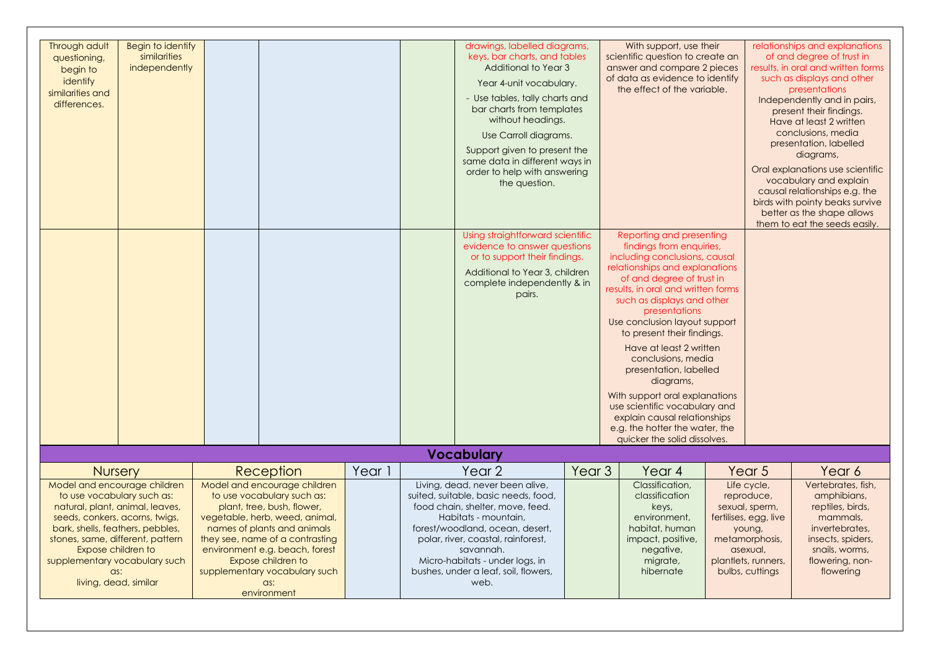| Through adult<br>questioning,<br>begin to<br>identify<br>similarities and<br>differences.                                                                                                                                                                                                                                | Begin to identify<br>similarities<br>independently |                                                                                                                                                                                                                                                                                                                          |        | drawings, labelled diagrams,<br>keys, bar charts, and tables<br><b>Additional to Year 3</b><br>Year 4-unit vocabulary.<br>- Use tables, tally charts and<br>bar charts from templates<br>without headings.<br>Use Carroll diagrams.<br>Support given to present the<br>same data in different ways in                  |                   | With support, use their<br>scientific question to create an<br>answer and compare 2 pieces<br>of data as evidence to identify<br>the effect of the variable.                                                                                                                                                                                                                                                                                                                                                                                                          |        |                                                                                                                                                                   | relationships and explanations<br>of and degree of trust in<br>results, in oral and written forms<br>such as displays and other<br>presentations<br>Independently and in pairs,<br>present their findings.<br>Have at least 2 written<br>conclusions, media<br>presentation, labelled<br>diagrams, |
|--------------------------------------------------------------------------------------------------------------------------------------------------------------------------------------------------------------------------------------------------------------------------------------------------------------------------|----------------------------------------------------|--------------------------------------------------------------------------------------------------------------------------------------------------------------------------------------------------------------------------------------------------------------------------------------------------------------------------|--------|------------------------------------------------------------------------------------------------------------------------------------------------------------------------------------------------------------------------------------------------------------------------------------------------------------------------|-------------------|-----------------------------------------------------------------------------------------------------------------------------------------------------------------------------------------------------------------------------------------------------------------------------------------------------------------------------------------------------------------------------------------------------------------------------------------------------------------------------------------------------------------------------------------------------------------------|--------|-------------------------------------------------------------------------------------------------------------------------------------------------------------------|----------------------------------------------------------------------------------------------------------------------------------------------------------------------------------------------------------------------------------------------------------------------------------------------------|
|                                                                                                                                                                                                                                                                                                                          |                                                    |                                                                                                                                                                                                                                                                                                                          |        | order to help with answering<br>the question.                                                                                                                                                                                                                                                                          |                   |                                                                                                                                                                                                                                                                                                                                                                                                                                                                                                                                                                       |        |                                                                                                                                                                   | Oral explanations use scientific<br>vocabulary and explain<br>causal relationships e.g. the<br>birds with pointy beaks survive<br>better as the shape allows<br>them to eat the seeds easily.                                                                                                      |
|                                                                                                                                                                                                                                                                                                                          |                                                    |                                                                                                                                                                                                                                                                                                                          |        | Using straightforward scientific<br>evidence to answer questions<br>or to support their findings.<br>Additional to Year 3, children<br>complete independently & in<br>pairs.                                                                                                                                           |                   | Reporting and presenting<br>findings from enquiries,<br>including conclusions, causal<br>relationships and explanations<br>of and degree of trust in<br>results, in oral and written forms<br>such as displays and other<br>presentations<br>Use conclusion layout support<br>to present their findings.<br>Have at least 2 written<br>conclusions, media<br>presentation, labelled<br>diagrams,<br>With support oral explanations<br>use scientific vocabulary and<br>explain causal relationships<br>e.g. the hotter the water, the<br>quicker the solid dissolves. |        |                                                                                                                                                                   |                                                                                                                                                                                                                                                                                                    |
|                                                                                                                                                                                                                                                                                                                          |                                                    |                                                                                                                                                                                                                                                                                                                          |        | <b>Vocabulary</b>                                                                                                                                                                                                                                                                                                      |                   |                                                                                                                                                                                                                                                                                                                                                                                                                                                                                                                                                                       |        |                                                                                                                                                                   |                                                                                                                                                                                                                                                                                                    |
| <b>Nursery</b><br>Model and encourage children<br>to use vocabulary such as:<br>natural, plant, animal, leaves,<br>seeds, conkers, acorns, twigs,<br>bark, shells, feathers, pebbles,<br>stones, same, different, pattern<br>Expose children to<br>supplementary vocabulary such<br>$\alpha$ s:<br>living, dead, similar |                                                    | Reception<br>Model and encourage children<br>to use vocabulary such as:<br>plant, tree, bush, flower,<br>vegetable, herb, weed, animal,<br>names of plants and animals<br>they see, name of a contrasting<br>environment e.g. beach, forest<br>Expose children to<br>supplementary vocabulary such<br>as:<br>environment | Year 1 | Year 2<br>Living, dead, never been alive,<br>suited, suitable, basic needs, food,<br>food chain, shelter, move, feed.<br>Habitats - mountain,<br>forest/woodland, ocean, desert,<br>polar, river, coastal, rainforest,<br>savannah.<br>Micro-habitats - under logs, in<br>bushes, under a leaf, soil, flowers,<br>web. | Year <sub>3</sub> | Year 4<br>Classification.<br>classification<br>keys,<br>environment.<br>habitat, human<br>impact, positive,<br>negative,<br>migrate,<br>hibernate                                                                                                                                                                                                                                                                                                                                                                                                                     | young, | Year <sub>5</sub><br>Life cycle,<br>reproduce,<br>sexual, sperm,<br>fertilises, egg, live<br>metamorphosis,<br>asexual.<br>plantlets, runners,<br>bulbs, cuttings | Year 6<br>Vertebrates, fish,<br>amphibians,<br>reptiles, birds,<br>mammals,<br>invertebrates.<br>insects, spiders,<br>snails, worms,<br>flowering, non-<br>flowering                                                                                                                               |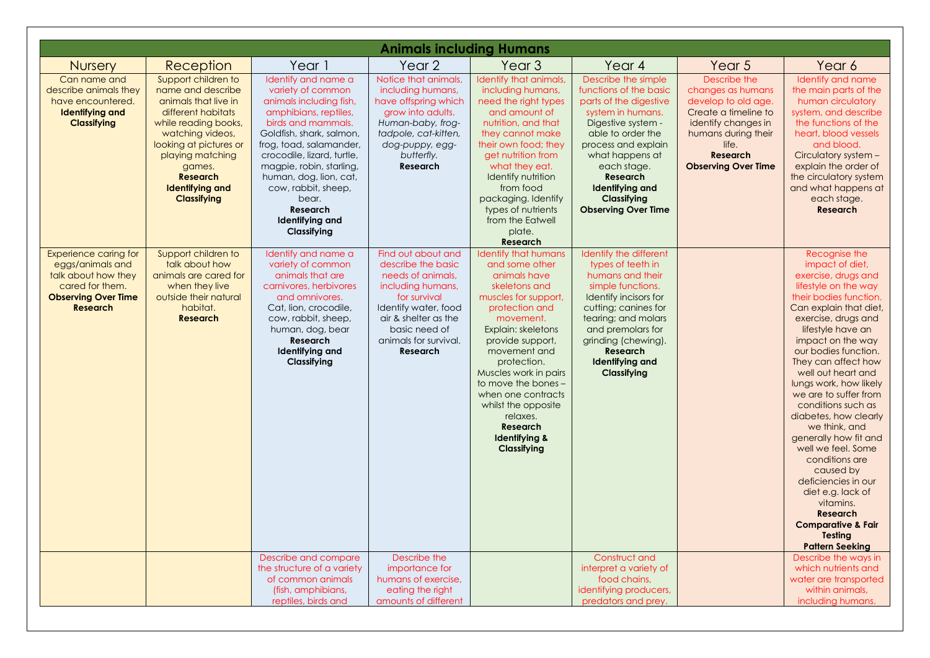|                                                                                                                                             |                                                                                                                                                                                                                                                               |                                                                                                                                                                                                                                                                                                                                                    | <b>Animals including Humans</b>                                                                                                                                                                                 |                                                                                                                                                                                                                                                                                                                                                                            |                                                                                                                                                                                                                                                                                            |                                                                                                                                                                                          |                                                                                                                                                                                                                                                                                                                                                                                                                                                                                                                                                                                                                              |
|---------------------------------------------------------------------------------------------------------------------------------------------|---------------------------------------------------------------------------------------------------------------------------------------------------------------------------------------------------------------------------------------------------------------|----------------------------------------------------------------------------------------------------------------------------------------------------------------------------------------------------------------------------------------------------------------------------------------------------------------------------------------------------|-----------------------------------------------------------------------------------------------------------------------------------------------------------------------------------------------------------------|----------------------------------------------------------------------------------------------------------------------------------------------------------------------------------------------------------------------------------------------------------------------------------------------------------------------------------------------------------------------------|--------------------------------------------------------------------------------------------------------------------------------------------------------------------------------------------------------------------------------------------------------------------------------------------|------------------------------------------------------------------------------------------------------------------------------------------------------------------------------------------|------------------------------------------------------------------------------------------------------------------------------------------------------------------------------------------------------------------------------------------------------------------------------------------------------------------------------------------------------------------------------------------------------------------------------------------------------------------------------------------------------------------------------------------------------------------------------------------------------------------------------|
| <b>Nursery</b>                                                                                                                              | Reception                                                                                                                                                                                                                                                     | Year 1                                                                                                                                                                                                                                                                                                                                             | Year <sub>2</sub>                                                                                                                                                                                               | Year <sub>3</sub>                                                                                                                                                                                                                                                                                                                                                          | Year 4                                                                                                                                                                                                                                                                                     | Year 5                                                                                                                                                                                   | Year 6                                                                                                                                                                                                                                                                                                                                                                                                                                                                                                                                                                                                                       |
| Can name and<br>describe animals they<br>have encountered.<br><b>Identifying and</b><br><b>Classifying</b>                                  | Support children to<br>name and describe<br>animals that live in<br>different habitats<br>while reading books,<br>watching videos,<br>looking at pictures or<br>playing matching<br>games.<br><b>Research</b><br><b>Identifying and</b><br><b>Classifying</b> | Identify and name a<br>variety of common<br>animals including fish,<br>amphibians, reptiles,<br>birds and mammals.<br>Goldfish, shark, salmon,<br>frog, toad, salamander,<br>crocodile, lizard, turtle,<br>magpie, robin, starling,<br>human, dog, lion, cat,<br>cow, rabbit, sheep,<br>bear.<br><b>Research</b><br>Identifying and<br>Classifying | Notice that animals,<br>including humans,<br>have offspring which<br>grow into adults.<br>Human-baby, frog-<br>tadpole, cat-kitten,<br>dog-puppy, egg-<br>butterfly.<br><b>Research</b>                         | Identify that animals,<br>including humans,<br>need the right types<br>and amount of<br>nutrition, and that<br>they cannot make<br>their own food; they<br>get nutrition from<br>what they eat.<br>Identify nutrition<br>from food<br>packaging. Identify<br>types of nutrients<br>from the Eatwell<br>plate.<br>Research                                                  | Describe the simple<br>functions of the basic<br>parts of the digestive<br>system in humans.<br>Digestive system -<br>able to order the<br>process and explain<br>what happens at<br>each stage.<br><b>Research</b><br><b>Identifying and</b><br>Classifying<br><b>Observing Over Time</b> | Describe the<br>changes as humans<br>develop to old age.<br>Create a timeline to<br>identify changes in<br>humans during their<br>life.<br><b>Research</b><br><b>Observing Over Time</b> | Identify and name<br>the main parts of the<br>human circulatory<br>system, and describe<br>the functions of the<br>heart, blood vessels<br>and blood.<br>Circulatory system -<br>explain the order of<br>the circulatory system<br>and what happens at<br>each stage.<br><b>Research</b>                                                                                                                                                                                                                                                                                                                                     |
| <b>Experience caring for</b><br>eggs/animals and<br>talk about how they<br>cared for them.<br><b>Observing Over Time</b><br><b>Research</b> | Support children to<br>talk about how<br>animals are cared for<br>when they live<br>outside their natural<br>habitat.<br><b>Research</b>                                                                                                                      | Identify and name a<br>variety of common<br>animals that are<br>carnivores, herbivores<br>and omnivores.<br>Cat, lion, crocodile,<br>cow, rabbit, sheep,<br>human, dog, bear<br><b>Research</b><br>Identifying and<br>Classifying                                                                                                                  | Find out about and<br>describe the basic<br>needs of animals,<br>including humans,<br>for survival<br>Identify water, food<br>air & shelter as the<br>basic need of<br>animals for survival.<br><b>Research</b> | <b>Identify that humans</b><br>and some other<br>animals have<br>skeletons and<br>muscles for support,<br>protection and<br>movement.<br>Explain: skeletons<br>provide support,<br>movement and<br>protection.<br>Muscles work in pairs<br>to move the bones -<br>when one contracts<br>whilst the opposite<br>relaxes.<br><b>Research</b><br>Identifying &<br>Classifying | Identify the different<br>types of teeth in<br>humans and their<br>simple functions.<br>Identify incisors for<br>cutting; canines for<br>tearing; and molars<br>and premolars for<br>grinding (chewing).<br>Research<br>Identifying and<br>Classifying                                     |                                                                                                                                                                                          | Recognise the<br>impact of diet,<br>exercise, drugs and<br>lifestyle on the way<br>their bodies function.<br>Can explain that diet,<br>exercise, drugs and<br>lifestyle have an<br>impact on the way<br>our bodies function.<br>They can affect how<br>well out heart and<br>lungs work, how likely<br>we are to suffer from<br>conditions such as<br>diabetes, how clearly<br>we think, and<br>generally how fit and<br>well we feel. Some<br>conditions are<br>caused by<br>deficiencies in our<br>diet e.g. lack of<br>vitamins.<br><b>Research</b><br><b>Comparative &amp; Fair</b><br>Testing<br><b>Pattern Seeking</b> |
|                                                                                                                                             |                                                                                                                                                                                                                                                               | Describe and compare<br>the structure of a variety                                                                                                                                                                                                                                                                                                 | Describe the<br>importance for                                                                                                                                                                                  |                                                                                                                                                                                                                                                                                                                                                                            | Construct and<br>interpret a variety of                                                                                                                                                                                                                                                    |                                                                                                                                                                                          | Describe the ways in<br>which nutrients and                                                                                                                                                                                                                                                                                                                                                                                                                                                                                                                                                                                  |
|                                                                                                                                             |                                                                                                                                                                                                                                                               | of common animals<br>(fish, amphibians,<br>reptiles, birds and                                                                                                                                                                                                                                                                                     | humans of exercise,<br>eating the right<br>amounts of different                                                                                                                                                 |                                                                                                                                                                                                                                                                                                                                                                            | food chains,<br>identifying producers,<br>predators and prey.                                                                                                                                                                                                                              |                                                                                                                                                                                          | water are transported<br>within animals,<br>including humans.                                                                                                                                                                                                                                                                                                                                                                                                                                                                                                                                                                |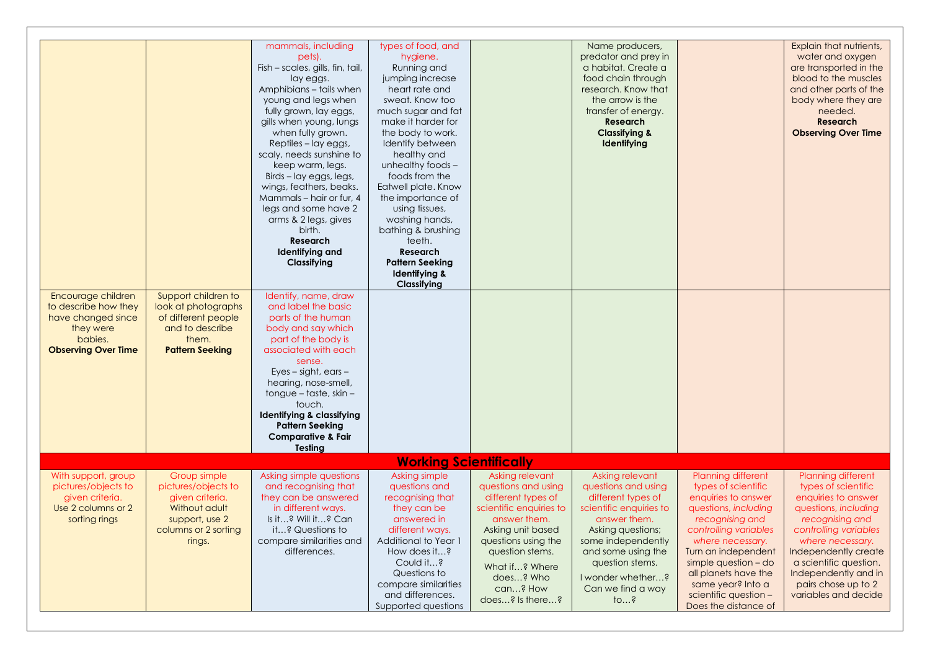|                                                                                                                        |                                                                                                                             | mammals, including<br>pets).<br>Fish - scales, gills, fin, tail,<br>lay eggs.<br>Amphibians - tails when<br>young and legs when<br>fully grown, lay eggs,<br>gills when young, lungs<br>when fully grown.<br>Reptiles - lay eggs,<br>scaly, needs sunshine to<br>keep warm, legs.<br>Birds - lay eggs, legs,<br>wings, feathers, beaks.<br>Mammals - hair or fur, 4<br>legs and some have 2<br>arms & 2 legs, gives<br>birth.<br><b>Research</b><br><b>Identifying and</b><br>Classifying | types of food, and<br>hygiene.<br>Running and<br>jumping increase<br>heart rate and<br>sweat. Know too<br>much sugar and fat<br>make it harder for<br>the body to work.<br>Identify between<br>healthy and<br>unhealthy foods -<br>foods from the<br>Eatwell plate. Know<br>the importance of<br>using tissues,<br>washing hands,<br>bathing & brushing<br>teeth.<br>Research<br><b>Pattern Seeking</b><br>Identifying &<br>Classifying |                                                                                                                                                                                                                                      | Name producers,<br>predator and prey in<br>a habitat. Create a<br>food chain through<br>research. Know that<br>the arrow is the<br>transfer of energy.<br><b>Research</b><br><b>Classifying &amp;</b><br>Identifying                         |                                                                                                                                                                                                                                                                                                       | Explain that nutrients,<br>water and oxygen<br>are transported in the<br>blood to the muscles<br>and other parts of the<br>body where they are<br>needed.<br><b>Research</b><br><b>Observing Over Time</b>                                                                        |
|------------------------------------------------------------------------------------------------------------------------|-----------------------------------------------------------------------------------------------------------------------------|-------------------------------------------------------------------------------------------------------------------------------------------------------------------------------------------------------------------------------------------------------------------------------------------------------------------------------------------------------------------------------------------------------------------------------------------------------------------------------------------|-----------------------------------------------------------------------------------------------------------------------------------------------------------------------------------------------------------------------------------------------------------------------------------------------------------------------------------------------------------------------------------------------------------------------------------------|--------------------------------------------------------------------------------------------------------------------------------------------------------------------------------------------------------------------------------------|----------------------------------------------------------------------------------------------------------------------------------------------------------------------------------------------------------------------------------------------|-------------------------------------------------------------------------------------------------------------------------------------------------------------------------------------------------------------------------------------------------------------------------------------------------------|-----------------------------------------------------------------------------------------------------------------------------------------------------------------------------------------------------------------------------------------------------------------------------------|
| Encourage children<br>to describe how they<br>have changed since<br>they were<br>babies.<br><b>Observing Over Time</b> | Support children to<br>look at photographs<br>of different people<br>and to describe<br>them.<br><b>Pattern Seeking</b>     | Identify, name, draw<br>and label the basic<br>parts of the human<br>body and say which<br>part of the body is<br>associated with each<br>sense.<br>$Eyes-sight, ears-$<br>hearing, nose-smell,<br>tongue – taste, skin –<br>touch.<br>Identifying & classifying<br><b>Pattern Seeking</b><br><b>Comparative &amp; Fair</b><br><b>Testing</b>                                                                                                                                             |                                                                                                                                                                                                                                                                                                                                                                                                                                         |                                                                                                                                                                                                                                      |                                                                                                                                                                                                                                              |                                                                                                                                                                                                                                                                                                       |                                                                                                                                                                                                                                                                                   |
|                                                                                                                        |                                                                                                                             |                                                                                                                                                                                                                                                                                                                                                                                                                                                                                           |                                                                                                                                                                                                                                                                                                                                                                                                                                         |                                                                                                                                                                                                                                      |                                                                                                                                                                                                                                              |                                                                                                                                                                                                                                                                                                       |                                                                                                                                                                                                                                                                                   |
| With support, group<br>pictures/objects to<br>given criteria.<br>Use 2 columns or 2<br>sorting rings                   | Group simple<br>pictures/objects to<br>given criteria.<br>Without adult<br>support, use 2<br>columns or 2 sorting<br>rings. | Asking simple questions<br>and recognising that<br>they can be answered<br>in different ways.<br>Is it? Will it? Can<br>it? Questions to<br>compare similarities and<br>differences.                                                                                                                                                                                                                                                                                                      | <b>Working Scientifically</b><br>Asking simple<br>questions and<br>recognising that<br>they can be<br>answered in<br>different ways.<br>Additional to Year 1<br>How does it?<br>Could it?<br>Questions to<br>compare similarities<br>and differences.<br>Supported questions                                                                                                                                                            | Asking relevant<br>questions and using<br>different types of<br>scientific enquiries to<br>answer them.<br>Asking unit based<br>questions using the<br>question stems.<br>What if? Where<br>does? Who<br>can? How<br>does? Is there? | Asking relevant<br>questions and using<br>different types of<br>scientific enquiries to<br>answer them.<br>Asking questions;<br>some independently<br>and some using the<br>question stems.<br>I wonder whether?<br>Can we find a way<br>108 | Planning different<br>types of scientific<br>enquiries to answer<br>questions, including<br>recognising and<br>controlling variables<br>where necessary.<br>Turn an independent<br>simple question - do<br>all planets have the<br>same year? Into a<br>scientific question -<br>Does the distance of | Planning different<br>types of scientific<br>enquiries to answer<br>questions, including<br>recognising and<br>controlling variables<br>where necessary.<br>Independently create<br>a scientific question.<br>Independently and in<br>pairs chose up to 2<br>variables and decide |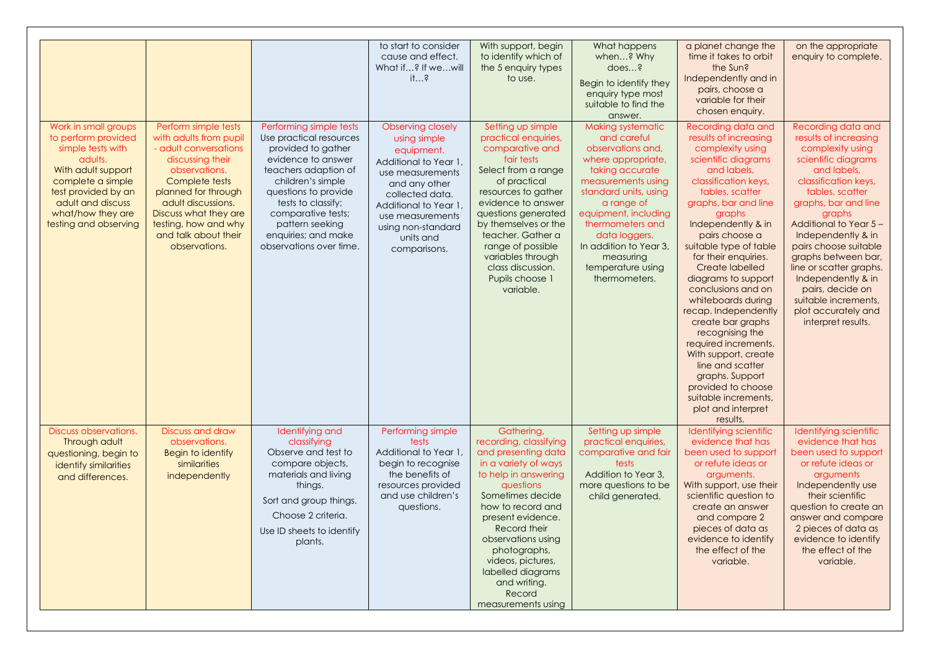| Work in small groups                                                                                                                                                                     | Perform simple tests                                                                                                                                                                                                                          | Performing simple tests                                                                                                                                                                                                                                   | to start to consider<br>cause and effect.<br>What if? If wewill<br>$it$ ?<br><b>Observing closely</b>                                                                                                      | With support, begin<br>to identify which of<br>the 5 enquiry types<br>to use.<br>Setting up simple                                                                                                                                                                                                                                     | What happens<br>when? Why<br>does?<br>Begin to identify they<br>enquiry type most<br>suitable to find the<br>answer.<br><b>Making systematic</b>                                                                                                                                 | a planet change the<br>time it takes to orbit<br>the Sun?<br>Independently and in<br>pairs, choose a<br>variable for their<br>chosen enquiry.<br>Recording data and                                                                                                                                                                                                                                                                                                                                                                                                                 | on the appropriate<br>enquiry to complete.<br>Recording data and                                                                                                                                                                                                                                                                                                                                       |
|------------------------------------------------------------------------------------------------------------------------------------------------------------------------------------------|-----------------------------------------------------------------------------------------------------------------------------------------------------------------------------------------------------------------------------------------------|-----------------------------------------------------------------------------------------------------------------------------------------------------------------------------------------------------------------------------------------------------------|------------------------------------------------------------------------------------------------------------------------------------------------------------------------------------------------------------|----------------------------------------------------------------------------------------------------------------------------------------------------------------------------------------------------------------------------------------------------------------------------------------------------------------------------------------|----------------------------------------------------------------------------------------------------------------------------------------------------------------------------------------------------------------------------------------------------------------------------------|-------------------------------------------------------------------------------------------------------------------------------------------------------------------------------------------------------------------------------------------------------------------------------------------------------------------------------------------------------------------------------------------------------------------------------------------------------------------------------------------------------------------------------------------------------------------------------------|--------------------------------------------------------------------------------------------------------------------------------------------------------------------------------------------------------------------------------------------------------------------------------------------------------------------------------------------------------------------------------------------------------|
| to perform provided<br>simple tests with<br>adults.<br>With adult support<br>complete a simple<br>test provided by an<br>adult and discuss<br>what/how they are<br>testing and observing | with adults from pupil<br>- adult conversations<br>discussing their<br>observations.<br>Complete tests<br>planned for through<br>adult discussions.<br>Discuss what they are<br>testing, how and why<br>and talk about their<br>observations. | Use practical resources<br>provided to gather<br>evidence to answer<br>teachers adaption of<br>children's simple<br>questions to provide<br>tests to classify;<br>comparative tests;<br>pattern seeking<br>enquiries; and make<br>observations over time. | using simple<br>equipment.<br>Additional to Year 1,<br>use measurements<br>and any other<br>collected data.<br>Additional to Year 1<br>use measurements<br>using non-standard<br>units and<br>comparisons. | practical enquiries,<br>comparative and<br>fair tests<br>Select from a range<br>of practical<br>resources to gather<br>evidence to answer<br>questions generated<br>by themselves or the<br>teacher. Gather a<br>range of possible<br>variables through<br>class discussion.<br>Pupils choose 1<br>variable.                           | and careful<br>observations and,<br>where appropriate,<br>taking accurate<br>measurements using<br>standard units, using<br>a range of<br>equipment, including<br>thermometers and<br>data loggers.<br>In addition to Year 3,<br>measuring<br>temperature using<br>thermometers. | results of increasing<br>complexity using<br>scientific diagrams<br>and labels,<br>classification keys,<br>tables, scatter<br>graphs, bar and line<br>graphs<br>Independently & in<br>pairs choose a<br>suitable type of table<br>for their enquiries.<br>Create labelled<br>diagrams to support<br>conclusions and on<br>whiteboards during<br>recap. Independently<br>create bar graphs<br>recognising the<br>required increments.<br>With support, create<br>line and scatter<br>graphs. Support<br>provided to choose<br>suitable increments,<br>plot and interpret<br>results. | results of increasing<br>complexity using<br>scientific diagrams<br>and labels,<br>classification keys,<br>tables, scatter<br>graphs, bar and line<br>graphs<br>Additional to Year 5 -<br>Independently & in<br>pairs choose suitable<br>graphs between bar,<br>line or scatter graphs.<br>Independently & in<br>pairs, decide on<br>suitable increments,<br>plot accurately and<br>interpret results. |
| Discuss observations.<br>Through adult<br>questioning, begin to<br>identify similarities<br>and differences.                                                                             | Discuss and draw<br>observations.<br>Begin to identify<br>similarities<br>independently                                                                                                                                                       | Identifying and<br>classifying<br>Observe and test to<br>compare objects,<br>materials and living<br>things.<br>Sort and group things.<br>Choose 2 criteria.<br>Use ID sheets to identify<br>plants.                                                      | Performing simple<br>tests<br>Additional to Year 1,<br>begin to recognise<br>the benefits of<br>resources provided<br>and use children's<br>questions.                                                     | Gathering,<br>recording, classifying<br>and presenting data<br>in a variety of ways<br>to help in answering<br>questions<br>Sometimes decide<br>how to record and<br>present evidence.<br>Record their<br>observations using<br>photographs,<br>videos, pictures,<br>labelled diagrams<br>and writing.<br>Record<br>measurements using | Setting up simple<br>practical enquiries,<br>comparative and fair<br>tests<br>Addition to Year 3,<br>more questions to be<br>child generated.                                                                                                                                    | Identifying scientific<br>evidence that has<br>been used to support<br>or refute ideas or<br>arguments.<br>With support, use their<br>scientific question to<br>create an answer<br>and compare 2<br>pieces of data as<br>evidence to identify<br>the effect of the<br>variable.                                                                                                                                                                                                                                                                                                    | Identifying scientific<br>evidence that has<br>been used to support<br>or refute ideas or<br>arguments<br>Independently use<br>their scientific<br>question to create an<br>answer and compare<br>2 pieces of data as<br>evidence to identify<br>the effect of the<br>variable.                                                                                                                        |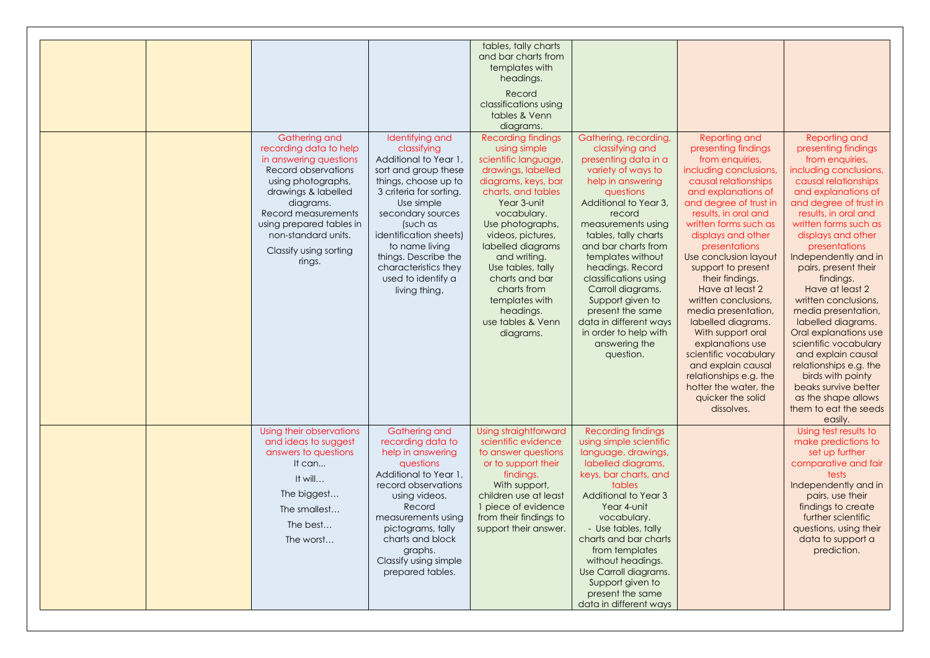| Gathering and<br>recording data to help<br>in answering questions<br>Record observations<br>using photographs,<br>drawings & labelled<br>diagrams.<br>Record measurements<br>using prepared tables in<br>non-standard units.<br>Classify using sorting<br>rings. | Identifying and<br>classifying<br>Additional to Year 1<br>sort and group these<br>things, choose up to<br>3 criteria for sorting.<br>Use simple<br>secondary sources<br>(such as<br><i>identification sheets)</i><br>to name living<br>things. Describe the<br>characteristics they<br>used to identify a<br>living thing. | tables, tally charts<br>and bar charts from<br>templates with<br>headings.<br>Record<br>classifications using<br>tables & Venn<br>diagrams.<br><b>Recording findings</b><br>using simple<br>scientific language,<br>drawings, labelled<br>diagrams, keys, bar<br>charts, and tables<br>Year 3-unit<br>vocabulary.<br>Use photographs,<br>videos, pictures,<br>labelled diagrams<br>and writing.<br>Use tables, tally<br>charts and bar<br>charts from<br>templates with<br>headings.<br>use tables & Venn<br>diagrams. | Gathering, recording,<br>classifying and<br>presenting data in a<br>variety of ways to<br>help in answering<br>questions<br>Additional to Year 3,<br>record<br>measurements using<br>tables, tally charts<br>and bar charts from<br>templates without<br>headings. Record<br>classifications using<br>Carroll diagrams.<br>Support given to<br>present the same<br>data in different ways<br>in order to help with<br>answering the<br>question. | Reporting and<br>presenting findings<br>from enquiries,<br>including conclusions,<br>causal relationships<br>and explanations of<br>and degree of trust in<br>results, in oral and<br>written forms such as<br>displays and other<br>presentations<br>Use conclusion layout<br>support to present<br>their findings.<br>Have at least 2<br>written conclusions,<br>media presentation,<br>labelled diagrams.<br>With support oral<br>explanations use<br>scientific vocabulary<br>and explain causal<br>relationships e.g. the | Reporting and<br>presenting findings<br>from enquiries,<br>including conclusions,<br>causal relationships<br>and explanations of<br>and degree of trust in<br>results, in oral and<br>written forms such as<br>displays and other<br>presentations<br>Independently and in<br>pairs, present their<br>findings.<br>Have at least 2<br>written conclusions,<br>media presentation,<br>labelled diagrams.<br>Oral explanations use<br>scientific vocabulary<br>and explain causal<br>relationships e.g. the<br>birds with pointy |
|------------------------------------------------------------------------------------------------------------------------------------------------------------------------------------------------------------------------------------------------------------------|----------------------------------------------------------------------------------------------------------------------------------------------------------------------------------------------------------------------------------------------------------------------------------------------------------------------------|------------------------------------------------------------------------------------------------------------------------------------------------------------------------------------------------------------------------------------------------------------------------------------------------------------------------------------------------------------------------------------------------------------------------------------------------------------------------------------------------------------------------|--------------------------------------------------------------------------------------------------------------------------------------------------------------------------------------------------------------------------------------------------------------------------------------------------------------------------------------------------------------------------------------------------------------------------------------------------|--------------------------------------------------------------------------------------------------------------------------------------------------------------------------------------------------------------------------------------------------------------------------------------------------------------------------------------------------------------------------------------------------------------------------------------------------------------------------------------------------------------------------------|--------------------------------------------------------------------------------------------------------------------------------------------------------------------------------------------------------------------------------------------------------------------------------------------------------------------------------------------------------------------------------------------------------------------------------------------------------------------------------------------------------------------------------|
| Using their observations<br>and ideas to suggest<br>answers to questions<br>It can<br>It will<br>The biggest<br>The smallest<br>The best<br>The worst                                                                                                            | <b>Gathering and</b><br>recording data to<br>help in answering<br>questions<br>Additional to Year 1.<br>record observations<br>using videos.<br>Record<br>measurements using<br>pictograms, tally<br>charts and block<br>graphs.<br>Classify using simple<br>prepared tables.                                              | Using straightforward<br>scientific evidence<br>to answer questions<br>or to support their<br>findings.<br>With support,<br>children use at least<br>1 piece of evidence<br>from their findings to<br>support their answer.                                                                                                                                                                                                                                                                                            | <b>Recording findings</b><br>using simple scientific<br>language, drawings,<br>labelled diagrams,<br>keys, bar charts, and<br>tables<br>Additional to Year 3<br>Year 4-unit<br>vocabulary.<br>- Use tables, tally<br>charts and bar charts<br>from templates<br>without headings.<br>Use Carroll diagrams.<br>Support given to<br>present the same<br>data in different ways                                                                     | hotter the water, the<br>quicker the solid<br>dissolves.                                                                                                                                                                                                                                                                                                                                                                                                                                                                       | beaks survive better<br>as the shape allows<br>them to eat the seeds<br>easily.<br>Using test results to<br>make predictions to<br>set up further<br>comparative and fair<br>tests<br>Independently and in<br>pairs, use their<br>findings to create<br>further scientific<br>questions, using their<br>data to support a<br>prediction.                                                                                                                                                                                       |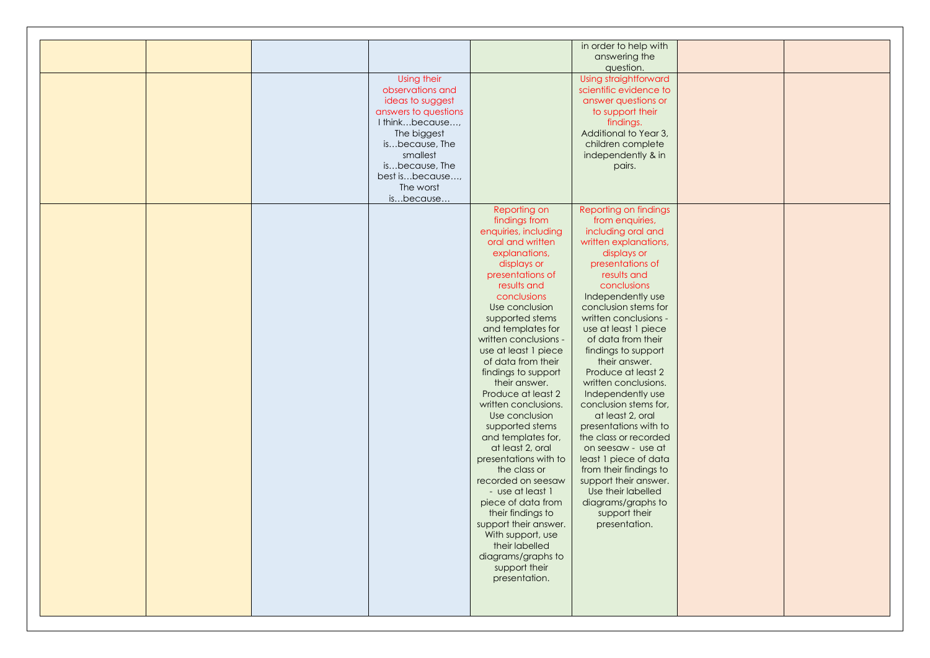|  |                      |                       | in order to help with  |  |
|--|----------------------|-----------------------|------------------------|--|
|  |                      |                       | answering the          |  |
|  |                      |                       | question.              |  |
|  | Using their          |                       | Using straightforward  |  |
|  | observations and     |                       | scientific evidence to |  |
|  | ideas to suggest     |                       | answer questions or    |  |
|  | answers to questions |                       | to support their       |  |
|  | I thinkbecause,      |                       |                        |  |
|  |                      |                       | findings.              |  |
|  | The biggest          |                       | Additional to Year 3,  |  |
|  | isbecause, The       |                       | children complete      |  |
|  | smallest             |                       | independently & in     |  |
|  | isbecause, The       |                       | pairs.                 |  |
|  | best isbecause,      |                       |                        |  |
|  | The worst            |                       |                        |  |
|  | isbecause            |                       |                        |  |
|  |                      | Reporting on          | Reporting on findings  |  |
|  |                      | findings from         | from enquiries,        |  |
|  |                      | enquiries, including  | including oral and     |  |
|  |                      | oral and written      | written explanations,  |  |
|  |                      | explanations,         |                        |  |
|  |                      |                       | displays or            |  |
|  |                      | displays or           | presentations of       |  |
|  |                      | presentations of      | results and            |  |
|  |                      | results and           | conclusions            |  |
|  |                      | conclusions           | Independently use      |  |
|  |                      | Use conclusion        | conclusion stems for   |  |
|  |                      | supported stems       | written conclusions -  |  |
|  |                      | and templates for     | use at least 1 piece   |  |
|  |                      | written conclusions - | of data from their     |  |
|  |                      | use at least 1 piece  | findings to support    |  |
|  |                      | of data from their    | their answer.          |  |
|  |                      | findings to support   | Produce at least 2     |  |
|  |                      | their answer.         | written conclusions.   |  |
|  |                      | Produce at least 2    | Independently use      |  |
|  |                      | written conclusions.  | conclusion stems for,  |  |
|  |                      |                       |                        |  |
|  |                      | Use conclusion        | at least 2, oral       |  |
|  |                      | supported stems       | presentations with to  |  |
|  |                      | and templates for,    | the class or recorded  |  |
|  |                      | at least 2, oral      | on seesaw - use at     |  |
|  |                      | presentations with to | least 1 piece of data  |  |
|  |                      | the class or          | from their findings to |  |
|  |                      | recorded on seesaw    | support their answer.  |  |
|  |                      | - use at least 1      | Use their labelled     |  |
|  |                      | piece of data from    | diagrams/graphs to     |  |
|  |                      | their findings to     | support their          |  |
|  |                      | support their answer. | presentation.          |  |
|  |                      | With support, use     |                        |  |
|  |                      | their labelled        |                        |  |
|  |                      |                       |                        |  |
|  |                      | diagrams/graphs to    |                        |  |
|  |                      | support their         |                        |  |
|  |                      | presentation.         |                        |  |
|  |                      |                       |                        |  |
|  |                      |                       |                        |  |
|  |                      |                       |                        |  |
|  |                      |                       |                        |  |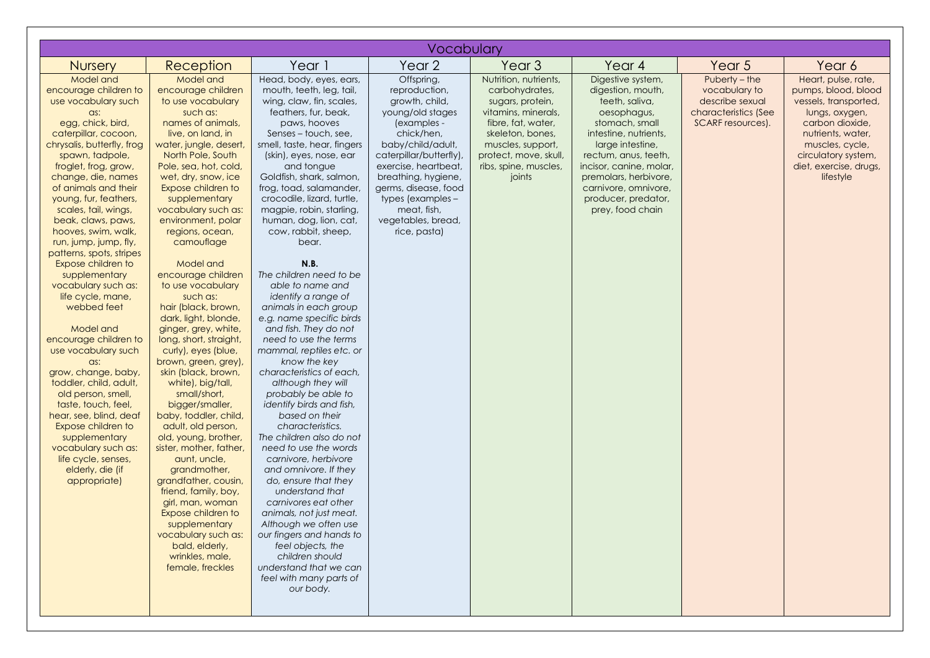|                                                                                                                                                                                                                                                                                                                                                                                                                                                                                                                                                                                                                                                                                                                                                                                                                        |                                                                                                                                                                                                                                                                                                                                                                                                                                                                                                                                                                                                                                                                                                                                                                                                                                                                                                                                                                |                                                                                                                                                                                                                                                                                                                                                                                                                                                                                                                                                                                                                                                                                                                                                                                                                                                                                                                                                                                                                                                                                                                                      | Vocabulary                                                                                                                                                                                                                                                                                      |                                                                                                                                                                                                               |                                                                                                                                                                                                                                                                                       |                                                                                                |                                                                                                                                                                                                                |
|------------------------------------------------------------------------------------------------------------------------------------------------------------------------------------------------------------------------------------------------------------------------------------------------------------------------------------------------------------------------------------------------------------------------------------------------------------------------------------------------------------------------------------------------------------------------------------------------------------------------------------------------------------------------------------------------------------------------------------------------------------------------------------------------------------------------|----------------------------------------------------------------------------------------------------------------------------------------------------------------------------------------------------------------------------------------------------------------------------------------------------------------------------------------------------------------------------------------------------------------------------------------------------------------------------------------------------------------------------------------------------------------------------------------------------------------------------------------------------------------------------------------------------------------------------------------------------------------------------------------------------------------------------------------------------------------------------------------------------------------------------------------------------------------|--------------------------------------------------------------------------------------------------------------------------------------------------------------------------------------------------------------------------------------------------------------------------------------------------------------------------------------------------------------------------------------------------------------------------------------------------------------------------------------------------------------------------------------------------------------------------------------------------------------------------------------------------------------------------------------------------------------------------------------------------------------------------------------------------------------------------------------------------------------------------------------------------------------------------------------------------------------------------------------------------------------------------------------------------------------------------------------------------------------------------------------|-------------------------------------------------------------------------------------------------------------------------------------------------------------------------------------------------------------------------------------------------------------------------------------------------|---------------------------------------------------------------------------------------------------------------------------------------------------------------------------------------------------------------|---------------------------------------------------------------------------------------------------------------------------------------------------------------------------------------------------------------------------------------------------------------------------------------|------------------------------------------------------------------------------------------------|----------------------------------------------------------------------------------------------------------------------------------------------------------------------------------------------------------------|
| <b>Nursery</b>                                                                                                                                                                                                                                                                                                                                                                                                                                                                                                                                                                                                                                                                                                                                                                                                         | Reception                                                                                                                                                                                                                                                                                                                                                                                                                                                                                                                                                                                                                                                                                                                                                                                                                                                                                                                                                      | Year 1                                                                                                                                                                                                                                                                                                                                                                                                                                                                                                                                                                                                                                                                                                                                                                                                                                                                                                                                                                                                                                                                                                                               | Year 2                                                                                                                                                                                                                                                                                          | Year <sub>3</sub>                                                                                                                                                                                             | Year 4                                                                                                                                                                                                                                                                                | Year <sub>5</sub>                                                                              | Year 6                                                                                                                                                                                                         |
| Model and<br>encourage children to<br>use vocabulary such<br>$\alpha$ s:<br>egg, chick, bird,<br>caterpillar, cocoon,<br>chrysalis, butterfly, frog<br>spawn, tadpole,<br>froglet, frog, grow,<br>change, die, names<br>of animals and their<br>young, fur, feathers,<br>scales, tail, wings,<br>beak, claws, paws,<br>hooves, swim, walk,<br>run, jump, jump, fly,<br>patterns, spots, stripes<br>Expose children to<br>supplementary<br>vocabulary such as:<br>life cycle, mane,<br>webbed feet<br>Model and<br>encourage children to<br>use vocabulary such<br>as:<br>grow, change, baby,<br>toddler, child, adult,<br>old person, smell,<br>taste, touch, feel,<br>hear, see, blind, deaf<br>Expose children to<br>supplementary<br>vocabulary such as:<br>life cycle, senses,<br>elderly, die (if<br>appropriate) | Model and<br>encourage children<br>to use vocabulary<br>such as:<br>names of animals,<br>live, on land, in<br>water, jungle, desert,<br>North Pole, South<br>Pole, sea, hot, cold,<br>wet, dry, snow, ice<br>Expose children to<br>supplementary<br>vocabulary such as:<br>environment, polar<br>regions, ocean,<br>camouflage<br>Model and<br>encourage children<br>to use vocabulary<br>such as:<br>hair (black, brown,<br>dark, light, blonde,<br>ginger, grey, white,<br>long, short, straight,<br>curly), eyes (blue,<br>brown, green, grey),<br>skin (black, brown,<br>white), big/tall,<br>small/short,<br>bigger/smaller,<br>baby, toddler, child,<br>adult, old person,<br>old, young, brother,<br>sister, mother, father,<br>aunt, uncle,<br>grandmother,<br>grandfather, cousin,<br>friend, family, boy,<br>girl, man, woman<br>Expose children to<br>supplementary<br>vocabulary such as:<br>bald, elderly,<br>wrinkles, male,<br>female, freckles | Head, body, eyes, ears,<br>mouth, teeth, leg, tail,<br>wing, claw, fin, scales,<br>feathers, fur, beak,<br>paws, hooves<br>Senses – touch, see,<br>smell, taste, hear, fingers<br>(skin), eyes, nose, ear<br>and tongue<br>Goldfish, shark, salmon,<br>frog, toad, salamander,<br>crocodile, lizard, turtle,<br>magpie, robin, starling,<br>human, dog, lion, cat,<br>cow, rabbit, sheep,<br>bear.<br>N.B.<br>The children need to be<br>able to name and<br>identify a range of<br>animals in each group<br>e.g. name specific birds<br>and fish. They do not<br>need to use the terms<br>mammal, reptiles etc. or<br>know the key<br>characteristics of each,<br>although they will<br>probably be able to<br>identify birds and fish,<br>based on their<br>characteristics.<br>The children also do not<br>need to use the words<br>carnivore, herbivore<br>and omnivore. If they<br>do, ensure that they<br>understand that<br>carnivores eat other<br>animals, not just meat.<br>Although we often use<br>our fingers and hands to<br>feel objects, the<br>children should<br>understand that we can<br>feel with many parts of | Offspring,<br>reproduction,<br>growth, child,<br>young/old stages<br>(examples -<br>chick/hen,<br>baby/child/adult,<br>caterpillar/butterfly),<br>exercise, heartbeat,<br>breathing, hygiene,<br>germs, disease, food<br>types (examples -<br>meat, fish,<br>vegetables, bread,<br>rice, pasta) | Nutrition, nutrients,<br>carbohydrates,<br>sugars, protein,<br>vitamins, minerals,<br>fibre, fat, water,<br>skeleton, bones,<br>muscles, support,<br>protect, move, skull,<br>ribs, spine, muscles,<br>joints | Digestive system,<br>digestion, mouth,<br>teeth, saliva,<br>oesophagus,<br>stomach, small<br>intestine, nutrients,<br>large intestine,<br>rectum, anus, teeth,<br>incisor, canine, molar,<br>premolars, herbivore,<br>carnivore, omnivore,<br>producer, predator,<br>prey, food chain | Puberty – the<br>vocabulary to<br>describe sexual<br>characteristics (See<br>SCARF resources). | Heart, pulse, rate,<br>pumps, blood, blood<br>vessels, transported,<br>lungs, oxygen,<br>carbon dioxide,<br>nutrients, water,<br>muscles, cycle,<br>circulatory system,<br>diet, exercise, drugs,<br>lifestyle |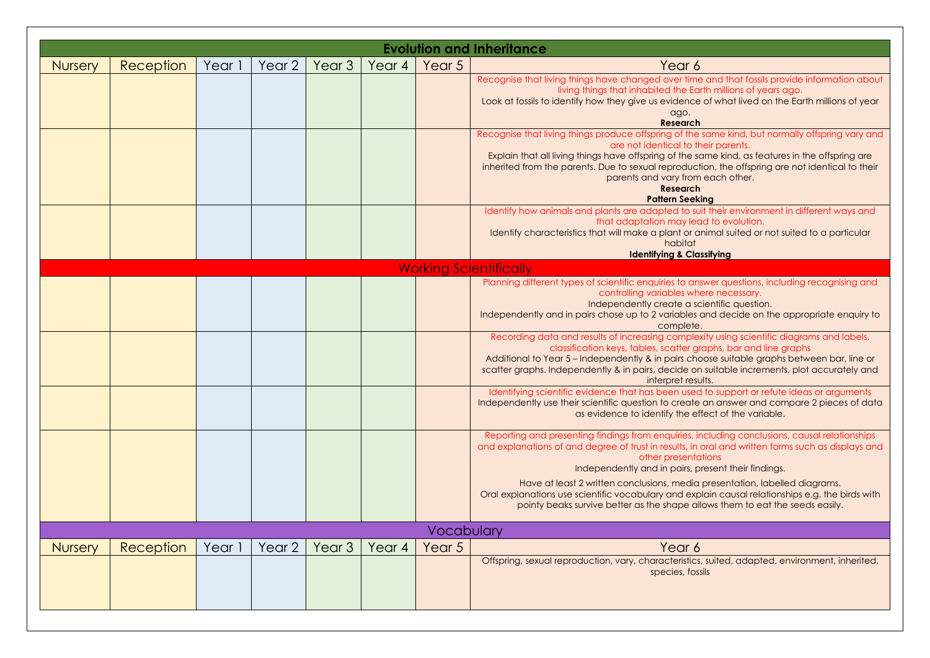|                |           |        |        |                   |        |            | <b>Evolution and Inheritance</b>                                                                                                                                                                                  |
|----------------|-----------|--------|--------|-------------------|--------|------------|-------------------------------------------------------------------------------------------------------------------------------------------------------------------------------------------------------------------|
| <b>Nursery</b> | Reception | Year 1 | Year 2 | Year <sub>3</sub> | Year 4 | Year 5     | Year 6                                                                                                                                                                                                            |
|                |           |        |        |                   |        |            | Recognise that living things have changed over time and that fossils provide information about                                                                                                                    |
|                |           |        |        |                   |        |            | living things that inhabited the Earth millions of years ago.<br>Look at fossils to identify how they give us evidence of what lived on the Earth millions of year                                                |
|                |           |        |        |                   |        |            | ago.<br><b>Research</b>                                                                                                                                                                                           |
|                |           |        |        |                   |        |            | Recognise that living things produce offspring of the same kind, but normally offspring vary and<br>are not identical to their parents.                                                                           |
|                |           |        |        |                   |        |            | Explain that all living things have offspring of the same kind, as features in the offspring are                                                                                                                  |
|                |           |        |        |                   |        |            | inherited from the parents. Due to sexual reproduction, the offspring are not identical to their<br>parents and vary from each other.                                                                             |
|                |           |        |        |                   |        |            | <b>Research</b><br><b>Pattern Seeking</b>                                                                                                                                                                         |
|                |           |        |        |                   |        |            | Identify how animals and plants are adapted to suit their environment in different ways and                                                                                                                       |
|                |           |        |        |                   |        |            | that adaptation may lead to evolution.<br>Identify characteristics that will make a plant or animal suited or not suited to a particular                                                                          |
|                |           |        |        |                   |        |            | habitat                                                                                                                                                                                                           |
|                |           |        |        |                   |        |            | <b>Identifying &amp; Classifying</b><br><b>Working Scientifically</b>                                                                                                                                             |
|                |           |        |        |                   |        |            | Planning different types of scientific enquiries to answer questions, including recognising and                                                                                                                   |
|                |           |        |        |                   |        |            | controlling variables where necessary.<br>Independently create a scientific question.                                                                                                                             |
|                |           |        |        |                   |        |            | Independently and in pairs chose up to 2 variables and decide on the appropriate enquiry to                                                                                                                       |
|                |           |        |        |                   |        |            | complete.<br>Recording data and results of increasing complexity using scientific diagrams and labels,                                                                                                            |
|                |           |        |        |                   |        |            | classification keys, tables, scatter graphs, bar and line graphs                                                                                                                                                  |
|                |           |        |        |                   |        |            | Additional to Year 5 - Independently & in pairs choose suitable graphs between bar, line or<br>scatter graphs. Independently & in pairs, decide on suitable increments, plot accurately and<br>interpret results. |
|                |           |        |        |                   |        |            | Identifying scientific evidence that has been used to support or refute ideas or arguments                                                                                                                        |
|                |           |        |        |                   |        |            | Independently use their scientific question to create an answer and compare 2 pieces of data<br>as evidence to identify the effect of the variable.                                                               |
|                |           |        |        |                   |        |            | Reporting and presenting findings from enquiries, including conclusions, causal relationships<br>and explanations of and degree of trust in results, in oral and written forms such as displays and               |
|                |           |        |        |                   |        |            | other presentations                                                                                                                                                                                               |
|                |           |        |        |                   |        |            | Independently and in pairs, present their findings.                                                                                                                                                               |
|                |           |        |        |                   |        |            | Have at least 2 written conclusions, media presentation, labelled diagrams.<br>Oral explanations use scientific vocabulary and explain causal relationships e.g. the birds with                                   |
|                |           |        |        |                   |        |            | pointy beaks survive better as the shape allows them to eat the seeds easily.                                                                                                                                     |
|                |           |        |        |                   |        | Vocabulary |                                                                                                                                                                                                                   |
| <b>Nursery</b> | Reception | Year 1 | Year 2 | Year <sub>3</sub> | Year 4 | Year 5     | Year 6                                                                                                                                                                                                            |
|                |           |        |        |                   |        |            | Offspring, sexual reproduction, vary, characteristics, suited, adapted, environment, inherited,                                                                                                                   |
|                |           |        |        |                   |        |            | species, fossils                                                                                                                                                                                                  |
|                |           |        |        |                   |        |            |                                                                                                                                                                                                                   |
|                |           |        |        |                   |        |            |                                                                                                                                                                                                                   |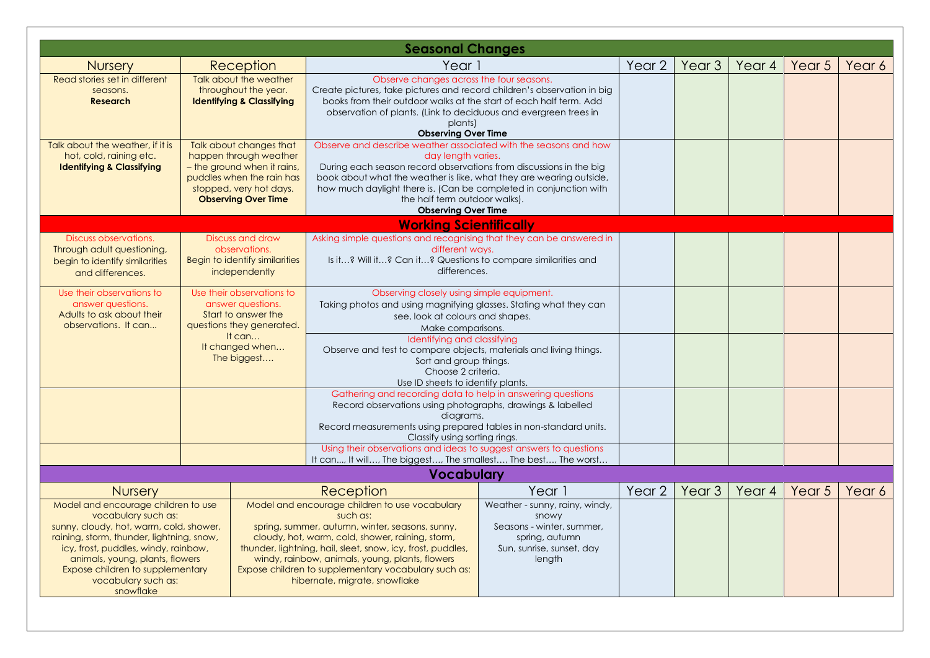|                                                                                                                                                                                                                                                                                                                         |                                                                                                                                 |                                                                                                                                                                                                                                                                                                                                                                                                                                                                                                                                      | <b>Seasonal Changes</b>                                                                                                                                                                                                                                                                                                                                                 |                   |                   |                   |        |        |        |
|-------------------------------------------------------------------------------------------------------------------------------------------------------------------------------------------------------------------------------------------------------------------------------------------------------------------------|---------------------------------------------------------------------------------------------------------------------------------|--------------------------------------------------------------------------------------------------------------------------------------------------------------------------------------------------------------------------------------------------------------------------------------------------------------------------------------------------------------------------------------------------------------------------------------------------------------------------------------------------------------------------------------|-------------------------------------------------------------------------------------------------------------------------------------------------------------------------------------------------------------------------------------------------------------------------------------------------------------------------------------------------------------------------|-------------------|-------------------|-------------------|--------|--------|--------|
| <b>Nursery</b>                                                                                                                                                                                                                                                                                                          |                                                                                                                                 | Reception                                                                                                                                                                                                                                                                                                                                                                                                                                                                                                                            | Year 1                                                                                                                                                                                                                                                                                                                                                                  |                   | Year 2            | Year <sub>3</sub> | Year 4 | Year 5 | Year 6 |
| Read stories set in different<br>seasons.<br><b>Research</b>                                                                                                                                                                                                                                                            |                                                                                                                                 | Talk about the weather<br>throughout the year.<br><b>Identifying &amp; Classifying</b>                                                                                                                                                                                                                                                                                                                                                                                                                                               | Observe changes across the four seasons.<br>Create pictures, take pictures and record children's observation in big<br>books from their outdoor walks at the start of each half term. Add<br>observation of plants. (Link to deciduous and evergreen trees in<br>plants)<br><b>Observing Over Time</b>                                                                  |                   |                   |                   |        |        |        |
| Talk about the weather, if it is<br>hot, cold, raining etc.<br><b>Identifying &amp; Classifying</b>                                                                                                                                                                                                                     |                                                                                                                                 | Talk about changes that<br>happen through weather<br>- the ground when it rains,<br>puddles when the rain has<br>stopped, very hot days.<br><b>Observing Over Time</b>                                                                                                                                                                                                                                                                                                                                                               | Observe and describe weather associated with the seasons and how<br>day length varies.<br>During each season record observations from discussions in the big<br>book about what the weather is like, what they are wearing outside,<br>how much daylight there is. (Can be completed in conjunction with<br>the half term outdoor walks).<br><b>Observing Over Time</b> |                   |                   |                   |        |        |        |
|                                                                                                                                                                                                                                                                                                                         |                                                                                                                                 |                                                                                                                                                                                                                                                                                                                                                                                                                                                                                                                                      | <b>Working Scientifically</b>                                                                                                                                                                                                                                                                                                                                           |                   |                   |                   |        |        |        |
| Discuss observations.<br>Through adult questioning,<br>begin to identify similarities<br>and differences.                                                                                                                                                                                                               |                                                                                                                                 | Discuss and draw<br>observations.<br>Begin to identify similarities<br>independently                                                                                                                                                                                                                                                                                                                                                                                                                                                 | Asking simple questions and recognising that they can be answered in<br>different ways.<br>Is it? Will it? Can it? Questions to compare similarities and<br>differences.                                                                                                                                                                                                |                   |                   |                   |        |        |        |
| Use their observations to<br>answer questions.<br>Adults to ask about their<br>observations. It can                                                                                                                                                                                                                     | Use their observations to<br>answer questions.<br>Start to answer the<br>questions they generated.<br>It can<br>It changed when |                                                                                                                                                                                                                                                                                                                                                                                                                                                                                                                                      | Observing closely using simple equipment.<br>Taking photos and using magnifying glasses. Stating what they can<br>see, look at colours and shapes.<br>Make comparisons.<br>Identifying and classifying                                                                                                                                                                  |                   |                   |                   |        |        |        |
|                                                                                                                                                                                                                                                                                                                         |                                                                                                                                 | The biggest                                                                                                                                                                                                                                                                                                                                                                                                                                                                                                                          | Observe and test to compare objects, materials and living things.<br>Sort and group things.<br>Choose 2 criteria.<br>Use ID sheets to identify plants.                                                                                                                                                                                                                  |                   |                   |                   |        |        |        |
|                                                                                                                                                                                                                                                                                                                         |                                                                                                                                 |                                                                                                                                                                                                                                                                                                                                                                                                                                                                                                                                      | Gathering and recording data to help in answering questions<br>Record observations using photographs, drawings & labelled<br>diagrams.<br>Record measurements using prepared tables in non-standard units.<br>Classify using sorting rings.                                                                                                                             |                   |                   |                   |        |        |        |
|                                                                                                                                                                                                                                                                                                                         |                                                                                                                                 |                                                                                                                                                                                                                                                                                                                                                                                                                                                                                                                                      | Using their observations and ideas to suggest answers to questions                                                                                                                                                                                                                                                                                                      |                   |                   |                   |        |        |        |
|                                                                                                                                                                                                                                                                                                                         |                                                                                                                                 |                                                                                                                                                                                                                                                                                                                                                                                                                                                                                                                                      | It can, It will, The biggest, The smallest, The best, The worst<br><b>Vocabulary</b>                                                                                                                                                                                                                                                                                    |                   |                   |                   |        |        |        |
|                                                                                                                                                                                                                                                                                                                         |                                                                                                                                 |                                                                                                                                                                                                                                                                                                                                                                                                                                                                                                                                      |                                                                                                                                                                                                                                                                                                                                                                         |                   |                   |                   |        |        |        |
| <b>Nursery</b><br>Model and encourage children to use<br>vocabulary such as:<br>sunny, cloudy, hot, warm, cold, shower,<br>raining, storm, thunder, lightning, snow,<br>icy, frost, puddles, windy, rainbow,<br>animals, young, plants, flowers<br>Expose children to supplementary<br>vocabulary such as:<br>snowflake |                                                                                                                                 | Reception<br>Year 1<br>Model and encourage children to use vocabulary<br>Weather - sunny, rainy, windy,<br>such as:<br>snowy<br>spring, summer, autumn, winter, seasons, sunny,<br>Seasons - winter, summer,<br>cloudy, hot, warm, cold, shower, raining, storm,<br>spring, autumn<br>Sun, sunrise, sunset, day<br>thunder, lightning, hail, sleet, snow, icy, frost, puddles,<br>windy, rainbow, animals, young, plants, flowers<br>length<br>Expose children to supplementary vocabulary such as:<br>hibernate, migrate, snowflake |                                                                                                                                                                                                                                                                                                                                                                         | Year <sub>2</sub> | Year <sub>3</sub> | Year 4            | Year 5 | Year 6 |        |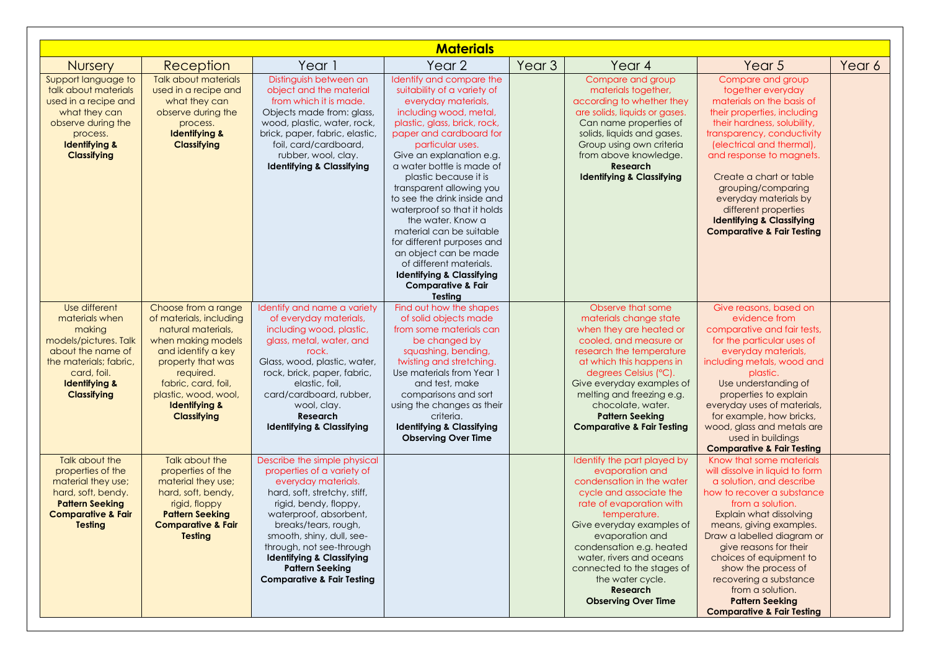|                                                                                                                                                                                    |                                                                                                                                                                                                                                                     |                                                                                                                                                                                                                                                                                                                                                                  | <b>Materials</b>                                                                                                                                                                                                                                                                                                                                                                                                                                                                                                                                                                           |                   |                                                                                                                                                                                                                                                                                                                                                        |                                                                                                                                                                                                                                                                                                                                                                                                                                                                     |        |
|------------------------------------------------------------------------------------------------------------------------------------------------------------------------------------|-----------------------------------------------------------------------------------------------------------------------------------------------------------------------------------------------------------------------------------------------------|------------------------------------------------------------------------------------------------------------------------------------------------------------------------------------------------------------------------------------------------------------------------------------------------------------------------------------------------------------------|--------------------------------------------------------------------------------------------------------------------------------------------------------------------------------------------------------------------------------------------------------------------------------------------------------------------------------------------------------------------------------------------------------------------------------------------------------------------------------------------------------------------------------------------------------------------------------------------|-------------------|--------------------------------------------------------------------------------------------------------------------------------------------------------------------------------------------------------------------------------------------------------------------------------------------------------------------------------------------------------|---------------------------------------------------------------------------------------------------------------------------------------------------------------------------------------------------------------------------------------------------------------------------------------------------------------------------------------------------------------------------------------------------------------------------------------------------------------------|--------|
| <b>Nursery</b>                                                                                                                                                                     | Reception                                                                                                                                                                                                                                           | Year 1                                                                                                                                                                                                                                                                                                                                                           | Year <sub>2</sub>                                                                                                                                                                                                                                                                                                                                                                                                                                                                                                                                                                          | Year <sub>3</sub> | Year 4                                                                                                                                                                                                                                                                                                                                                 | Year 5                                                                                                                                                                                                                                                                                                                                                                                                                                                              | Year 6 |
| Support language to<br>talk about materials<br>used in a recipe and<br>what they can<br>observe during the<br>process.<br><b>Identifying &amp;</b><br><b>Classifying</b>           | Talk about materials<br>used in a recipe and<br>what they can<br>observe during the<br>process.<br><b>Identifying &amp;</b><br><b>Classifying</b>                                                                                                   | Distinguish between an<br>object and the material<br>from which it is made.<br>Objects made from: glass,<br>wood, plastic, water, rock,<br>brick, paper, fabric, elastic,<br>foil, card/cardboard,<br>rubber, wool, clay.<br><b>Identifying &amp; Classifying</b>                                                                                                | Identify and compare the<br>suitability of a variety of<br>everyday materials,<br>including wood, metal,<br>plastic, glass, brick, rock,<br>paper and cardboard for<br>particular uses.<br>Give an explanation e.g.<br>a water bottle is made of<br>plastic because it is<br>transparent allowing you<br>to see the drink inside and<br>waterproof so that it holds<br>the water. Know a<br>material can be suitable<br>for different purposes and<br>an object can be made<br>of different materials.<br><b>Identifying &amp; Classifying</b><br><b>Comparative &amp; Fair</b><br>Testing |                   | Compare and group<br>materials together,<br>according to whether they<br>are solids, liquids or gases.<br>Can name properties of<br>solids, liquids and gases.<br>Group using own criteria<br>from above knowledge.<br>Research<br><b>Identifying &amp; Classifying</b>                                                                                | Compare and group<br>together everyday<br>materials on the basis of<br>their properties, including<br>their hardness, solubility,<br>transparency, conductivity<br>(electrical and thermal),<br>and response to magnets.<br>Create a chart or table<br>grouping/comparing<br>everyday materials by<br>different properties<br><b>Identifying &amp; Classifying</b><br><b>Comparative &amp; Fair Testing</b>                                                         |        |
| Use different<br>materials when<br>making<br>models/pictures. Talk<br>about the name of<br>the materials; fabric,<br>card, foil.<br><b>Identifying &amp;</b><br><b>Classifying</b> | Choose from a range<br>of materials, including<br>natural materials.<br>when making models<br>and identify a key<br>property that was<br>required.<br>fabric, card, foil,<br>plastic, wood, wool,<br><b>Identifying &amp;</b><br><b>Classifying</b> | Identify and name a variety<br>of everyday materials,<br>including wood, plastic,<br>glass, metal, water, and<br>rock.<br>Glass, wood, plastic, water,<br>rock, brick, paper, fabric,<br>elastic, foil,<br>card/cardboard, rubber,<br>wool, clay.<br>Research<br><b>Identifying &amp; Classifying</b>                                                            | Find out how the shapes<br>of solid objects made<br>from some materials can<br>be changed by<br>squashing, bending,<br>twisting and stretching.<br>Use materials from Year 1<br>and test, make<br>comparisons and sort<br>using the changes as their<br>criteria.<br><b>Identifying &amp; Classifying</b><br><b>Observing Over Time</b>                                                                                                                                                                                                                                                    |                   | Observe that some<br>materials change state<br>when they are heated or<br>cooled, and measure or<br>research the temperature<br>at which this happens in<br>degrees Celsius (°C).<br>Give everyday examples of<br>melting and freezing e.g.<br>chocolate, water.<br><b>Pattern Seeking</b><br><b>Comparative &amp; Fair Testing</b>                    | Give reasons, based on<br>evidence from<br>comparative and fair tests,<br>for the particular uses of<br>everyday materials,<br>including metals, wood and<br>plastic.<br>Use understanding of<br>properties to explain<br>everyday uses of materials,<br>for example, how bricks,<br>wood, glass and metals are<br>used in buildings                                                                                                                                |        |
| Talk about the<br>properties of the<br>material they use;<br>hard, soft, bendy.<br><b>Pattern Seeking</b><br><b>Comparative &amp; Fair</b><br><b>Testing</b>                       | Talk about the<br>properties of the<br>material they use;<br>hard, soft, bendy,<br>rigid, floppy<br><b>Pattern Seeking</b><br><b>Comparative &amp; Fair</b><br><b>Testing</b>                                                                       | Describe the simple physical<br>properties of a variety of<br>everyday materials.<br>hard, soft, stretchy, stiff,<br>rigid, bendy, floppy,<br>waterproof, absorbent,<br>breaks/tears, rough,<br>smooth, shiny, dull, see-<br>through, not see-through<br><b>Identifying &amp; Classifying</b><br><b>Pattern Seeking</b><br><b>Comparative &amp; Fair Testing</b> |                                                                                                                                                                                                                                                                                                                                                                                                                                                                                                                                                                                            |                   | Identify the part played by<br>evaporation and<br>condensation in the water<br>cycle and associate the<br>rate of evaporation with<br>temperature.<br>Give everyday examples of<br>evaporation and<br>condensation e.g. heated<br>water, rivers and oceans<br>connected to the stages of<br>the water cycle.<br>Research<br><b>Observing Over Time</b> | <b>Comparative &amp; Fair Testing</b><br>Know that some materials<br>will dissolve in liquid to form<br>a solution, and describe<br>how to recover a substance<br>from a solution.<br>Explain what dissolving<br>means, giving examples.<br>Draw a labelled diagram or<br>give reasons for their<br>choices of equipment to<br>show the process of<br>recovering a substance<br>from a solution.<br><b>Pattern Seeking</b><br><b>Comparative &amp; Fair Testing</b> |        |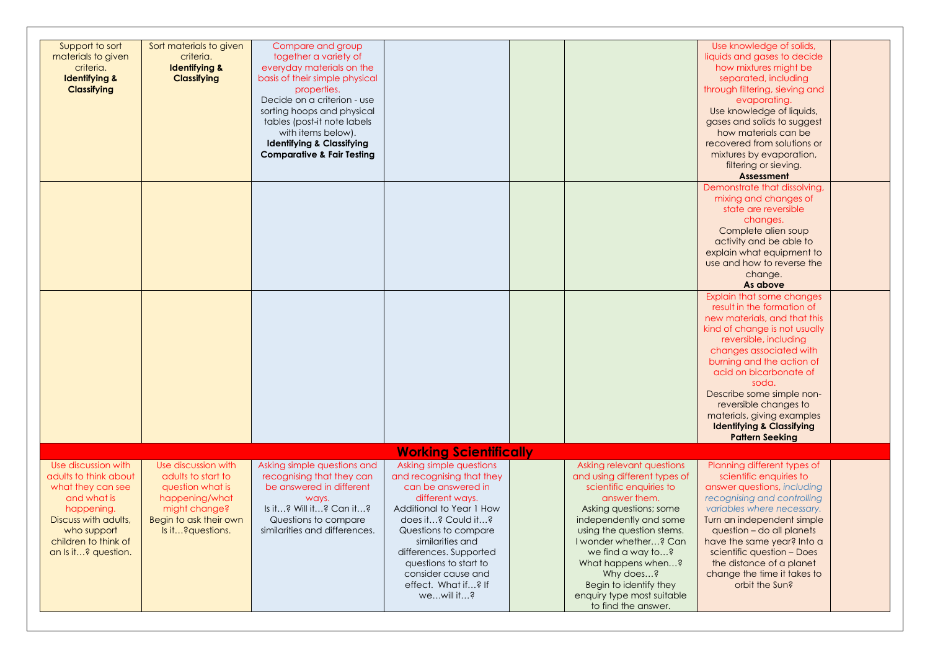| Support to sort<br>materials to given<br>criteria.<br><b>Identifying &amp;</b><br><b>Classifying</b>                                                                                 | Sort materials to given<br>criteria.<br><b>Identifying &amp;</b><br><b>Classifying</b>                                                          | Compare and group<br>together a variety of<br>everyday materials on the<br>basis of their simple physical<br>properties.<br>Decide on a criterion - use<br>sorting hoops and physical<br>tables (post-it note labels<br>with items below).<br><b>Identifying &amp; Classifying</b><br><b>Comparative &amp; Fair Testing</b> |                                                                                                                                                                                                                                                                                                           |                                                                                                                                                                                                                                                                                                                                                       | Use knowledge of solids,<br>liquids and gases to decide<br>how mixtures might be<br>separated, including<br>through filtering, sieving and<br>evaporating.<br>Use knowledge of liquids,<br>gases and solids to suggest<br>how materials can be<br>recovered from solutions or<br>mixtures by evaporation,<br>filtering or sieving.<br><b>Assessment</b>                                            |  |
|--------------------------------------------------------------------------------------------------------------------------------------------------------------------------------------|-------------------------------------------------------------------------------------------------------------------------------------------------|-----------------------------------------------------------------------------------------------------------------------------------------------------------------------------------------------------------------------------------------------------------------------------------------------------------------------------|-----------------------------------------------------------------------------------------------------------------------------------------------------------------------------------------------------------------------------------------------------------------------------------------------------------|-------------------------------------------------------------------------------------------------------------------------------------------------------------------------------------------------------------------------------------------------------------------------------------------------------------------------------------------------------|----------------------------------------------------------------------------------------------------------------------------------------------------------------------------------------------------------------------------------------------------------------------------------------------------------------------------------------------------------------------------------------------------|--|
|                                                                                                                                                                                      |                                                                                                                                                 |                                                                                                                                                                                                                                                                                                                             |                                                                                                                                                                                                                                                                                                           |                                                                                                                                                                                                                                                                                                                                                       | Demonstrate that dissolving,<br>mixing and changes of<br>state are reversible<br>changes.<br>Complete alien soup<br>activity and be able to<br>explain what equipment to<br>use and how to reverse the<br>change.<br>As above                                                                                                                                                                      |  |
|                                                                                                                                                                                      |                                                                                                                                                 |                                                                                                                                                                                                                                                                                                                             |                                                                                                                                                                                                                                                                                                           |                                                                                                                                                                                                                                                                                                                                                       | Explain that some changes<br>result in the formation of<br>new materials, and that this<br>kind of change is not usually<br>reversible, including<br>changes associated with<br>burning and the action of<br>acid on bicarbonate of<br>soda.<br>Describe some simple non-<br>reversible changes to<br>materials, giving examples<br><b>Identifying &amp; Classifying</b><br><b>Pattern Seeking</b> |  |
|                                                                                                                                                                                      |                                                                                                                                                 |                                                                                                                                                                                                                                                                                                                             | <b>Working Scientifically</b>                                                                                                                                                                                                                                                                             |                                                                                                                                                                                                                                                                                                                                                       |                                                                                                                                                                                                                                                                                                                                                                                                    |  |
| Use discussion with<br>adults to think about<br>what they can see<br>and what is<br>happening.<br>Discuss with adults,<br>who support<br>children to think of<br>an Is it? question. | Use discussion with<br>adults to start to<br>question what is<br>happening/what<br>might change?<br>Begin to ask their own<br>Is it? questions. | Asking simple questions and<br>recognising that they can<br>be answered in different<br>ways.<br>Is it? Will it? Can it?<br>Questions to compare<br>similarities and differences.                                                                                                                                           | Asking simple questions<br>and recognising that they<br>can be answered in<br>different ways.<br>Additional to Year 1 How<br>does it? Could it?<br>Questions to compare<br>similarities and<br>differences. Supported<br>questions to start to<br>consider cause and<br>effect. What if? If<br>wewill it? | Asking relevant questions<br>and using different types of<br>scientific enquiries to<br>answer them.<br>Asking questions; some<br>independently and some<br>using the question stems.<br>I wonder whether? Can<br>we find a way to?<br>What happens when?<br>Why does?<br>Begin to identify they<br>enquiry type most suitable<br>to find the answer. | Planning different types of<br>scientific enquiries to<br>answer questions, including<br>recognising and controlling<br>variables where necessary.<br>Turn an independent simple<br>question - do all planets<br>have the same year? Into a<br>scientific question - Does<br>the distance of a planet<br>change the time it takes to<br>orbit the Sun?                                             |  |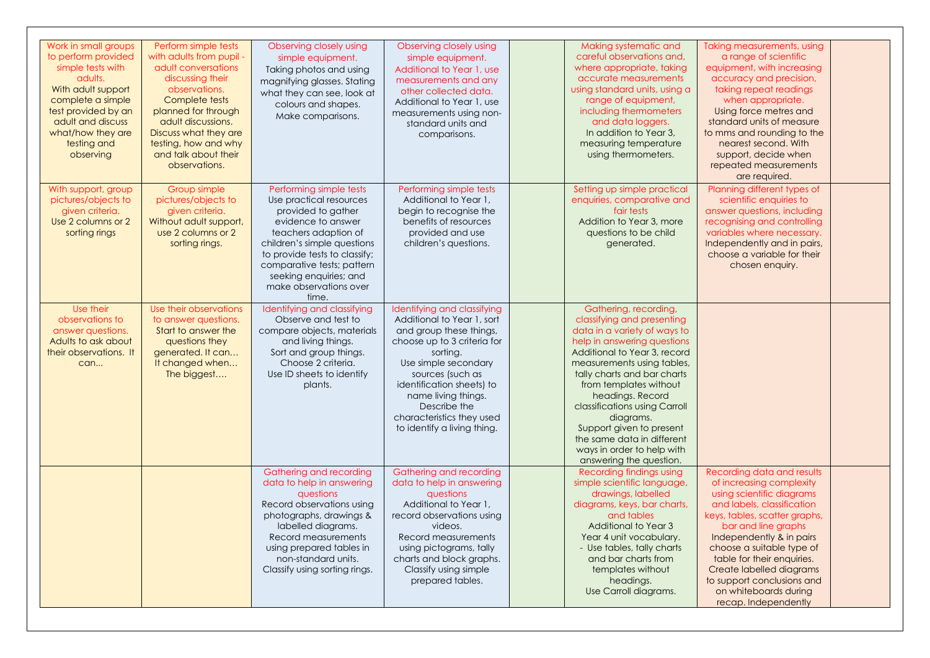| Work in small groups<br>to perform provided<br>simple tests with<br>adults.<br>With adult support<br>complete a simple<br>test provided by an<br>adult and discuss<br>what/how they are<br>testing and<br>observing | Perform simple tests<br>with adults from pupil -<br>adult conversations<br>discussing their<br>observations.<br>Complete tests<br>planned for through<br>adult discussions.<br>Discuss what they are<br>testing, how and why<br>and talk about their<br>observations. | Observing closely using<br>simple equipment.<br>Taking photos and using<br>magnifying glasses. Stating<br>what they can see, look at<br>colours and shapes.<br>Make comparisons.                                                                                                  | Observing closely using<br>simple equipment.<br>Additional to Year 1, use<br>measurements and any<br>other collected data.<br>Additional to Year 1, use<br>measurements using non-<br>standard units and<br>comparisons.                                                                                    | Making systematic and<br>careful observations and,<br>where appropriate, taking<br>accurate measurements<br>using standard units, using a<br>range of equipment,<br>including thermometers<br>and data loggers.<br>In addition to Year 3,<br>measuring temperature<br>using thermometers.                                                                                                                                      | Taking measurements, using<br>a range of scientific<br>equipment, with increasing<br>accuracy and precision,<br>taking repeat readings<br>when appropriate.<br>Using force metres and<br>standard units of measure<br>to mms and rounding to the<br>nearest second. With<br>support, decide when<br>repeated measurements<br>are required.                                  |  |
|---------------------------------------------------------------------------------------------------------------------------------------------------------------------------------------------------------------------|-----------------------------------------------------------------------------------------------------------------------------------------------------------------------------------------------------------------------------------------------------------------------|-----------------------------------------------------------------------------------------------------------------------------------------------------------------------------------------------------------------------------------------------------------------------------------|-------------------------------------------------------------------------------------------------------------------------------------------------------------------------------------------------------------------------------------------------------------------------------------------------------------|--------------------------------------------------------------------------------------------------------------------------------------------------------------------------------------------------------------------------------------------------------------------------------------------------------------------------------------------------------------------------------------------------------------------------------|-----------------------------------------------------------------------------------------------------------------------------------------------------------------------------------------------------------------------------------------------------------------------------------------------------------------------------------------------------------------------------|--|
| With support, group<br>pictures/objects to<br>given criteria.<br>Use 2 columns or 2<br>sorting rings                                                                                                                | Group simple<br>pictures/objects to<br>given criteria.<br>Without adult support,<br>use 2 columns or 2<br>sorting rings.                                                                                                                                              | Performing simple tests<br>Use practical resources<br>provided to gather<br>evidence to answer<br>teachers adaption of<br>children's simple questions<br>to provide tests to classify;<br>comparative tests; pattern<br>seeking enquiries; and<br>make observations over<br>time. | Performing simple tests<br>Additional to Year 1,<br>begin to recognise the<br>benefits of resources<br>provided and use<br>children's questions.                                                                                                                                                            | Setting up simple practical<br>enquiries, comparative and<br>fair tests<br>Addition to Year 3, more<br>questions to be child<br>generated.                                                                                                                                                                                                                                                                                     | Planning different types of<br>scientific enquiries to<br>answer questions, including<br>recognising and controlling<br>variables where necessary.<br>Independently and in pairs,<br>choose a variable for their<br>chosen enquiry.                                                                                                                                         |  |
| Use their<br>observations to<br>answer questions.<br>Adults to ask about<br>their observations. It<br>can                                                                                                           | Use their observations<br>to answer questions.<br>Start to answer the<br>questions they<br>generated. It can<br>It changed when<br>The biggest                                                                                                                        | Identifying and classifying<br>Observe and test to<br>compare objects, materials<br>and living things.<br>Sort and group things.<br>Choose 2 criteria.<br>Use ID sheets to identify<br>plants.                                                                                    | Identifying and classifying<br>Additional to Year 1, sort<br>and group these things,<br>choose up to 3 criteria for<br>sorting.<br>Use simple secondary<br>sources (such as<br>identification sheets) to<br>name living things.<br>Describe the<br>characteristics they used<br>to identify a living thing. | Gathering, recording,<br>classifying and presenting<br>data in a variety of ways to<br>help in answering questions<br>Additional to Year 3, record<br>measurements using tables,<br>tally charts and bar charts<br>from templates without<br>headings. Record<br>classifications using Carroll<br>diagrams.<br>Support given to present<br>the same data in different<br>ways in order to help with<br>answering the question. |                                                                                                                                                                                                                                                                                                                                                                             |  |
|                                                                                                                                                                                                                     |                                                                                                                                                                                                                                                                       | Gathering and recording<br>data to help in answering<br>questions<br>Record observations using<br>photographs, drawings &<br>labelled diagrams.<br>Record measurements<br>using prepared tables in<br>non-standard units.<br>Classify using sorting rings.                        | Gathering and recording<br>data to help in answering<br>questions<br>Additional to Year 1,<br>record observations using<br>videos.<br>Record measurements<br>using pictograms, tally<br>charts and block graphs.<br>Classify using simple<br>prepared tables.                                               | Recording findings using<br>simple scientific language,<br>drawings, labelled<br>diagrams, keys, bar charts,<br>and tables<br>Additional to Year 3<br>Year 4 unit vocabulary.<br>- Use tables, tally charts<br>and bar charts from<br>templates without<br>headings.<br>Use Carroll diagrams.                                                                                                                                  | Recording data and results<br>of increasing complexity<br>using scientific diagrams<br>and labels, classification<br>keys, tables, scatter graphs,<br>bar and line araphs<br>Independently & in pairs<br>choose a suitable type of<br>table for their enquiries.<br>Create labelled diagrams<br>to support conclusions and<br>on whiteboards during<br>recap. Independently |  |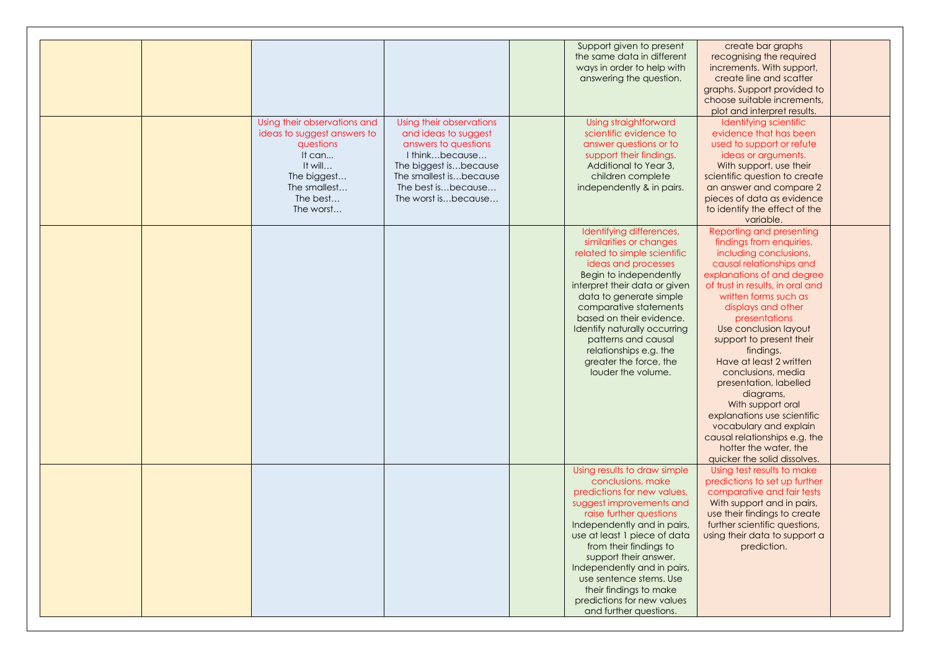|  |                              |                          | Support given to present      | create bar graphs                |  |
|--|------------------------------|--------------------------|-------------------------------|----------------------------------|--|
|  |                              |                          | the same data in different    | recognising the required         |  |
|  |                              |                          | ways in order to help with    | increments. With support,        |  |
|  |                              |                          | answering the question.       | create line and scatter          |  |
|  |                              |                          |                               | graphs. Support provided to      |  |
|  |                              |                          |                               | choose suitable increments,      |  |
|  |                              |                          |                               | plot and interpret results.      |  |
|  | Using their observations and | Using their observations | Using straightforward         | Identifying scientific           |  |
|  |                              |                          | scientific evidence to        | evidence that has been           |  |
|  | ideas to suggest answers to  | and ideas to suggest     |                               |                                  |  |
|  | questions                    | answers to questions     | answer questions or to        | used to support or refute        |  |
|  | It can                       | I thinkbecause           | support their findings.       | ideas or arguments.              |  |
|  | It will                      | The biggest isbecause    | Additional to Year 3,         | With support, use their          |  |
|  | The biggest                  | The smallest isbecause   | children complete             | scientific question to create    |  |
|  | The smallest                 | The best isbecause       | independently & in pairs.     | an answer and compare 2          |  |
|  | The best                     | The worst isbecause      |                               | pieces of data as evidence       |  |
|  | The worst                    |                          |                               | to identify the effect of the    |  |
|  |                              |                          |                               | variable.                        |  |
|  |                              |                          | Identifying differences,      | Reporting and presenting         |  |
|  |                              |                          | similarities or changes       | findings from enquiries,         |  |
|  |                              |                          | related to simple scientific  | including conclusions,           |  |
|  |                              |                          | ideas and processes           | causal relationships and         |  |
|  |                              |                          | Begin to independently        | explanations of and degree       |  |
|  |                              |                          | interpret their data or given | of trust in results, in oral and |  |
|  |                              |                          |                               | written forms such as            |  |
|  |                              |                          | data to generate simple       |                                  |  |
|  |                              |                          | comparative statements        | displays and other               |  |
|  |                              |                          | based on their evidence.      | presentations                    |  |
|  |                              |                          | Identify naturally occurring  | Use conclusion layout            |  |
|  |                              |                          | patterns and causal           | support to present their         |  |
|  |                              |                          | relationships e.g. the        | findings.                        |  |
|  |                              |                          | greater the force, the        | Have at least 2 written          |  |
|  |                              |                          | louder the volume.            | conclusions, media               |  |
|  |                              |                          |                               | presentation, labelled           |  |
|  |                              |                          |                               | diagrams,                        |  |
|  |                              |                          |                               | With support oral                |  |
|  |                              |                          |                               | explanations use scientific      |  |
|  |                              |                          |                               | vocabulary and explain           |  |
|  |                              |                          |                               | causal relationships e.g. the    |  |
|  |                              |                          |                               | hotter the water, the            |  |
|  |                              |                          |                               | quicker the solid dissolves.     |  |
|  |                              |                          | Using results to draw simple  | Using test results to make       |  |
|  |                              |                          |                               |                                  |  |
|  |                              |                          | conclusions, make             | predictions to set up further    |  |
|  |                              |                          | predictions for new values,   | comparative and fair tests       |  |
|  |                              |                          | suggest improvements and      | With support and in pairs,       |  |
|  |                              |                          | raise further questions       | use their findings to create     |  |
|  |                              |                          | Independently and in pairs,   | further scientific questions,    |  |
|  |                              |                          | use at least 1 piece of data  | using their data to support a    |  |
|  |                              |                          | from their findings to        | prediction.                      |  |
|  |                              |                          | support their answer.         |                                  |  |
|  |                              |                          | Independently and in pairs,   |                                  |  |
|  |                              |                          | use sentence stems. Use       |                                  |  |
|  |                              |                          | their findings to make        |                                  |  |
|  |                              |                          | predictions for new values    |                                  |  |
|  |                              |                          | and further questions.        |                                  |  |
|  |                              |                          |                               |                                  |  |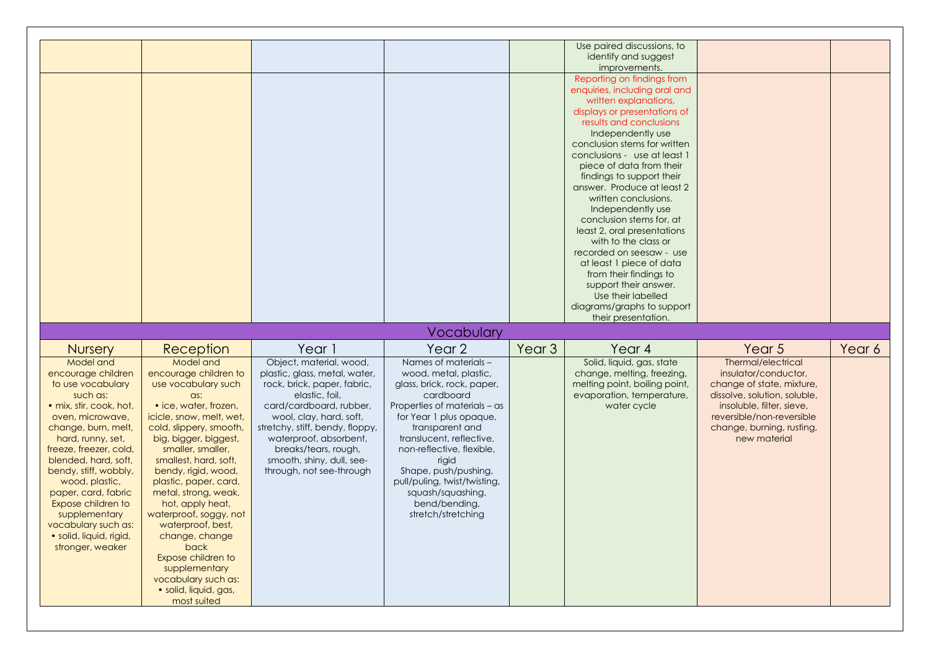|                                                                                                                                                                                                                                                                                                                                                                                              |                                                                                                                                                                                                                                                                                                                                                                                                                                                                                                            |                                                                                                                                                                                                                                                                                                               |                                                                                                                                                                                                                                                                                                                                                              |                   | Use paired discussions, to<br>identify and suggest<br>improvements.<br>Reporting on findings from<br>enquiries, including oral and<br>written explanations,<br>displays or presentations of<br>results and conclusions<br>Independently use<br>conclusion stems for written<br>conclusions - use at least 1<br>piece of data from their<br>findings to support their<br>answer. Produce at least 2<br>written conclusions.<br>Independently use<br>conclusion stems for, at<br>least 2, oral presentations<br>with to the class or<br>recorded on seesaw - use<br>at least 1 piece of data<br>from their findings to<br>support their answer. |                                                                                                                                                                                                                |        |
|----------------------------------------------------------------------------------------------------------------------------------------------------------------------------------------------------------------------------------------------------------------------------------------------------------------------------------------------------------------------------------------------|------------------------------------------------------------------------------------------------------------------------------------------------------------------------------------------------------------------------------------------------------------------------------------------------------------------------------------------------------------------------------------------------------------------------------------------------------------------------------------------------------------|---------------------------------------------------------------------------------------------------------------------------------------------------------------------------------------------------------------------------------------------------------------------------------------------------------------|--------------------------------------------------------------------------------------------------------------------------------------------------------------------------------------------------------------------------------------------------------------------------------------------------------------------------------------------------------------|-------------------|-----------------------------------------------------------------------------------------------------------------------------------------------------------------------------------------------------------------------------------------------------------------------------------------------------------------------------------------------------------------------------------------------------------------------------------------------------------------------------------------------------------------------------------------------------------------------------------------------------------------------------------------------|----------------------------------------------------------------------------------------------------------------------------------------------------------------------------------------------------------------|--------|
|                                                                                                                                                                                                                                                                                                                                                                                              |                                                                                                                                                                                                                                                                                                                                                                                                                                                                                                            |                                                                                                                                                                                                                                                                                                               |                                                                                                                                                                                                                                                                                                                                                              |                   | Use their labelled<br>diagrams/graphs to support                                                                                                                                                                                                                                                                                                                                                                                                                                                                                                                                                                                              |                                                                                                                                                                                                                |        |
|                                                                                                                                                                                                                                                                                                                                                                                              |                                                                                                                                                                                                                                                                                                                                                                                                                                                                                                            |                                                                                                                                                                                                                                                                                                               | Vocabulary                                                                                                                                                                                                                                                                                                                                                   |                   | their presentation.                                                                                                                                                                                                                                                                                                                                                                                                                                                                                                                                                                                                                           |                                                                                                                                                                                                                |        |
| <b>Nursery</b>                                                                                                                                                                                                                                                                                                                                                                               | Reception                                                                                                                                                                                                                                                                                                                                                                                                                                                                                                  | Year 1                                                                                                                                                                                                                                                                                                        | Year <sub>2</sub>                                                                                                                                                                                                                                                                                                                                            | Year <sub>3</sub> | Year 4                                                                                                                                                                                                                                                                                                                                                                                                                                                                                                                                                                                                                                        | Year 5                                                                                                                                                                                                         | Year 6 |
| Model and<br>encourage children<br>to use vocabulary<br>such as:<br>· mix, stir, cook, hot,<br>oven, microwave,<br>change, burn, melt,<br>hard, runny, set,<br>freeze, freezer, cold,<br>blended, hard, soft,<br>bendy, stiff, wobbly,<br>wood, plastic,<br>paper, card, fabric<br>Expose children to<br>supplementary<br>vocabulary such as:<br>· solid, liquid, rigid,<br>stronger, weaker | Model and<br>encourage children to<br>use vocabulary such<br>$\alpha$ s:<br>• ice, water, frozen,<br>icicle, snow, melt, wet,<br>cold, slippery, smooth,<br>big, bigger, biggest,<br>smaller, smaller,<br>smallest, hard, soft,<br>bendy, rigid, wood,<br>plastic, paper, card,<br>metal, strong, weak,<br>hot, apply heat,<br>waterproof, soggy, not<br>waterproof, best,<br>change, change<br>back<br>Expose children to<br>supplementary<br>vocabulary such as:<br>· solid, liquid, gas,<br>most suited | Object, material, wood,<br>plastic, glass, metal, water,<br>rock, brick, paper, fabric,<br>elastic, foil,<br>card/cardboard, rubber,<br>wool, clay, hard, soft,<br>stretchy, stiff, bendy, floppy,<br>waterproof, absorbent,<br>breaks/tears, rough,<br>smooth, shiny, dull, see-<br>through, not see-through | Names of materials -<br>wood, metal, plastic,<br>glass, brick, rock, paper,<br>cardboard<br>Properties of materials - as<br>for Year 1 plus opaque,<br>transparent and<br>translucent, reflective,<br>non-reflective, flexible,<br>rigid<br>Shape, push/pushing,<br>pull/puling, twist/twisting,<br>squash/squashing,<br>bend/bending,<br>stretch/stretching |                   | Solid, liquid, gas, state<br>change, melting, freezing,<br>melting point, boiling point,<br>evaporation, temperature,<br>water cycle                                                                                                                                                                                                                                                                                                                                                                                                                                                                                                          | Thermal/electrical<br>insulator/conductor,<br>change of state, mixture,<br>dissolve, solution, soluble,<br>insoluble, filter, sieve,<br>reversible/non-reversible<br>change, burning, rusting,<br>new material |        |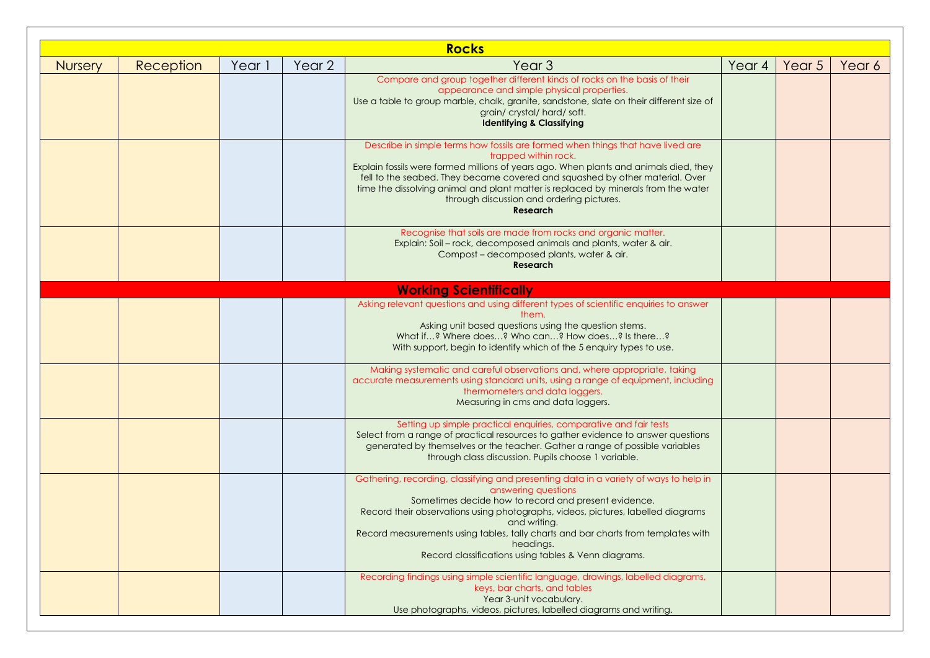|                |           |        |        | <b>Rocks</b>                                                                                                                                                                                                                                                                                                                                                                                                                                           |        |        |        |
|----------------|-----------|--------|--------|--------------------------------------------------------------------------------------------------------------------------------------------------------------------------------------------------------------------------------------------------------------------------------------------------------------------------------------------------------------------------------------------------------------------------------------------------------|--------|--------|--------|
| <b>Nursery</b> | Reception | Year 1 | Year 2 | Year <sub>3</sub>                                                                                                                                                                                                                                                                                                                                                                                                                                      | Year 4 | Year 5 | Year 6 |
|                |           |        |        | Compare and group together different kinds of rocks on the basis of their<br>appearance and simple physical properties.<br>Use a table to group marble, chalk, granite, sandstone, slate on their different size of<br>grain/crystal/hard/soft.<br><b>Identifying &amp; Classifying</b>                                                                                                                                                                |        |        |        |
|                |           |        |        | Describe in simple terms how fossils are formed when things that have lived are<br>trapped within rock.<br>Explain fossils were formed millions of years ago. When plants and animals died, they<br>fell to the seabed. They became covered and squashed by other material. Over<br>time the dissolving animal and plant matter is replaced by minerals from the water<br>through discussion and ordering pictures.<br><b>Research</b>                 |        |        |        |
|                |           |        |        | Recognise that soils are made from rocks and organic matter.<br>Explain: Soil - rock, decomposed animals and plants, water & air.<br>Compost - decomposed plants, water & air.<br><b>Research</b>                                                                                                                                                                                                                                                      |        |        |        |
|                |           |        |        | <b>Working Scientifically</b>                                                                                                                                                                                                                                                                                                                                                                                                                          |        |        |        |
|                |           |        |        | Asking relevant questions and using different types of scientific enquiries to answer<br>them.<br>Asking unit based questions using the question stems.<br>What if? Where does? Who can? How does? Is there?<br>With support, begin to identify which of the 5 enquiry types to use.                                                                                                                                                                   |        |        |        |
|                |           |        |        | Making systematic and careful observations and, where appropriate, taking<br>accurate measurements using standard units, using a range of equipment, including<br>thermometers and data loggers.<br>Measuring in cms and data loggers.                                                                                                                                                                                                                 |        |        |        |
|                |           |        |        | Setting up simple practical enquiries, comparative and fair tests<br>Select from a range of practical resources to gather evidence to answer questions<br>generated by themselves or the teacher. Gather a range of possible variables<br>through class discussion. Pupils choose 1 variable.                                                                                                                                                          |        |        |        |
|                |           |        |        | Gathering, recording, classifying and presenting data in a variety of ways to help in<br>answering questions<br>Sometimes decide how to record and present evidence.<br>Record their observations using photographs, videos, pictures, labelled diagrams<br><b>Example 2016 and writing.</b><br>Record measurements using tables, tally charts and bar charts from templates with<br>headings.<br>Record classifications using tables & Venn diagrams. |        |        |        |
|                |           |        |        | Recording findings using simple scientific language, drawings, labelled diagrams,<br>keys, bar charts, and tables<br>Year 3-unit vocabulary.<br>Use photographs, videos, pictures, labelled diagrams and writing.                                                                                                                                                                                                                                      |        |        |        |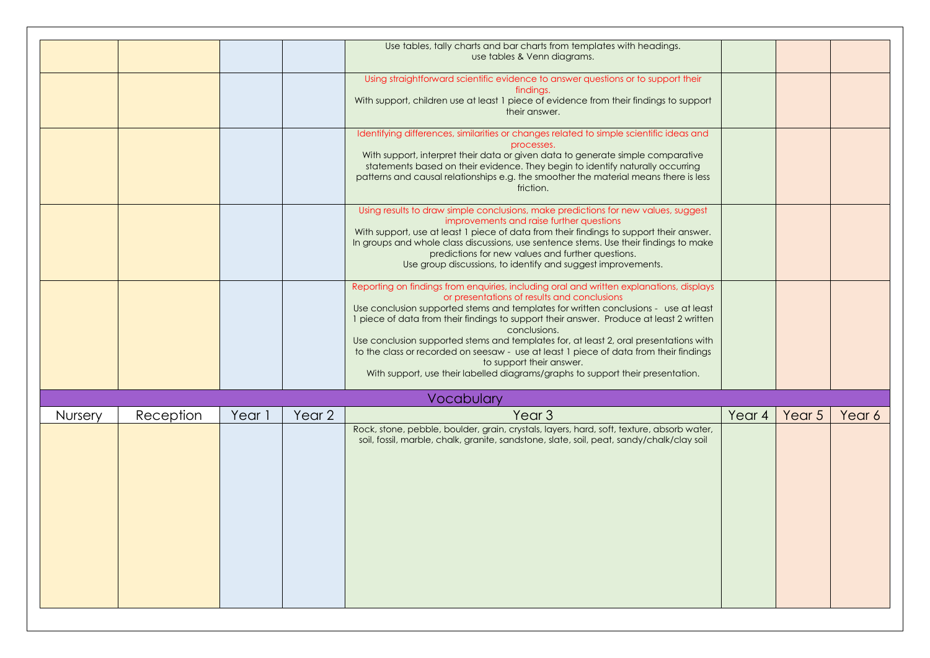|         |           |        |        | Use tables, tally charts and bar charts from templates with headings.<br>use tables & Venn diagrams.                                                                                                                                                                                                                                                                                                                                                                                                                                                                                                                                      |        |                   |        |
|---------|-----------|--------|--------|-------------------------------------------------------------------------------------------------------------------------------------------------------------------------------------------------------------------------------------------------------------------------------------------------------------------------------------------------------------------------------------------------------------------------------------------------------------------------------------------------------------------------------------------------------------------------------------------------------------------------------------------|--------|-------------------|--------|
|         |           |        |        | Using straightforward scientific evidence to answer questions or to support their<br>findings.<br>With support, children use at least 1 piece of evidence from their findings to support<br>their answer.                                                                                                                                                                                                                                                                                                                                                                                                                                 |        |                   |        |
|         |           |        |        | Identifying differences, similarities or changes related to simple scientific ideas and<br>processes.<br>With support, interpret their data or given data to generate simple comparative<br>statements based on their evidence. They begin to identify naturally occurring<br>patterns and causal relationships e.g. the smoother the material means there is less<br>friction.                                                                                                                                                                                                                                                           |        |                   |        |
|         |           |        |        | Using results to draw simple conclusions, make predictions for new values, suggest<br>improvements and raise further questions<br>With support, use at least 1 piece of data from their findings to support their answer.<br>In groups and whole class discussions, use sentence stems. Use their findings to make<br>predictions for new values and further questions.<br>Use group discussions, to identify and suggest improvements.                                                                                                                                                                                                   |        |                   |        |
|         |           |        |        | Reporting on findings from enquiries, including oral and written explanations, displays<br>or presentations of results and conclusions<br>Use conclusion supported stems and templates for written conclusions - use at least<br>1 piece of data from their findings to support their answer. Produce at least 2 written<br>conclusions.<br>Use conclusion supported stems and templates for, at least 2, oral presentations with<br>to the class or recorded on seesaw - use at least 1 piece of data from their findings<br>to support their answer.<br>With support, use their labelled diagrams/graphs to support their presentation. |        |                   |        |
|         |           |        |        |                                                                                                                                                                                                                                                                                                                                                                                                                                                                                                                                                                                                                                           |        |                   |        |
|         |           |        |        | Vocabulary                                                                                                                                                                                                                                                                                                                                                                                                                                                                                                                                                                                                                                |        |                   |        |
| Nursery | Reception | Year 1 | Year 2 | Year <sub>3</sub><br>Rock, stone, pebble, boulder, grain, crystals, layers, hard, soft, texture, absorb water,                                                                                                                                                                                                                                                                                                                                                                                                                                                                                                                            | Year 4 | Year <sub>5</sub> | Year 6 |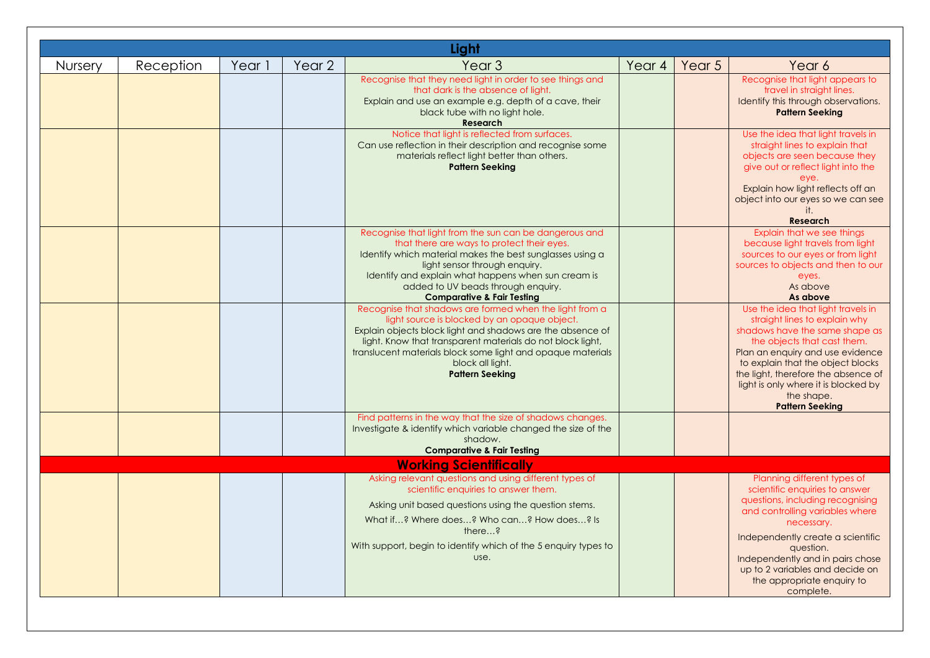|                |           |        |        | Light                                                                                                                                                                                                                                                                                                                                            |        |        |                                                                                                                                                                                                                                                                                                                                      |
|----------------|-----------|--------|--------|--------------------------------------------------------------------------------------------------------------------------------------------------------------------------------------------------------------------------------------------------------------------------------------------------------------------------------------------------|--------|--------|--------------------------------------------------------------------------------------------------------------------------------------------------------------------------------------------------------------------------------------------------------------------------------------------------------------------------------------|
| <b>Nursery</b> | Reception | Year 1 | Year 2 | Year <sub>3</sub>                                                                                                                                                                                                                                                                                                                                | Year 4 | Year 5 | Year 6                                                                                                                                                                                                                                                                                                                               |
|                |           |        |        | Recognise that they need light in order to see things and<br>that dark is the absence of light.<br>Explain and use an example e.g. depth of a cave, their<br>black tube with no light hole.<br><b>Research</b>                                                                                                                                   |        |        | Recognise that light appears to<br>travel in straight lines.<br>Identify this through observations.<br><b>Pattern Seeking</b>                                                                                                                                                                                                        |
|                |           |        |        | Notice that light is reflected from surfaces.<br>Can use reflection in their description and recognise some<br>materials reflect light better than others.<br><b>Pattern Seeking</b>                                                                                                                                                             |        |        | Use the idea that light travels in<br>straight lines to explain that<br>objects are seen because they<br>give out or reflect light into the<br>eye.<br>Explain how light reflects off an<br>object into our eyes so we can see<br>it.<br><b>Research</b>                                                                             |
|                |           |        |        | Recognise that light from the sun can be dangerous and<br>that there are ways to protect their eyes.<br>Identify which material makes the best sunglasses using a<br>light sensor through enquiry.<br>Identify and explain what happens when sun cream is<br>added to UV beads through enquiry.<br><b>Comparative &amp; Fair Testing</b>         |        |        | Explain that we see things<br>because light travels from light<br>sources to our eyes or from light<br>sources to objects and then to our<br>eyes.<br>As above<br>As above                                                                                                                                                           |
|                |           |        |        | Recognise that shadows are formed when the light from a<br>light source is blocked by an opaque object.<br>Explain objects block light and shadows are the absence of<br>light. Know that transparent materials do not block light,<br>translucent materials block some light and opaque materials<br>block all light.<br><b>Pattern Seeking</b> |        |        | Use the idea that light travels in<br>straight lines to explain why<br>shadows have the same shape as<br>the objects that cast them.<br>Plan an enquiry and use evidence<br>to explain that the object blocks<br>the light, therefore the absence of<br>light is only where it is blocked by<br>the shape.<br><b>Pattern Seeking</b> |
|                |           |        |        | Find patterns in the way that the size of shadows changes.                                                                                                                                                                                                                                                                                       |        |        |                                                                                                                                                                                                                                                                                                                                      |
|                |           |        |        | Investigate & identify which variable changed the size of the<br>shadow.<br><b>Comparative &amp; Fair Testing</b>                                                                                                                                                                                                                                |        |        |                                                                                                                                                                                                                                                                                                                                      |
|                |           |        |        | <b>Working Scientifically</b>                                                                                                                                                                                                                                                                                                                    |        |        |                                                                                                                                                                                                                                                                                                                                      |
|                |           |        |        | Asking relevant questions and using different types of<br>scientific enquiries to answer them.<br>Asking unit based questions using the question stems.<br>What if? Where does? Who can? How does? Is<br>there?<br>With support, begin to identify which of the 5 enquiry types to<br>use.                                                       |        |        | Planning different types of<br>scientific enquiries to answer<br>questions, including recognising<br>and controlling variables where<br>necessary.<br>Independently create a scientific<br>question.<br>Independently and in pairs chose<br>up to 2 variables and decide on<br>the appropriate enquiry to<br>complete.               |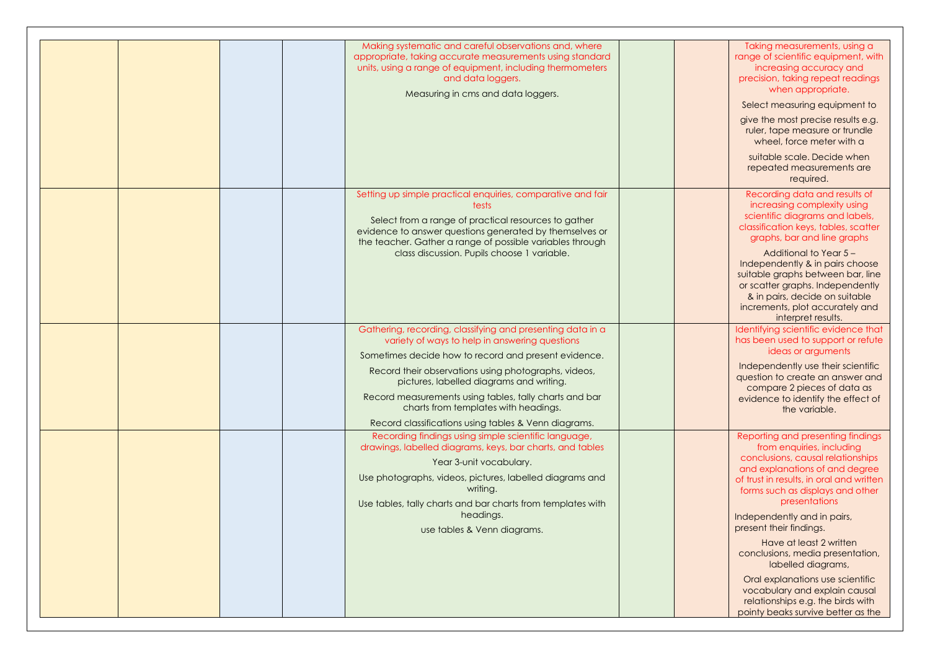|  | Making systematic and careful observations and, where                                                                                                                                                                                                                                                                                                                                                                              | Taking measurements, using a                                                                                                                                                                                                                                                                                                                                                                           |
|--|------------------------------------------------------------------------------------------------------------------------------------------------------------------------------------------------------------------------------------------------------------------------------------------------------------------------------------------------------------------------------------------------------------------------------------|--------------------------------------------------------------------------------------------------------------------------------------------------------------------------------------------------------------------------------------------------------------------------------------------------------------------------------------------------------------------------------------------------------|
|  | appropriate, taking accurate measurements using standard<br>units, using a range of equipment, including thermometers<br>and data loggers.<br>Measuring in cms and data loggers.                                                                                                                                                                                                                                                   | range of scientific equipment, with<br>increasing accuracy and<br>precision, taking repeat readings<br>when appropriate.<br>Select measuring equipment to<br>give the most precise results e.g.<br>ruler, tape measure or trundle<br>wheel, force meter with a<br>suitable scale. Decide when<br>repeated measurements are<br>required.                                                                |
|  | Setting up simple practical enquiries, comparative and fair<br>tests<br>Select from a range of practical resources to gather<br>evidence to answer questions generated by themselves or<br>the teacher. Gather a range of possible variables through<br>class discussion. Pupils choose 1 variable.                                                                                                                                | Recording data and results of<br>increasing complexity using<br>scientific diagrams and labels,<br>classification keys, tables, scatter<br>graphs, bar and line graphs<br>Additional to Year 5-<br>Independently & in pairs choose<br>suitable graphs between bar, line<br>or scatter graphs. Independently<br>& in pairs, decide on suitable<br>increments, plot accurately and<br>interpret results. |
|  | Gathering, recording, classifying and presenting data in a<br>variety of ways to help in answering questions<br>Sometimes decide how to record and present evidence.<br>Record their observations using photographs, videos,<br>pictures, labelled diagrams and writing.<br>Record measurements using tables, tally charts and bar<br>charts from templates with headings.<br>Record classifications using tables & Venn diagrams. | Identifying scientific evidence that<br>has been used to support or refute<br>ideas or arguments<br>Independently use their scientific<br>question to create an answer and<br>compare 2 pieces of data as<br>evidence to identify the effect of<br>the variable.                                                                                                                                       |
|  | Recording findings using simple scientific language,<br>drawings, labelled diagrams, keys, bar charts, and tables<br>Year 3-unit vocabulary.<br>Use photographs, videos, pictures, labelled diagrams and<br>writing.<br>Use tables, tally charts and bar charts from templates with<br>headings.<br>use tables & Venn diagrams.                                                                                                    | Reporting and presenting findings<br>from enquiries, including<br>conclusions, causal relationships<br>and explanations of and degree<br>of trust in results, in oral and written<br>forms such as displays and other<br>presentations<br>Independently and in pairs,<br>present their findings.<br>Have at least 2 written<br>conclusions, media presentation,<br>labelled diagrams,                  |
|  |                                                                                                                                                                                                                                                                                                                                                                                                                                    | Oral explanations use scientific<br>vocabulary and explain causal<br>relationships e.g. the birds with<br>pointy beaks survive better as the                                                                                                                                                                                                                                                           |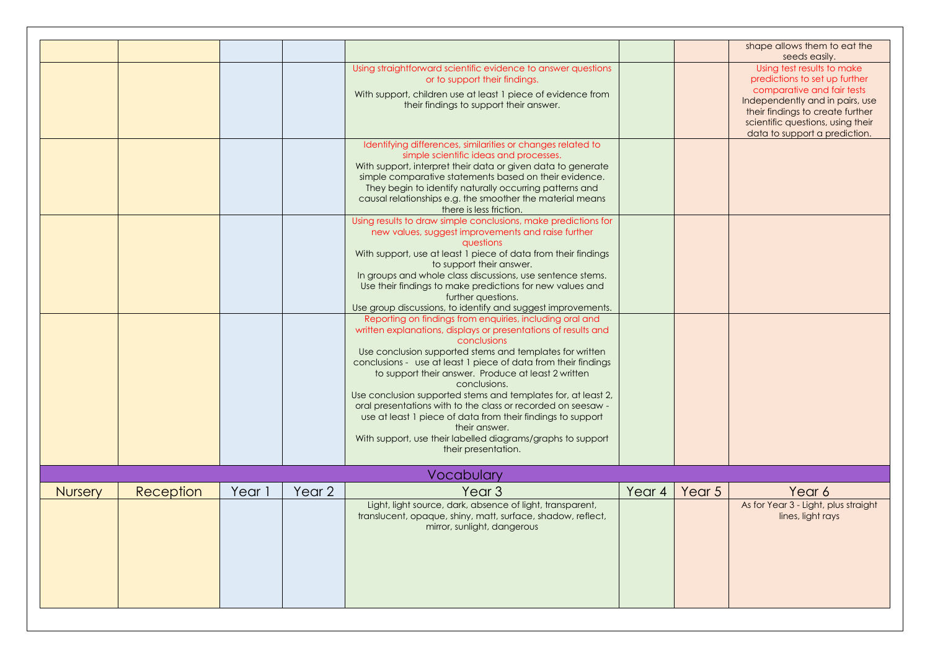|                |           |        |        | Using straightforward scientific evidence to answer questions<br>or to support their findings.                                                                                                                                                                                                                                                                                                                  |        |        | shape allows them to eat the<br>seeds easily.<br>Using test results to make<br>predictions to set up further                                                            |
|----------------|-----------|--------|--------|-----------------------------------------------------------------------------------------------------------------------------------------------------------------------------------------------------------------------------------------------------------------------------------------------------------------------------------------------------------------------------------------------------------------|--------|--------|-------------------------------------------------------------------------------------------------------------------------------------------------------------------------|
|                |           |        |        | With support, children use at least 1 piece of evidence from<br>their findings to support their answer.                                                                                                                                                                                                                                                                                                         |        |        | comparative and fair tests<br>Independently and in pairs, use<br>their findings to create further<br>scientific questions, using their<br>data to support a prediction. |
|                |           |        |        | Identifying differences, similarities or changes related to<br>simple scientific ideas and processes.<br>With support, interpret their data or given data to generate<br>simple comparative statements based on their evidence.<br>They begin to identify naturally occurring patterns and<br>causal relationships e.g. the smoother the material means                                                         |        |        |                                                                                                                                                                         |
|                |           |        |        | there is less friction.<br>Using results to draw simple conclusions, make predictions for<br>new values, suggest improvements and raise further<br>questions                                                                                                                                                                                                                                                    |        |        |                                                                                                                                                                         |
|                |           |        |        | With support, use at least 1 piece of data from their findings<br>to support their answer.<br>In groups and whole class discussions, use sentence stems.<br>Use their findings to make predictions for new values and<br>further questions.<br>Use group discussions, to identify and suggest improvements.                                                                                                     |        |        |                                                                                                                                                                         |
|                |           |        |        | Reporting on findings from enquiries, including oral and<br>written explanations, displays or presentations of results and<br>conclusions<br>Use conclusion supported stems and templates for written<br>conclusions - use at least 1 piece of data from their findings<br>to support their answer. Produce at least 2 written<br>conclusions.<br>Use conclusion supported stems and templates for, at least 2, |        |        |                                                                                                                                                                         |
|                |           |        |        | oral presentations with to the class or recorded on seesaw -<br>use at least 1 piece of data from their findings to support<br>their answer.<br>With support, use their labelled diagrams/graphs to support<br>their presentation.                                                                                                                                                                              |        |        |                                                                                                                                                                         |
|                |           |        |        | Vocabulary                                                                                                                                                                                                                                                                                                                                                                                                      |        |        |                                                                                                                                                                         |
| <b>Nursery</b> | Reception | Year 1 | Year 2 | Year <sub>3</sub>                                                                                                                                                                                                                                                                                                                                                                                               | Year 4 | Year 5 | Year 6                                                                                                                                                                  |
|                |           |        |        | Light, light source, dark, absence of light, transparent,<br>translucent, opaque, shiny, matt, surface, shadow, reflect,<br>mirror, sunlight, dangerous                                                                                                                                                                                                                                                         |        |        | As for Year 3 - Light, plus straight<br>lines, light rays                                                                                                               |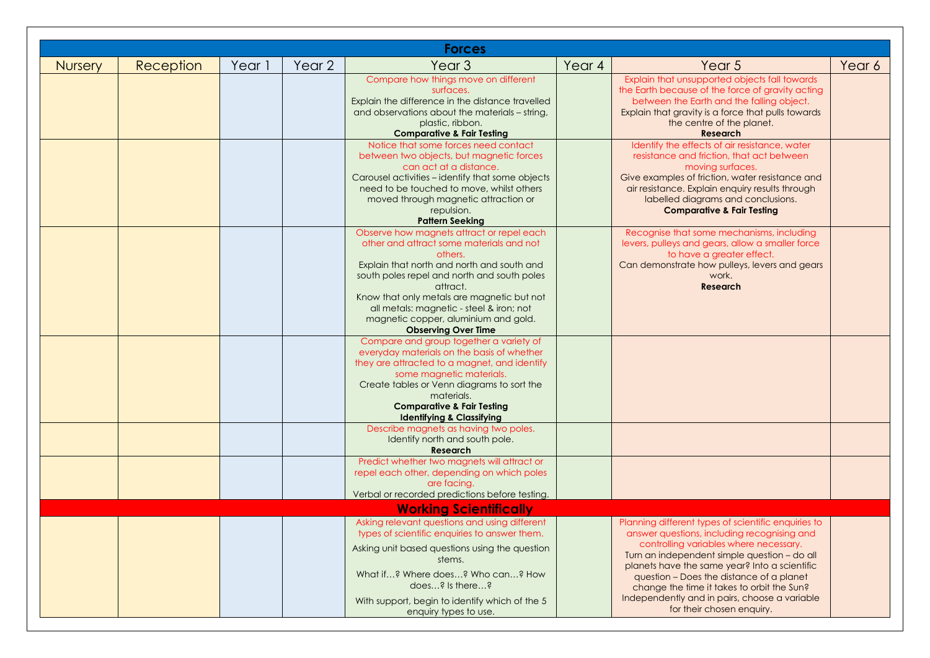|                |           |        |        | <b>Forces</b>                                                                                                                                                                                                                                                        |        |                                                                                                                                                                                                                                                                                                                                                                                          |        |
|----------------|-----------|--------|--------|----------------------------------------------------------------------------------------------------------------------------------------------------------------------------------------------------------------------------------------------------------------------|--------|------------------------------------------------------------------------------------------------------------------------------------------------------------------------------------------------------------------------------------------------------------------------------------------------------------------------------------------------------------------------------------------|--------|
| <b>Nursery</b> | Reception | Year 1 | Year 2 | Year <sub>3</sub>                                                                                                                                                                                                                                                    | Year 4 | Year 5                                                                                                                                                                                                                                                                                                                                                                                   | Year 6 |
|                |           |        |        | Compare how things move on different<br>surfaces.<br>Explain the difference in the distance travelled<br>and observations about the materials - string,<br>plastic, ribbon.                                                                                          |        | Explain that unsupported objects fall towards<br>the Earth because of the force of gravity acting<br>between the Earth and the falling object.<br>Explain that gravity is a force that pulls towards<br>the centre of the planet.                                                                                                                                                        |        |
|                |           |        |        | <b>Comparative &amp; Fair Testing</b><br>Notice that some forces need contact                                                                                                                                                                                        |        | <b>Research</b><br>Identify the effects of air resistance, water                                                                                                                                                                                                                                                                                                                         |        |
|                |           |        |        | between two objects, but magnetic forces<br>can act at a distance.<br>Carousel activities - identify that some objects<br>need to be touched to move, whilst others<br>moved through magnetic attraction or<br>repulsion.<br><b>Pattern Seeking</b>                  |        | resistance and friction, that act between<br>moving surfaces.<br>Give examples of friction, water resistance and<br>air resistance. Explain enquiry results through<br>labelled diagrams and conclusions.<br><b>Comparative &amp; Fair Testing</b>                                                                                                                                       |        |
|                |           |        |        | Observe how magnets attract or repel each                                                                                                                                                                                                                            |        | Recognise that some mechanisms, including                                                                                                                                                                                                                                                                                                                                                |        |
|                |           |        |        | other and attract some materials and not<br>others.<br>Explain that north and north and south and                                                                                                                                                                    |        | levers, pulleys and gears, allow a smaller force<br>to have a greater effect.<br>Can demonstrate how pulleys, levers and gears                                                                                                                                                                                                                                                           |        |
|                |           |        |        | south poles repel and north and south poles<br>attract.<br>Know that only metals are magnetic but not<br>all metals: magnetic - steel & iron; not<br>magnetic copper, aluminium and gold.                                                                            |        | work.<br><b>Research</b>                                                                                                                                                                                                                                                                                                                                                                 |        |
|                |           |        |        | <b>Observing Over Time</b><br>Compare and group together a variety of                                                                                                                                                                                                |        |                                                                                                                                                                                                                                                                                                                                                                                          |        |
|                |           |        |        | everyday materials on the basis of whether<br>they are attracted to a magnet, and identify<br>some magnetic materials.<br>Create tables or Venn diagrams to sort the<br>materials.<br><b>Comparative &amp; Fair Testing</b><br><b>Identifying &amp; Classifying</b>  |        |                                                                                                                                                                                                                                                                                                                                                                                          |        |
|                |           |        |        | Describe magnets as having two poles.<br>Identify north and south pole.<br><b>Research</b>                                                                                                                                                                           |        |                                                                                                                                                                                                                                                                                                                                                                                          |        |
|                |           |        |        | Predict whether two magnets will attract or<br>repel each other, depending on which poles<br>are facing.<br>Verbal or recorded predictions before testing.                                                                                                           |        |                                                                                                                                                                                                                                                                                                                                                                                          |        |
|                |           |        |        | <b>Working Scientifically</b>                                                                                                                                                                                                                                        |        |                                                                                                                                                                                                                                                                                                                                                                                          |        |
|                |           |        |        | Asking relevant questions and using different<br>types of scientific enquiries to answer them.<br>Asking unit based questions using the question<br>stems.<br>What if? Where does? Who can? How<br>does? Is there?<br>With support, begin to identify which of the 5 |        | Planning different types of scientific enquiries to<br>answer questions, including recognising and<br>controlling variables where necessary.<br>Turn an independent simple question - do all<br>planets have the same year? Into a scientific<br>question - Does the distance of a planet<br>change the time it takes to orbit the Sun?<br>Independently and in pairs, choose a variable |        |
|                |           |        |        | enquiry types to use.                                                                                                                                                                                                                                                |        | for their chosen enquiry.                                                                                                                                                                                                                                                                                                                                                                |        |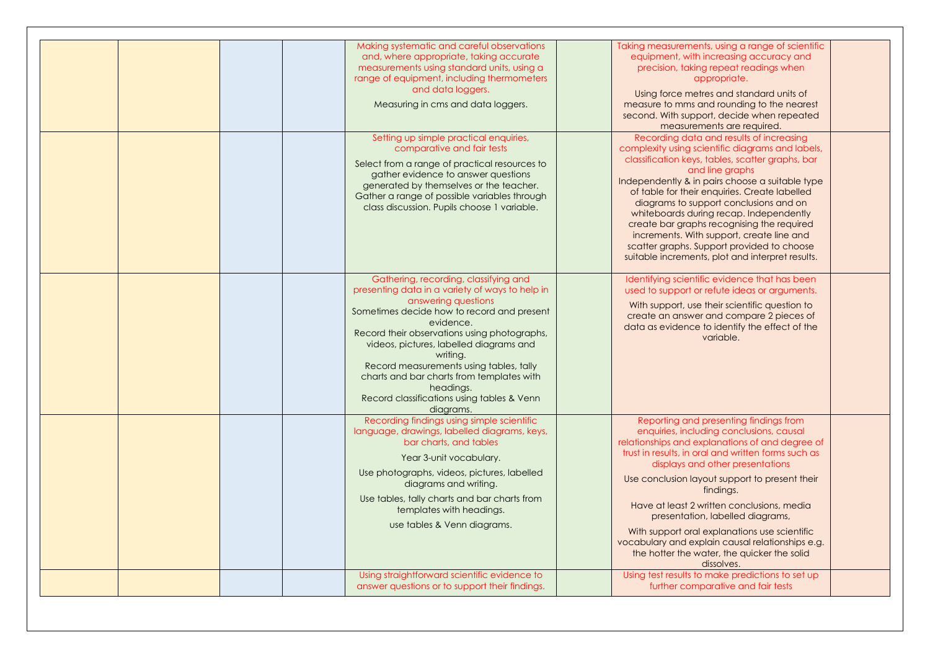| and data loggers.<br>Measuring in cms and data loggers.<br>Setting up simple practical enquiries,<br>comparative and fair tests<br>Select from a range of practical resources to<br>gather evidence to answer questions<br>generated by themselves or the teacher.<br>Gather a range of possible variables through<br>class discussion. Pupils choose 1 variable.<br>Gathering, recording, classifying and<br>presenting data in a variety of ways to help in<br>answering questions<br>Sometimes decide how to record and present<br>evidence.<br>Record their observations using photographs,<br>videos, pictures, labelled diagrams and<br>writing.<br>Record measurements using tables, tally | Using force metres and standard units of<br>measure to mms and rounding to the nearest<br>second. With support, decide when repeated<br>measurements are required.<br>Recording data and results of increasing<br>complexity using scientific diagrams and labels,<br>classification keys, tables, scatter graphs, bar<br>and line graphs<br>Independently & in pairs choose a suitable type<br>of table for their enquiries. Create labelled<br>diagrams to support conclusions and on<br>whiteboards during recap. Independently<br>create bar graphs recognising the required<br>increments. With support, create line and<br>scatter graphs. Support provided to choose<br>suitable increments, plot and interpret results.<br>Identifying scientific evidence that has been<br>used to support or refute ideas or arguments.<br>With support, use their scientific question to<br>create an answer and compare 2 pieces of<br>data as evidence to identify the effect of the<br>variable. |
|---------------------------------------------------------------------------------------------------------------------------------------------------------------------------------------------------------------------------------------------------------------------------------------------------------------------------------------------------------------------------------------------------------------------------------------------------------------------------------------------------------------------------------------------------------------------------------------------------------------------------------------------------------------------------------------------------|------------------------------------------------------------------------------------------------------------------------------------------------------------------------------------------------------------------------------------------------------------------------------------------------------------------------------------------------------------------------------------------------------------------------------------------------------------------------------------------------------------------------------------------------------------------------------------------------------------------------------------------------------------------------------------------------------------------------------------------------------------------------------------------------------------------------------------------------------------------------------------------------------------------------------------------------------------------------------------------------|
| charts and bar charts from templates with<br>headings.<br>Record classifications using tables & Venn<br>diagrams.<br>Recording findings using simple scientific<br>language, drawings, labelled diagrams, keys,<br>bar charts, and tables<br>Year 3-unit vocabulary.<br>Use photographs, videos, pictures, labelled<br>diagrams and writing.<br>Use tables, tally charts and bar charts from<br>templates with headings.<br>use tables & Venn diagrams.<br>Using straightforward scientific evidence to                                                                                                                                                                                           | Reporting and presenting findings from<br>enquiries, including conclusions, causal<br>relationships and explanations of and degree of<br>trust in results, in oral and written forms such as<br>displays and other presentations<br>Use conclusion layout support to present their<br>findings.<br>Have at least 2 written conclusions, media<br>presentation, labelled diagrams,<br>With support oral explanations use scientific<br>vocabulary and explain causal relationships e.g.<br>the hotter the water, the quicker the solid<br>dissolves.<br>Using test results to make predictions to set up                                                                                                                                                                                                                                                                                                                                                                                        |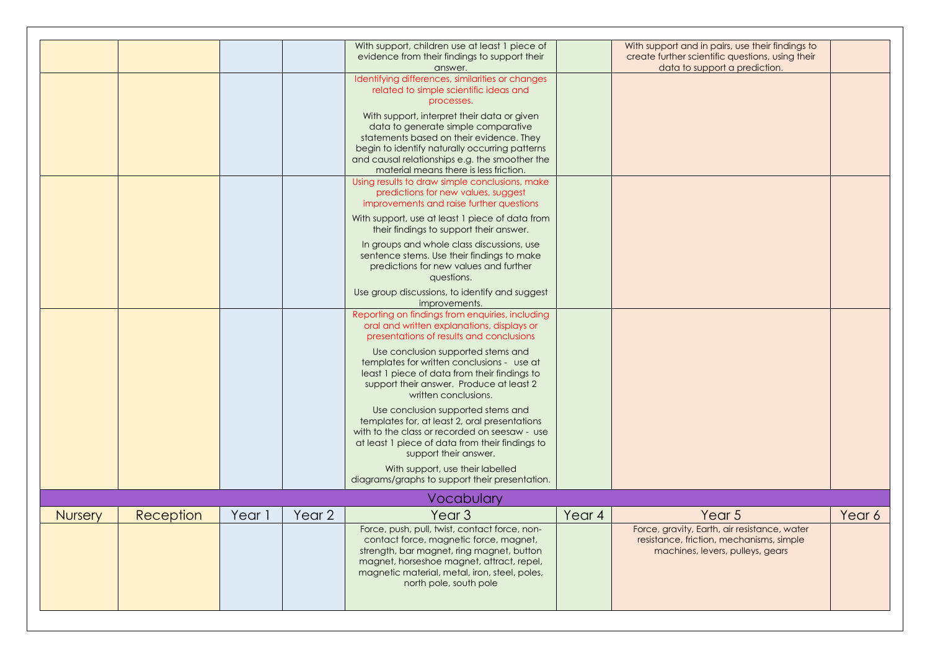|                |           |        |        | With support, children use at least 1 piece of<br>evidence from their findings to support their<br>answer.                                                                                                                                                                   |        | With support and in pairs, use their findings to<br>create further scientific questions, using their<br>data to support a prediction. |        |
|----------------|-----------|--------|--------|------------------------------------------------------------------------------------------------------------------------------------------------------------------------------------------------------------------------------------------------------------------------------|--------|---------------------------------------------------------------------------------------------------------------------------------------|--------|
|                |           |        |        | Identifying differences, similarities or changes<br>related to simple scientific ideas and<br>processes.                                                                                                                                                                     |        |                                                                                                                                       |        |
|                |           |        |        | With support, interpret their data or given<br>data to generate simple comparative<br>statements based on their evidence. They<br>begin to identify naturally occurring patterns<br>and causal relationships e.g. the smoother the<br>material means there is less friction. |        |                                                                                                                                       |        |
|                |           |        |        | Using results to draw simple conclusions, make<br>predictions for new values, suggest<br>improvements and raise further questions                                                                                                                                            |        |                                                                                                                                       |        |
|                |           |        |        | With support, use at least 1 piece of data from<br>their findings to support their answer.                                                                                                                                                                                   |        |                                                                                                                                       |        |
|                |           |        |        | In groups and whole class discussions, use<br>sentence stems. Use their findings to make<br>predictions for new values and further<br>questions.                                                                                                                             |        |                                                                                                                                       |        |
|                |           |        |        | Use group discussions, to identify and suggest<br>improvements.                                                                                                                                                                                                              |        |                                                                                                                                       |        |
|                |           |        |        | Reporting on findings from enquiries, including<br>oral and written explanations, displays or<br>presentations of results and conclusions                                                                                                                                    |        |                                                                                                                                       |        |
|                |           |        |        | Use conclusion supported stems and<br>templates for written conclusions - use at<br>least 1 piece of data from their findings to<br>support their answer. Produce at least 2<br>written conclusions.                                                                         |        |                                                                                                                                       |        |
|                |           |        |        | Use conclusion supported stems and<br>templates for, at least 2, oral presentations<br>with to the class or recorded on seesaw - use<br>at least 1 piece of data from their findings to<br>support their answer.                                                             |        |                                                                                                                                       |        |
|                |           |        |        | With support, use their labelled<br>diagrams/graphs to support their presentation.                                                                                                                                                                                           |        |                                                                                                                                       |        |
|                |           |        |        | <b>Vocabulary</b>                                                                                                                                                                                                                                                            |        |                                                                                                                                       |        |
| <b>Nursery</b> | Reception | Year 1 | Year 2 | Year <sub>3</sub>                                                                                                                                                                                                                                                            | Year 4 | Year 5                                                                                                                                | Year 6 |
|                |           |        |        | Force, push, pull, twist, contact force, non-<br>contact force, magnetic force, magnet,<br>strength, bar magnet, ring magnet, button<br>magnet, horseshoe magnet, attract, repel,<br>magnetic material, metal, iron, steel, poles,<br>north pole, south pole                 |        | Force, gravity, Earth, air resistance, water<br>resistance, friction, mechanisms, simple<br>machines, levers, pulleys, gears          |        |
|                |           |        |        |                                                                                                                                                                                                                                                                              |        |                                                                                                                                       |        |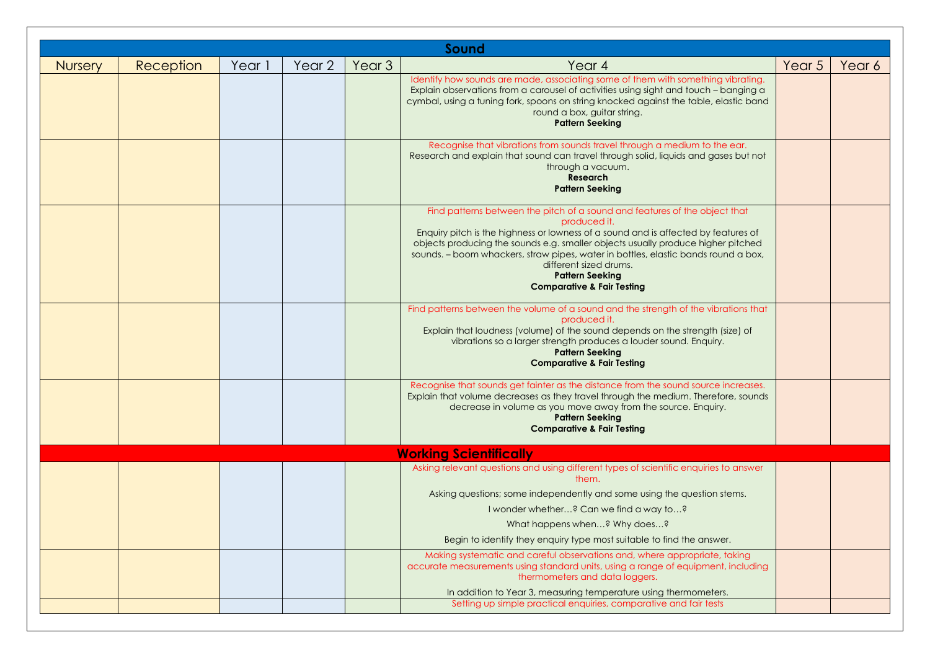| Sound          |           |        |        |                   |                                                                                                                                                                                                                                                                                                                                                                                                                                                         |        |        |  |  |  |
|----------------|-----------|--------|--------|-------------------|---------------------------------------------------------------------------------------------------------------------------------------------------------------------------------------------------------------------------------------------------------------------------------------------------------------------------------------------------------------------------------------------------------------------------------------------------------|--------|--------|--|--|--|
| <b>Nursery</b> | Reception | Year 1 | Year 2 | Year <sub>3</sub> | Year 4                                                                                                                                                                                                                                                                                                                                                                                                                                                  | Year 5 | Year 6 |  |  |  |
|                |           |        |        |                   | Identify how sounds are made, associating some of them with something vibrating.<br>Explain observations from a carousel of activities using sight and touch - banging a<br>cymbal, using a tuning fork, spoons on string knocked against the table, elastic band<br>round a box, guitar string.<br><b>Pattern Seeking</b>                                                                                                                              |        |        |  |  |  |
|                |           |        |        |                   | Recognise that vibrations from sounds travel through a medium to the ear.<br>Research and explain that sound can travel through solid, liquids and gases but not<br>through a vacuum.<br><b>Research</b><br><b>Pattern Seeking</b>                                                                                                                                                                                                                      |        |        |  |  |  |
|                |           |        |        |                   | Find patterns between the pitch of a sound and features of the object that<br>produced it.<br>Enquiry pitch is the highness or lowness of a sound and is affected by features of<br>objects producing the sounds e.g. smaller objects usually produce higher pitched<br>sounds. - boom whackers, straw pipes, water in bottles, elastic bands round a box,<br>different sized drums.<br><b>Pattern Seeking</b><br><b>Comparative &amp; Fair Testing</b> |        |        |  |  |  |
|                |           |        |        |                   | Find patterns between the volume of a sound and the strength of the vibrations that<br>produced it.<br>Explain that loudness (volume) of the sound depends on the strength (size) of<br>vibrations so a larger strength produces a louder sound. Enquiry.<br><b>Pattern Seeking</b><br><b>Comparative &amp; Fair Testing</b>                                                                                                                            |        |        |  |  |  |
|                |           |        |        |                   | Recognise that sounds get fainter as the distance from the sound source increases.<br>Explain that volume decreases as they travel through the medium. Therefore, sounds<br>decrease in volume as you move away from the source. Enquiry.<br><b>Pattern Seeking</b><br><b>Comparative &amp; Fair Testing</b>                                                                                                                                            |        |        |  |  |  |
|                |           |        |        |                   | <b>Working Scientifically</b>                                                                                                                                                                                                                                                                                                                                                                                                                           |        |        |  |  |  |
|                |           |        |        |                   | Asking relevant questions and using different types of scientific enquiries to answer<br>them.<br>Asking questions; some independently and some using the question stems.<br>I wonder whether? Can we find a way to?                                                                                                                                                                                                                                    |        |        |  |  |  |
|                |           |        |        |                   | What happens when? Why does?<br>Begin to identify they enquiry type most suitable to find the answer.                                                                                                                                                                                                                                                                                                                                                   |        |        |  |  |  |
|                |           |        |        |                   | Making systematic and careful observations and, where appropriate, taking<br>accurate measurements using standard units, using a range of equipment, including<br>thermometers and data loggers.                                                                                                                                                                                                                                                        |        |        |  |  |  |
|                |           |        |        |                   | In addition to Year 3, measuring temperature using thermometers.<br>Setting up simple practical enquiries, comparative and fair tests                                                                                                                                                                                                                                                                                                                   |        |        |  |  |  |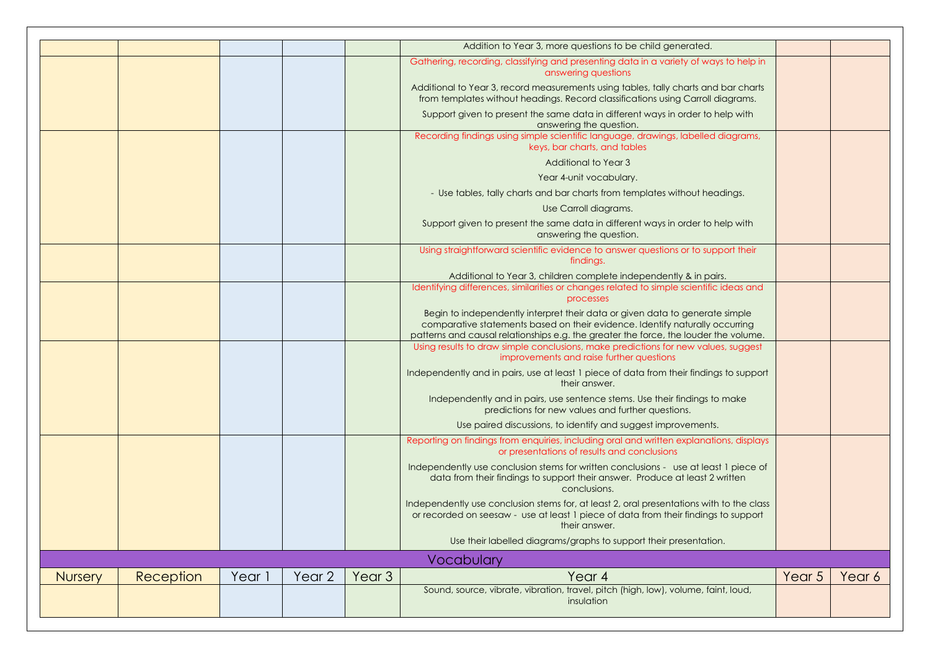|                |           |        |                   |                   | Sound, source, vibrate, vibration, travel, pitch (high, low), volume, faint, loud,<br>insulation                                                                                                                                                           |        |        |
|----------------|-----------|--------|-------------------|-------------------|------------------------------------------------------------------------------------------------------------------------------------------------------------------------------------------------------------------------------------------------------------|--------|--------|
| <b>Nursery</b> | Reception | Year 1 | Year <sub>2</sub> | Year <sub>3</sub> | Vocabulary<br>Year 4                                                                                                                                                                                                                                       | Year 5 | Year 6 |
|                |           |        |                   |                   | Use their labelled diagrams/graphs to support their presentation.                                                                                                                                                                                          |        |        |
|                |           |        |                   |                   | Independently use conclusion stems for, at least 2, oral presentations with to the class<br>or recorded on seesaw - use at least 1 piece of data from their findings to support<br>their answer.                                                           |        |        |
|                |           |        |                   |                   | data from their findings to support their answer. Produce at least 2 written<br>conclusions.                                                                                                                                                               |        |        |
|                |           |        |                   |                   | Reporting on findings from enquiries, including oral and written explanations, displays<br>or presentations of results and conclusions<br>Independently use conclusion stems for written conclusions - use at least 1 piece of                             |        |        |
|                |           |        |                   |                   | Use paired discussions, to identify and suggest improvements.                                                                                                                                                                                              |        |        |
|                |           |        |                   |                   | Independently and in pairs, use sentence stems. Use their findings to make<br>predictions for new values and further questions.                                                                                                                            |        |        |
|                |           |        |                   |                   | Independently and in pairs, use at least 1 piece of data from their findings to support<br>their answer.                                                                                                                                                   |        |        |
|                |           |        |                   |                   | improvements and raise further questions                                                                                                                                                                                                                   |        |        |
|                |           |        |                   |                   | comparative statements based on their evidence. Identify naturally occurring<br>patterns and causal relationships e.g. the greater the force, the louder the volume.<br>Using results to draw simple conclusions, make predictions for new values, suggest |        |        |
|                |           |        |                   |                   | Begin to independently interpret their data or given data to generate simple                                                                                                                                                                               |        |        |
|                |           |        |                   |                   | Identifying differences, similarities or changes related to simple scientific ideas and<br>processes                                                                                                                                                       |        |        |
|                |           |        |                   |                   | findings.<br>Additional to Year 3, children complete independently & in pairs.                                                                                                                                                                             |        |        |
|                |           |        |                   |                   | answering the question.<br>Using straightforward scientific evidence to answer questions or to support their                                                                                                                                               |        |        |
|                |           |        |                   |                   | Use Carroll diagrams.<br>Support given to present the same data in different ways in order to help with                                                                                                                                                    |        |        |
|                |           |        |                   |                   | - Use tables, tally charts and bar charts from templates without headings.                                                                                                                                                                                 |        |        |
|                |           |        |                   |                   | Year 4-unit vocabulary.                                                                                                                                                                                                                                    |        |        |
|                |           |        |                   |                   | Additional to Year 3                                                                                                                                                                                                                                       |        |        |
|                |           |        |                   |                   | Recording findings using simple scientific language, drawings, labelled diagrams,<br>keys, bar charts, and tables                                                                                                                                          |        |        |
|                |           |        |                   |                   | Support given to present the same data in different ways in order to help with<br>answering the question.                                                                                                                                                  |        |        |
|                |           |        |                   |                   | Additional to Year 3, record measurements using tables, tally charts and bar charts<br>from templates without headings. Record classifications using Carroll diagrams.                                                                                     |        |        |
|                |           |        |                   |                   | Gathering, recording, classifying and presenting data in a variety of ways to help in<br>answering questions                                                                                                                                               |        |        |
|                |           |        |                   |                   | Addition to Year 3, more questions to be child generated.                                                                                                                                                                                                  |        |        |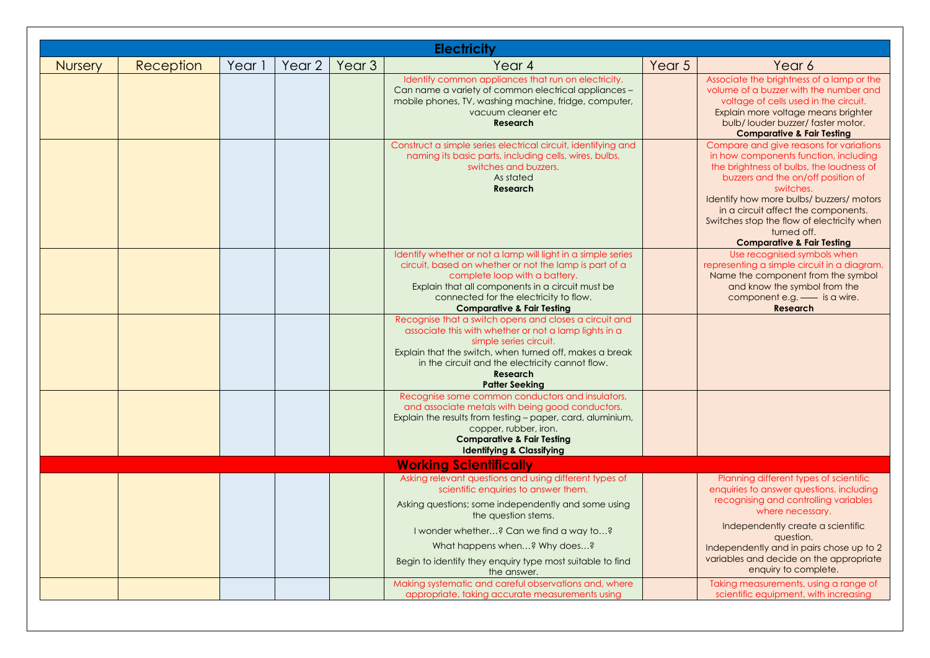|                | <b>Electricity</b> |        |        |                   |                                                                                                                                                                                                                                                                                                     |        |                                                                                                                                                                                                                                                                                                                                                                          |  |  |  |  |  |
|----------------|--------------------|--------|--------|-------------------|-----------------------------------------------------------------------------------------------------------------------------------------------------------------------------------------------------------------------------------------------------------------------------------------------------|--------|--------------------------------------------------------------------------------------------------------------------------------------------------------------------------------------------------------------------------------------------------------------------------------------------------------------------------------------------------------------------------|--|--|--|--|--|
| <b>Nursery</b> | Reception          | Year 1 | Year 2 | Year <sub>3</sub> | Year <sub>4</sub>                                                                                                                                                                                                                                                                                   | Year 5 | Year 6                                                                                                                                                                                                                                                                                                                                                                   |  |  |  |  |  |
|                |                    |        |        |                   | Identify common appliances that run on electricity.<br>Can name a variety of common electrical appliances -<br>mobile phones, TV, washing machine, fridge, computer,<br>vacuum cleaner etc<br><b>Research</b>                                                                                       |        | Associate the brightness of a lamp or the<br>volume of a buzzer with the number and<br>voltage of cells used in the circuit.<br>Explain more voltage means brighter<br>bulb/louder buzzer/faster motor.<br><b>Comparative &amp; Fair Testing</b>                                                                                                                         |  |  |  |  |  |
|                |                    |        |        |                   | Construct a simple series electrical circuit, identifying and<br>naming its basic parts, including cells, wires, bulbs,<br>switches and buzzers.<br>As stated<br><b>Research</b>                                                                                                                    |        | Compare and give reasons for variations<br>in how components function, including<br>the brightness of bulbs, the loudness of<br>buzzers and the on/off position of<br>switches.<br>Identify how more bulbs/ buzzers/ motors<br>in a circuit affect the components.<br>Switches stop the flow of electricity when<br>turned off.<br><b>Comparative &amp; Fair Testing</b> |  |  |  |  |  |
|                |                    |        |        |                   | Identify whether or not a lamp will light in a simple series<br>circuit, based on whether or not the lamp is part of a<br>complete loop with a battery.<br>Explain that all components in a circuit must be<br>connected for the electricity to flow.<br><b>Comparative &amp; Fair Testing</b>      |        | Use recognised symbols when<br>representing a simple circuit in a diagram.<br>Name the component from the symbol<br>and know the symbol from the<br>component e.g. - is a wire.<br>Research                                                                                                                                                                              |  |  |  |  |  |
|                |                    |        |        |                   | Recognise that a switch opens and closes a circuit and<br>associate this with whether or not a lamp lights in a<br>simple series circuit.<br>Explain that the switch, when turned off, makes a break<br>in the circuit and the electricity cannot flow.<br><b>Research</b><br><b>Patter Seeking</b> |        |                                                                                                                                                                                                                                                                                                                                                                          |  |  |  |  |  |
|                |                    |        |        |                   | Recognise some common conductors and insulators,<br>and associate metals with being good conductors.<br>Explain the results from testing - paper, card, aluminium,<br>copper, rubber, iron.<br><b>Comparative &amp; Fair Testing</b><br><b>Identifying &amp; Classifying</b>                        |        |                                                                                                                                                                                                                                                                                                                                                                          |  |  |  |  |  |
|                |                    |        |        |                   | <b>Working Scientifically</b>                                                                                                                                                                                                                                                                       |        |                                                                                                                                                                                                                                                                                                                                                                          |  |  |  |  |  |
|                |                    |        |        |                   | Asking relevant questions and using different types of<br>scientific enquiries to answer them.<br>Asking questions; some independently and some using<br>the question stems.                                                                                                                        |        | Planning different types of scientific<br>enquiries to answer questions, including<br>recognising and controlling variables<br>where necessary.                                                                                                                                                                                                                          |  |  |  |  |  |
|                |                    |        |        |                   | I wonder whether? Can we find a way to?<br>What happens when? Why does?<br>Begin to identify they enquiry type most suitable to find<br>the answer.                                                                                                                                                 |        | Independently create a scientific<br>question.<br>Independently and in pairs chose up to 2<br>variables and decide on the appropriate<br>enquiry to complete.                                                                                                                                                                                                            |  |  |  |  |  |
|                |                    |        |        |                   | Making systematic and careful observations and, where<br>appropriate, taking accurate measurements using                                                                                                                                                                                            |        | Taking measurements, using a range of<br>scientific equipment, with increasing                                                                                                                                                                                                                                                                                           |  |  |  |  |  |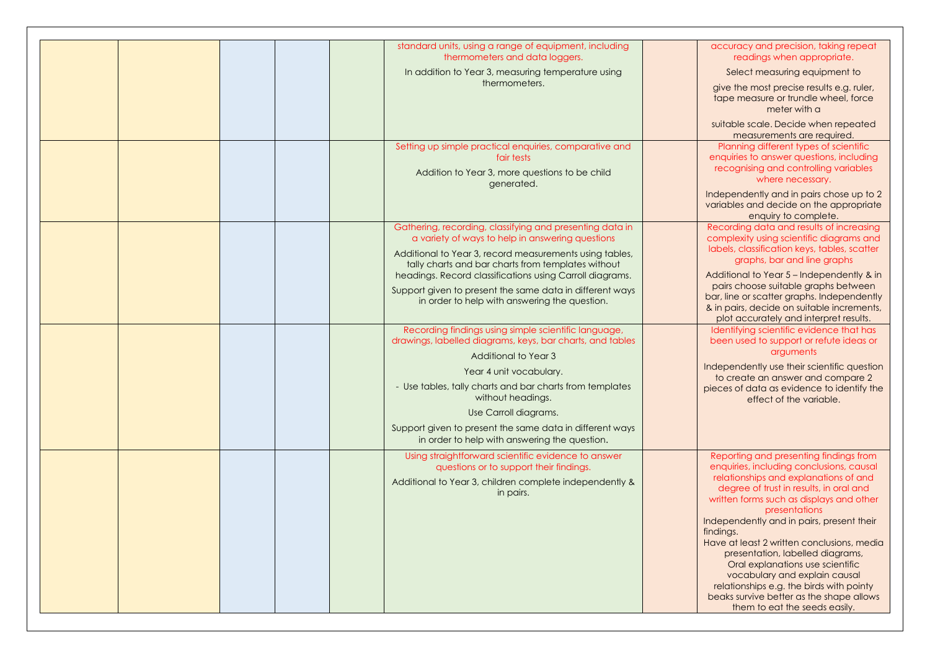|  | standard units, using a range of equipment, including<br>thermometers and data loggers.                                                                                | accuracy and precision, taking repeat<br>readings when appropriate.                                                                                                                                                                                                                                                                                                                                                 |
|--|------------------------------------------------------------------------------------------------------------------------------------------------------------------------|---------------------------------------------------------------------------------------------------------------------------------------------------------------------------------------------------------------------------------------------------------------------------------------------------------------------------------------------------------------------------------------------------------------------|
|  | In addition to Year 3, measuring temperature using                                                                                                                     | Select measuring equipment to                                                                                                                                                                                                                                                                                                                                                                                       |
|  | thermometers.                                                                                                                                                          | give the most precise results e.g. ruler,<br>tape measure or trundle wheel, force<br>meter with a                                                                                                                                                                                                                                                                                                                   |
|  |                                                                                                                                                                        | suitable scale. Decide when repeated<br>measurements are required.                                                                                                                                                                                                                                                                                                                                                  |
|  | Setting up simple practical enquiries, comparative and<br>fair tests<br>Addition to Year 3, more questions to be child<br>generated.                                   | Planning different types of scientific<br>enquiries to answer questions, including<br>recognising and controlling variables<br>where necessary.<br>Independently and in pairs chose up to 2                                                                                                                                                                                                                         |
|  |                                                                                                                                                                        | variables and decide on the appropriate<br>enquiry to complete.                                                                                                                                                                                                                                                                                                                                                     |
|  | Gathering, recording, classifying and presenting data in<br>a variety of ways to help in answering questions                                                           | Recording data and results of increasing<br>complexity using scientific diagrams and                                                                                                                                                                                                                                                                                                                                |
|  | Additional to Year 3, record measurements using tables,<br>tally charts and bar charts from templates without                                                          | labels, classification keys, tables, scatter<br>graphs, bar and line graphs                                                                                                                                                                                                                                                                                                                                         |
|  | headings. Record classifications using Carroll diagrams.<br>Support given to present the same data in different ways<br>in order to help with answering the question.  | Additional to Year 5 - Independently & in<br>pairs choose suitable graphs between<br>bar, line or scatter graphs. Independently                                                                                                                                                                                                                                                                                     |
|  |                                                                                                                                                                        | & in pairs, decide on suitable increments,<br>plot accurately and interpret results.                                                                                                                                                                                                                                                                                                                                |
|  | Recording findings using simple scientific language,<br>drawings, labelled diagrams, keys, bar charts, and tables                                                      | Identifying scientific evidence that has<br>been used to support or refute ideas or                                                                                                                                                                                                                                                                                                                                 |
|  | Additional to Year 3<br>Year 4 unit vocabulary.                                                                                                                        | arguments<br>Independently use their scientific question                                                                                                                                                                                                                                                                                                                                                            |
|  | - Use tables, tally charts and bar charts from templates<br>without headings.                                                                                          | to create an answer and compare 2<br>pieces of data as evidence to identify the<br>effect of the variable.                                                                                                                                                                                                                                                                                                          |
|  | Use Carroll diagrams.                                                                                                                                                  |                                                                                                                                                                                                                                                                                                                                                                                                                     |
|  | Support given to present the same data in different ways<br>in order to help with answering the question.                                                              |                                                                                                                                                                                                                                                                                                                                                                                                                     |
|  | Using straightforward scientific evidence to answer<br>questions or to support their findings.<br>Additional to Year 3, children complete independently &<br>in pairs. | Reporting and presenting findings from<br>enquiries, including conclusions, causal<br>relationships and explanations of and<br>degree of trust in results, in oral and<br>written forms such as displays and other<br>presentations<br>Independently and in pairs, present their<br>findings.<br>Have at least 2 written conclusions, media<br>presentation, labelled diagrams,<br>Oral explanations use scientific |
|  |                                                                                                                                                                        | vocabulary and explain causal<br>relationships e.g. the birds with pointy<br>beaks survive better as the shape allows<br>them to eat the seeds easily.                                                                                                                                                                                                                                                              |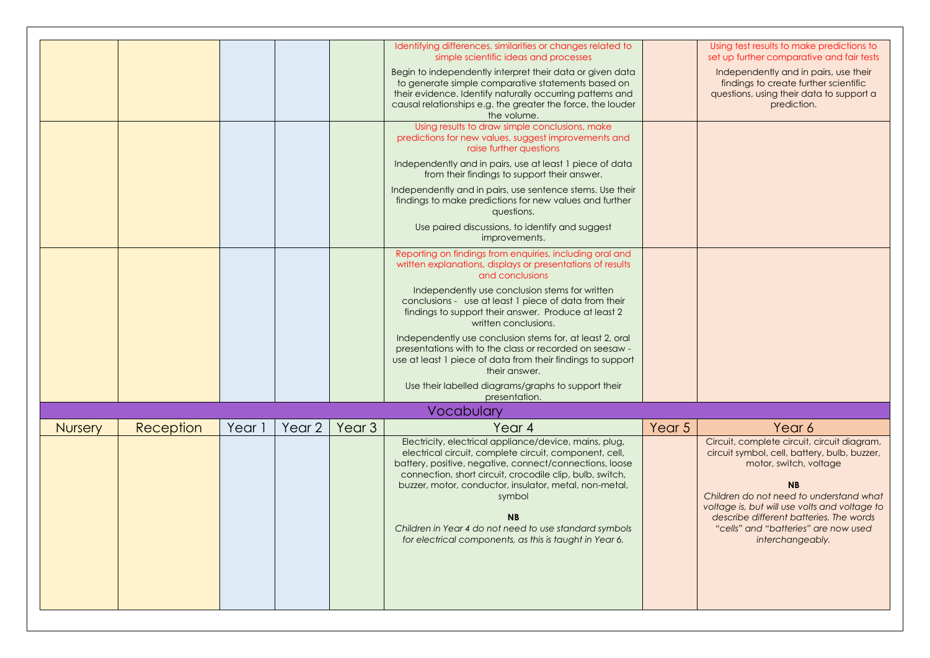|                |           |        |                   |                   | Identifying differences, similarities or changes related to<br>simple scientific ideas and processes                                                                                                                                                                                                                                                                                                                                          |        | Using test results to make predictions to<br>set up further comparative and fair tests                                                                                                                                                                                                                                                |
|----------------|-----------|--------|-------------------|-------------------|-----------------------------------------------------------------------------------------------------------------------------------------------------------------------------------------------------------------------------------------------------------------------------------------------------------------------------------------------------------------------------------------------------------------------------------------------|--------|---------------------------------------------------------------------------------------------------------------------------------------------------------------------------------------------------------------------------------------------------------------------------------------------------------------------------------------|
|                |           |        |                   |                   | Begin to independently interpret their data or given data<br>to generate simple comparative statements based on<br>their evidence. Identify naturally occurring patterns and<br>causal relationships e.g. the greater the force, the louder<br>the volume.                                                                                                                                                                                    |        | Independently and in pairs, use their<br>findings to create further scientific<br>questions, using their data to support a<br>prediction.                                                                                                                                                                                             |
|                |           |        |                   |                   | Using results to draw simple conclusions, make<br>predictions for new values, suggest improvements and<br>raise further questions                                                                                                                                                                                                                                                                                                             |        |                                                                                                                                                                                                                                                                                                                                       |
|                |           |        |                   |                   | Independently and in pairs, use at least 1 piece of data<br>from their findings to support their answer.                                                                                                                                                                                                                                                                                                                                      |        |                                                                                                                                                                                                                                                                                                                                       |
|                |           |        |                   |                   | Independently and in pairs, use sentence stems. Use their<br>findings to make predictions for new values and further<br>questions.                                                                                                                                                                                                                                                                                                            |        |                                                                                                                                                                                                                                                                                                                                       |
|                |           |        |                   |                   | Use paired discussions, to identify and suggest<br>improvements.                                                                                                                                                                                                                                                                                                                                                                              |        |                                                                                                                                                                                                                                                                                                                                       |
|                |           |        |                   |                   | Reporting on findings from enquiries, including oral and<br>written explanations, displays or presentations of results<br>and conclusions                                                                                                                                                                                                                                                                                                     |        |                                                                                                                                                                                                                                                                                                                                       |
|                |           |        |                   |                   | Independently use conclusion stems for written<br>conclusions - use at least 1 piece of data from their<br>findings to support their answer. Produce at least 2<br>written conclusions.                                                                                                                                                                                                                                                       |        |                                                                                                                                                                                                                                                                                                                                       |
|                |           |        |                   |                   | Independently use conclusion stems for, at least 2, oral<br>presentations with to the class or recorded on seesaw -<br>use at least 1 piece of data from their findings to support<br>their answer.                                                                                                                                                                                                                                           |        |                                                                                                                                                                                                                                                                                                                                       |
|                |           |        |                   |                   | Use their labelled diagrams/graphs to support their<br>presentation.                                                                                                                                                                                                                                                                                                                                                                          |        |                                                                                                                                                                                                                                                                                                                                       |
|                |           |        |                   |                   | Vocabulary                                                                                                                                                                                                                                                                                                                                                                                                                                    |        |                                                                                                                                                                                                                                                                                                                                       |
| <b>Nursery</b> | Reception | Year 1 | Year <sub>2</sub> | Year <sub>3</sub> | Year <sub>4</sub>                                                                                                                                                                                                                                                                                                                                                                                                                             | Year 5 | Year 6                                                                                                                                                                                                                                                                                                                                |
|                |           |        |                   |                   | Electricity, electrical appliance/device, mains, plug,<br>electrical circuit, complete circuit, component, cell,<br>battery, positive, negative, connect/connections, loose<br>connection, short circuit, crocodile clip, bulb, switch,<br>buzzer, motor, conductor, insulator, metal, non-metal,<br>symbol<br><b>NB</b><br>Children in Year 4 do not need to use standard symbols<br>for electrical components, as this is taught in Year 6. |        | Circuit, complete circuit, circuit diagram,<br>circuit symbol, cell, battery, bulb, buzzer,<br>motor, switch, voltage<br><b>NB</b><br>Children do not need to understand what<br>voltage is, but will use volts and voltage to<br>describe different batteries. The words<br>"cells" and "batteries" are now used<br>interchangeably. |
|                |           |        |                   |                   |                                                                                                                                                                                                                                                                                                                                                                                                                                               |        |                                                                                                                                                                                                                                                                                                                                       |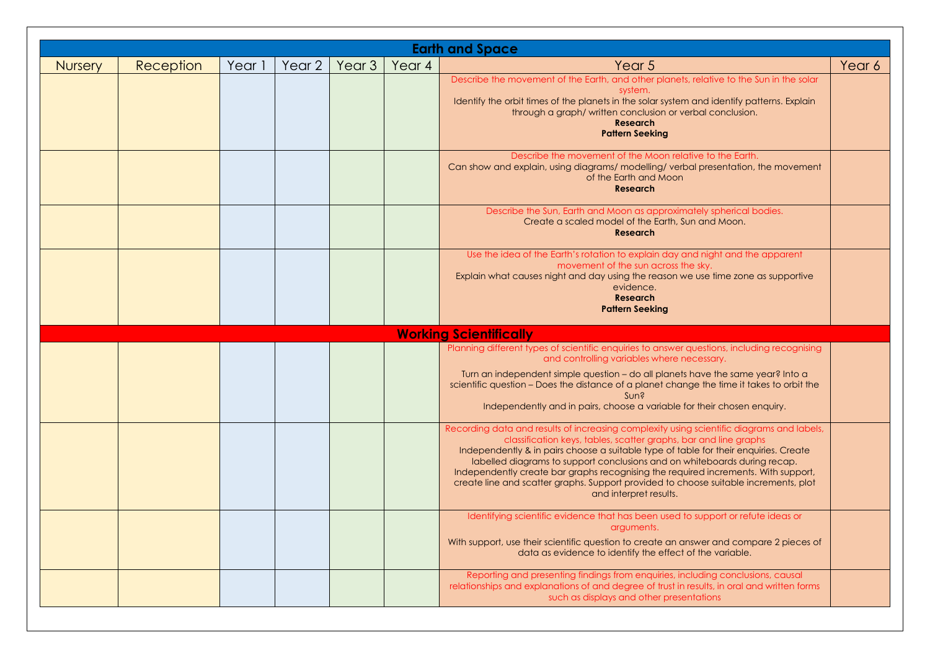|                | <b>Earth and Space</b> |        |        |        |        |                                                                                                                                                                                                                                                                                                                                                                                                                                                                                                                                            |        |  |  |  |  |  |
|----------------|------------------------|--------|--------|--------|--------|--------------------------------------------------------------------------------------------------------------------------------------------------------------------------------------------------------------------------------------------------------------------------------------------------------------------------------------------------------------------------------------------------------------------------------------------------------------------------------------------------------------------------------------------|--------|--|--|--|--|--|
| <b>Nursery</b> | Reception              | Year 1 | Year 2 | Year 3 | Year 4 | Year 5                                                                                                                                                                                                                                                                                                                                                                                                                                                                                                                                     | Year 6 |  |  |  |  |  |
|                |                        |        |        |        |        | Describe the movement of the Earth, and other planets, relative to the Sun in the solar<br>system.<br>Identify the orbit times of the planets in the solar system and identify patterns. Explain<br>through a graph/written conclusion or verbal conclusion.<br><b>Research</b><br><b>Pattern Seeking</b>                                                                                                                                                                                                                                  |        |  |  |  |  |  |
|                |                        |        |        |        |        | Describe the movement of the Moon relative to the Earth.<br>Can show and explain, using diagrams/modelling/verbal presentation, the movement<br>of the Earth and Moon<br><b>Research</b>                                                                                                                                                                                                                                                                                                                                                   |        |  |  |  |  |  |
|                |                        |        |        |        |        | Describe the Sun, Earth and Moon as approximately spherical bodies.<br>Create a scaled model of the Earth, Sun and Moon.<br><b>Research</b>                                                                                                                                                                                                                                                                                                                                                                                                |        |  |  |  |  |  |
|                |                        |        |        |        |        | Use the idea of the Earth's rotation to explain day and night and the apparent<br>movement of the sun across the sky.<br>Explain what causes night and day using the reason we use time zone as supportive<br>evidence.<br><b>Research</b><br><b>Pattern Seeking</b>                                                                                                                                                                                                                                                                       |        |  |  |  |  |  |
|                |                        |        |        |        |        | <b>Working Scientifically</b>                                                                                                                                                                                                                                                                                                                                                                                                                                                                                                              |        |  |  |  |  |  |
|                |                        |        |        |        |        | Planning different types of scientific enquiries to answer questions, including recognising<br>and controlling variables where necessary.<br>Turn an independent simple question - do all planets have the same year? Into a<br>scientific question - Does the distance of a planet change the time it takes to orbit the<br>Sun?<br>Independently and in pairs, choose a variable for their chosen enquiry.                                                                                                                               |        |  |  |  |  |  |
|                |                        |        |        |        |        | Recording data and results of increasing complexity using scientific diagrams and labels,<br>classification keys, tables, scatter graphs, bar and line graphs<br>Independently & in pairs choose a suitable type of table for their enquiries. Create<br>labelled diagrams to support conclusions and on whiteboards during recap.<br>Independently create bar graphs recognising the required increments. With support,<br>create line and scatter graphs. Support provided to choose suitable increments, plot<br>and interpret results. |        |  |  |  |  |  |
|                |                        |        |        |        |        | Identifying scientific evidence that has been used to support or refute ideas or<br>arguments.<br>With support, use their scientific question to create an answer and compare 2 pieces of<br>data as evidence to identify the effect of the variable.                                                                                                                                                                                                                                                                                      |        |  |  |  |  |  |
|                |                        |        |        |        |        | Reporting and presenting findings from enquiries, including conclusions, causal<br>relationships and explanations of and degree of trust in results, in oral and written forms<br>such as displays and other presentations                                                                                                                                                                                                                                                                                                                 |        |  |  |  |  |  |